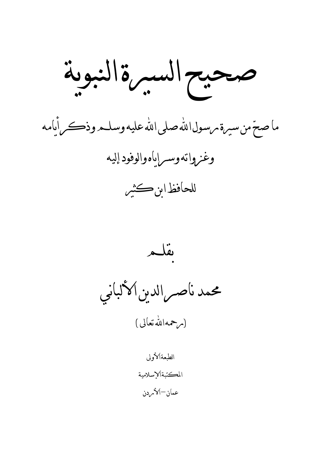صحبح السبرة النبوية

ما صحّ من سيرة مرسول الله صلى الله عليه وسلـم وذكر أمامه

وغزواته وسرإباه والوفود إليه

للحافظ امن كثبر



محمد ناصر الدبن الألباني

(مرحمه\لله تعالى )

الطبعةالأولى المكتبة الإسلامية عمان—الأمردن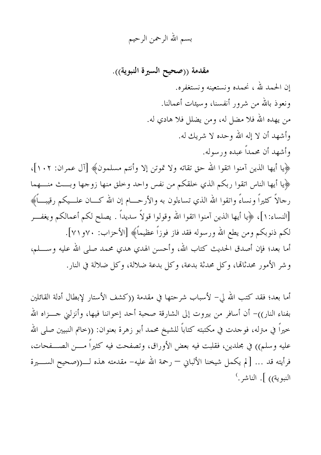## بسم الله الرحمن الرحيم

مقدمة ((صحيح السيرة النبوية)). إن الحمد لله ، نحمده ونستعينه ونستغفره. ونعوذ بالله من شرور أنفسنا، وسيئات أعمالنا. من يهده الله فلا مضل له، ومن يضلل فلا هادي له. وأشهد أن لا إله الله وحده لا شريك له. وأشهد أن محمداً عبده ورسوله. ﴿ يَا أَيُّهَا الَّذِينَ آمِنُوا اتَّقُوا الله حقَّ تقاتُّه ولا تموَّتن إلا وأنتم مسلَّمون﴾ [آل عمران: ١٠٢]، ﴿إِيا أيها الناس اتقوا ربكم الذي خلقكم من نفس واحد وخلق منها زوجها وبسث منسهما رجالاً كثيراً ونساءً واتقوا الله الذي تساءلون به والأرحـــام إن الله كـــان علـــيكم رقيبـــاً﴾ [النساء: ١]، ﴿إِيا أَيها الذين آمنوا اتقوا الله وقولوا قولاً سديداً . يصلح لكم أعمالكم ويغفـــر لكم ذنوبكم ومن يطع الله ورسوله فقد فاز فوزًا عظيماً﴾ [الأحزاب: ٧٠و ٧١]. أما بعد؛ فإن أصدق الحديث كتاب الله، وأحسن الهدي هدي محمد صلى الله عليه وســــلم، وشر الأمور محدثاقما، وكل محدثة بدعة، وكل بدعة ضلالة، وكل ضلالة في النار.

أما بعد؛ فقد كتب الله لي– لأسباب شرحتها في مقدمة ((كشف الأستار لإبطال أدلة القائلين بفناء النار))– أن أسافر من بيروت إلى الشارقة صحبة أحد إحواننا فيها، وأنزلني جـــزاه الله خيراً في مـترله، فوجدت في مكتبته كتاباً للشيخ محمد أبو زهرة بعنوان: ((خاتم النبيين صلى الله عليه وسلم)) في مجلدين، فقلبت فيه بعض الأوراق، وتصفحت فيه كثيراً مــــن الصـــفحات، النبوية)) ]. الناشر .'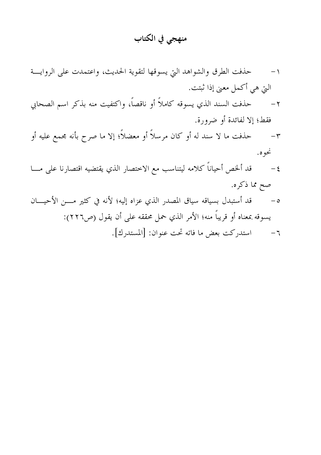## منهجي في الكتاب

- حذفت الطرق والشواهد التي يسوقها لتقوية الحديث، واعتمدت على الرواية  $-1$ التي هي أكمل معنى إذا ثبتت.
- ٢− حذفت السند الذي يسوقه كاملاً أو ناقصاً، واكتفيت منه بذكر اسم الصحابي فقط؛ إلا لفائدة أو ضرورة.
- ٣– حذفت ما لا سند له أو كان مرسلاً أو معضلاً؛ إلا ما صرح بأنه مجمع عليه أو نحوه.
- قد ألخص أحياناً كلامه ليتناسب مع الاختصار الذي يقتضيه اقتصارنا على مـــا  $-\xi$ صح مما ذكره.
- قد أستبدل بسياقه سياق المصدر الذي عزاه إليه؛ لأنه في كثير مـــن الأحيـــان  $-\circ$ يسوقه بمعناه أو قريباً منه؛ الأمر الذي حمل محققه على أن يقول (ص٢٢٦): ٦- استدركت بعض ما فاته تحت عنوان: [المستدرك].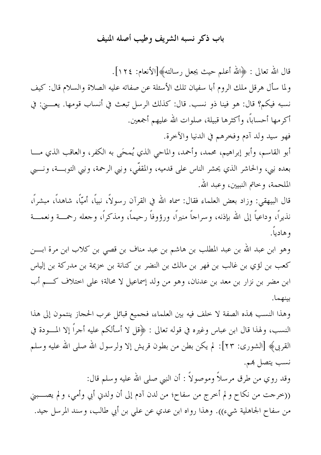### باب ذكر نسبه الشريف وطيب أصله المنيف

قال الله تعالى : ﴿الله أعلم حيث يجعل رسالته﴾[الأنعام: ٢٤١]. ولما سأل هرقل ملك الروم أبا سفيان تلك الأسئلة عن صفاته عليه الصلاة والسلام قال: كيف نسبه فيكم؟ قال: هو فينا ذو نسب. قال: كذلك الرسل تبعث في أنساب قومها. يعــــني: في أكرمها أحساباً، وأكثرها قبيلة، صلوات الله عليهم أجمعين. فهو سيد ولد آدم وفخرهم في الدنيا والآخرة. أبو القاسم، وأبو إبراهيم، محمد، وأحمد، والماحي الذي يُمحَى به الكفر، والعاقب الذي مـــا بعده نبي، والحاشر الذي يحشر الناس على قدميه، والمقفَّى، ونبي الرحمة، ونبي التوبـــة، ونـــبي الملحمة، وخاتم النبيين، وعبد الله.

قال البيهقي: وزاد بعض العلماء فقال: سماه الله في القرآن رسولاً، نبياً، أميّاً، شاهداً، مبشراً، نذيرًا، وداعياً إلى الله بإذنه، وسراجاً منيراً، ورؤوفاً رحيماً، ومذكراً، وجعله رحمـــة ونعمـــة وهادياً.

وهو ابن عبد الله بن عبد المطلب بن هاشم بن عبد مناف بن قصبي بن كلاب ابن مرة ابـــن كعب بن لؤي بن غالب بن فهر بن مالك بن النضر بن كنانة بن خزيمة بن مدركة بن إلياس ابن مضر بن نزار بن معد بن عدنان، وهو من ولد إسماعيل لا محالة؛ على اختلاف كـــم أب بينهما.

وهذا النسب بهذه الصفة لا خلف فيه بين العلماء، فحميع قبائل عرب الحجاز ينتمون إلى هذا النسب، ولهذا قال ابن عباس وغيره في قوله تعالى : ﴿قُلْ لا أَسْأَلَكُمْ عَلَيْهُ أَجْرًا إِلاَّ الْمُسْوَدَة فِي القربي﴾ [الشورى: ٢٣]: لم يكن بطن من بطون قريش إلا ولرسول الله صلى الله عليه وسلم نسب يتصل هم.

وقد روي من طرق مرسلاً وموصولاً : أن النبي صلى الله عليه وسلم قال: ((خرجت من نكاح و لم أخرج من سفاح؛ من لدن آدم إلى أن ولدني أبي وأمي، و لم يصــبني من سفاح الجاهلية شيء)). وهذا رواه ابن عدي عن علي بن أبي طالب، وسند المرسل جيد.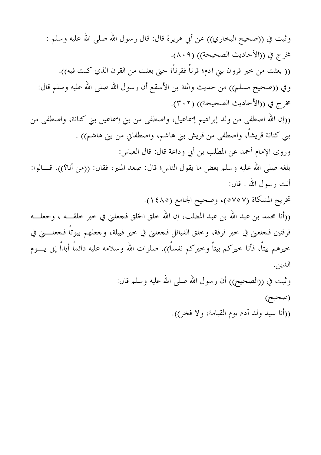وثبت في ((صحيح البخاري)) عن أبي هريرة قال: قال رسول الله صلى الله عليه وسلم : مخرج في ((الأحاديث الصحيحة)) (٨٠٩). (( بعثت من خير قرون بني آدم؛ قرناً فقرناً؛ حتى بعثت من القرن الذي كنت فيه)). وفي ((صحيح مسلم)) من حديث واثلة بن الأسقع أن رسول الله صلى الله عليه وسلم قال: مخرج في ((الأحاديث الصحيحة)) (٣٠٢). ((إن الله اصطفى من ولد إبراهيم إسماعيل، واصطفى من بني إسماعيل بني كنانة، واصطفى من بني كنانة قريشاً، واصطفى من قريش بني هاشم، واصطفاني من بني هاشم)) . وروى الإمام أحمد عن المطلب بن أبي وداعة قال: قال العباس: بلغه صلى الله عليه وسلم بعض ما يقول الناس؛ قال: صعد المنبر، فقال: ((من أنا؟)). قـــالوا: أنت رسول الله . قال: تخريج المشكاة (٥٧٥٧)، وصحيح الجامع (١٤٨٥). ((أنا محمد بن عبد الله بن عبد المطلب، إن الله خلق الخلق فحعلني في خير خلقــــه ، وجعلــــه فرقتين فحلعني في خير فرقة، وخلق القبائل فحعلني في خير قبيلة، وجعلهم بيوتاً فحعلــــني في خيرهم بيتاً، فأنا خيركم بيتاً وخيركم نفساً)). صلوات الله وسلامه عليه دائماً أبداً إلى يــــوم الدين. وثبت في ((الصحيح)) أن رسول الله صلى الله عليه وسلم قال: (صحيح) ((أنا سيد ولد آدم يوم القيامة، ولا فخر)).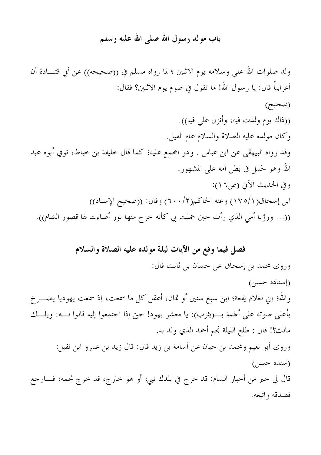## باب مولد رسول الله صلى الله عليه وسلم

ولد صلوات الله على وسلامه يوم الاثنين ؛ لما رواه مسلم في ((صحيحه)) عن أبي قتـــادة أن أعرابياً قال: يا رسول الله! ما تقول في صوم يوم الاثنين؟ فقال:

(صحيح) ((ذاك يوم ولدت فيه، وأنزل على فيه)). وكان مولده عليه الصلاة والسلام عام الفيل. وقد رواه البيهقي عن ابن عباس . وهو المجمع عليه؛ كما قال خليفة بن خياط، توفي أبوه عبد الله وهو حَمل في بطن أمه على المشهور. وفي الحديث الآتي (ص١٦): ابن إسحاق(١/١٧٥) وعنه الحاكم(٢/٢٠٠) وقال: ((صحيح الإسناد)) ((... ورؤيا أمي الذي رأت حين حملت بي كأنه خرج منها نور أضاءت لها قصور الشام)).

# فصل فيما وقع من الآيات ليلة مولده عليه الصلاة والسلام وروى محمد بن إسحاق عن حسان بن ثابت قال:  $(\omega)$  (إسناده حسن)

والله؛ إني لغلام يفعة؛ ابن سبع سنين أو ثمان، أعقل كل ما سمعت، إذ سمعت يهوديا يصــــرخ بأعلى صوته على أطمة بــــ(يثرب): يا معشر يهود! حتى إذا اجتمعوا إليه قالوا لــــه: ويلــــك مالكِ؟! قال : طلع الليلة نجم أحمد الذي ولد به. وروى أبو نعيم ومحمد بن حيان عن أسامة بن زيد قال: قال زيد بن عمرو ابن نفيل:

قال لي حبر من أحبار الشام: قد خرج في بلدك نبي، أو هو خارج، قد خرج نجمه، فــــارجع فصدقه واتبعه.

 $(\bigcup_{i=1}^{n} \mathbb{Z}_{q_i})$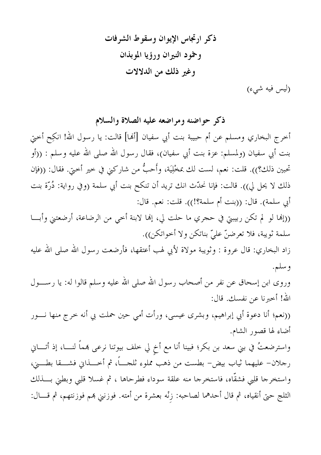ذكر ارتجاس الإيوان وسقوط الشرفات وخمود النيران ورؤيا الموبذان وغير ذلك من الدلالات

(ليس فيه شيء)

ذكر حواضنه ومراضعه عليه الصلاة والسلام

أخرج البخاري ومسلم عن أم حبيبة بنت أبي سفيان [ألها] قالت: يا رسول الله! انكِح أختى بنت أبي سفيان (ولمسلم: عزة بنت أبي سفيان)، فقال رسول الله صلى الله عليه وسلم : ((أو تحبين ذلك؟)). قلت: نعم، لست لك بمخْلِيَة، وأَحبُّ من شاركني في خير أختي. فقال: ((فإن ذلك لا يحل لي)). قالت: فإنا نحدَّث انك تريد أن تنكح بنت أبي سلمة (وفي رواية: دُرَّة بنت أبي سلمة). قال: ((بنت أم سلمة؟!)). قلت: نعم. قال:

((إِنَّهَا لَوْ لَمْ تَكُنْ رَبِيبِيٍّ فِي حَجْرِي مَا حَلْتَ لِي، إِنَّهَا لابنة أُخْي من الرضاعة، أرضعتني وأبسا سلمة ثويبة، فلا تعرضنَّ علىَّ بناتكن ولا أحواتكن)).

زاد البخاري: قال عروة : وثويبة مولاة لأبي لهب أعتقها، فأرضعت رسول الله صلى الله عليه وسلم.

وروى ابن إسحاق عن نفر من أصحاب رسول الله صلى الله عليه وسلم قالوا له: يا رســـول الله! أخبرنا عن نفسك. قال:

((نعم؛ أنا دعوة أبي إبراهيم، وبشرى عيسى، ورأت أمى حين حملت بي أنه خرج منها نـــور أضاء لها قصور الشام.

واسترضعتُ في بني سعد بن بكر؛ فبينا أنا مع أخ لي خلف بيوتنا نرعى بمماً لنــــا، إذ أتــــاني رجلان– عليهما ثياب بيض– بطست من ذهب مملوء ثلجــــاً، ثم أخــــذاني فشــــقا بطــــني، واستخرجا قلبي فشقَّاه، فاستخرجا منه علقة سوداء فطرحاها ، ثم غسلا قلبي وبطني بــــذلك الثلج حتى أنقياه، ثم قال أحدهما لصاحبه: زنْه بعشرة من أمته. فوزنني بمم فوزنتهم، ثم قــــال: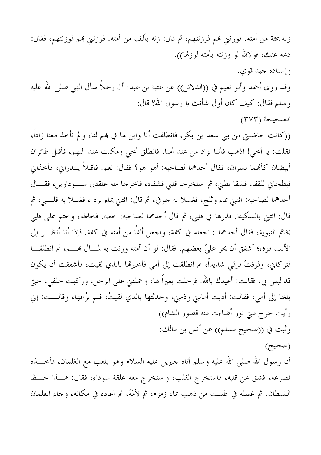زنه بمئة من أمته. فوزنني بهم فوزنتهم، ثم قال: زنه بألف من أمته. فوزنني بهم فوزنتهم، فقال: دعه عنك، فولالله لو وزنته بأمته لوزنها)). وإسناده جيد قوى. وقد روى أحمد وأبو نعيم في ((الدلائل)) عن عتبة بن عبد: أن رجلاً سأل النبي صلى الله عليه وسلم فقال: كيف كان أول شأنك يا رسول الله؟ قال: الصحيحة (٣٧٣)

((كانت حاضنتي من بني سعد بن بكر، فانطلقت أنا وابن لها في بمم لنا، و لم نأخذ معنا زاداً، فقلت: يا أخي! اذهب فأتنا بزاد من عند أمنا. فانطلق أخي ومكثت عند البهم، فأقبل طائران أبيضان كألهما نسران، فقال أحدهما لصاحبه: أهو هو؟ فقال: نعم. فأقبلاً يبتدراني، فأخذاني فبطحاني للقفا، فشقا بطني، ثم استخرجا قلبي فشقاه، فاخرجا منه علقتين ســوداوين، فقــال أحدهما لصاحبه: ائتني بماء وثلج، فغسلا به جوفي، ثم قال: ائتني بماء برد ، فغسلا به قلــبي، ثم قال: ائتني بالسكينة. فذرها في قلبي، ثم قال أحدهما لصاحبه: خطه. فخاطه، وختم على قلبي بخاتم النبوية، فقال أحدهما : اجعله في كفة، واجعل ألفاً من أمته في كفة. فإذا أنا أنظـــر إلى الألف فوق؛ أشفق أن يخر عليّ بعضهم، فقال: لو أن أمته وزنت به لمـــال بهــــم، ثم انطلقـــا فتركاني، وفرقتُ فرقي شديداً، ثم انطلقت إلى أمي فأخبرها بالذي لقيت، فأشفقت أن يكون قد لبس بى، فقالت: أعيذك بالله. فرحلت بعيراً لها، وحملتنى على الرحل، وركبت خلفي، حتى بلغنا إلى أمي، فقالت: أديت أمانتي وذمتي، وحدثتها بالذي لقيتُ، فلم يرُعها، وقالـــت: إني رأيت خرج مني نور أضاءت منه قصور الشام)). وثبت في ((صحيح مسلم)) عن أنس بن مالك:

أن رسول الله صلى الله عليه وسلم أتاه جبريل عليه السلام وهو يلعب مع الغلمان، فأخــــذه فصرعه، فشق عن قلبه، فاستخرج القلب، واستخرج معه علقة سوداء، فقال: هـــذا حــظ الشيطان. ثم غسله في طست من ذهب بماء زمزم، ثم لأمَهُ، ثم أعاده في مكانه، وجاء الغلمان

(صحيح)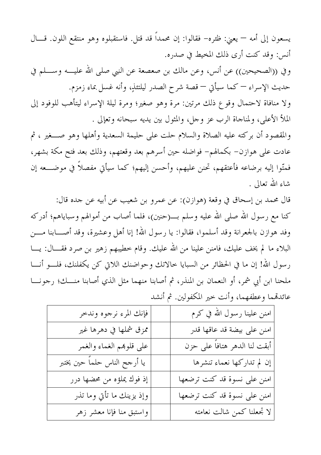يسعون إلى أمه — يعني: ظئره– فقالوا: إن محمداً قد قتل. فاستقبلوه وهو منتقع اللون. قـــال أنس: وقد كنت أرى ذلك المخيط في صدره.

وفي ((الصحيحين)) عن أنس، وعن مالك بن صعصعة عن النبي صلى الله عليـــه وســــلم في حديث الإسراء — كما سيأتي — قصة شرح الصدر ليلتئذٍ، وأنه غسل بماء زمزم.

ولا منافاة لاحتمال وقوع ذلك مرتين: مرة وهو صغير؛ ومرة ليلة الإسراء ليتأهب للوفود إلى الملأ الأعلى، ولمناجاة الرب عز وجل، والمثول بين يديه سبحانه وتعإلى .

والمقصود أن بركته عليه الصلاة والسلام حلت على حليمة السعدية وأهلها وهو صـــغير ، ثم عادت على هوازن– بكمالهم– فواضله حين أسرهم بعد وقعتهم، وذلك بعد فتح مكة بشهر، فمتُّوا إليه برضاعه فأعتقهم، تحنن عليهم، وأحسن إليهم؛ كما سيأتي مفصلاً في موضـــعه إن شاءِ الله تعالى .

قال محمد بن إسحاق في وقعة (هوازن): عن عمرو بن شعيب عن أبيه عن جده قال: كنا مع رسول الله صلى الله عليه وسلم بــــ(حنين)، فلما أصاب من أموالهم وسباياهم؛ أدركه وفد هوازن بالجعرانة وقد أسلموا، فقالوا: يا رسول الله! إنا أهل وعشيرة، وقد أصـــابنا مــــن البلاء ما لم يخف عليك، فامنن علينا من الله عليك. وقام خطيبهم زهير بن صرد فقـــال: يـــا رسول الله! إن ما في الحظائر من السبايا خالاتك وحواضنك اللاتي كن يكفلنك، فلـــو أنـــا ملحنا ابن أبي شمر، أو النعمان بن المنذر، ثم أصابنا منهما مثل الذي أصابنا منـــك؛ رحونــــا عائدتمما وعطفهما، وأنت خير المكفولين. ثم أنشد

| فإنك المرء نرجوه وندحر        | امنن علينا رسول الله في كرم   |
|-------------------------------|-------------------------------|
| ممزق شملها في دهرها غير       | امنن على بيضة قد عاقها قدر    |
| على قلوهم الغماء والغمر       | أبقت لنا الدهر هتافاً على حزن |
| يا أرجح الناس حلماً حين يختبر | إن لم تداركها نعماء تنشرها    |
| إذ فوك يملؤه من محضها درر     | امنن على نسوة قد كنت ترضعها   |
| وإذ يزينك ما تأتي وما تذر     | امنن على نسوة قد كنت ترضعها   |
| واستبق منا فإنا معشر زهر      | لا تجعلنا كمن شالت نعامته     |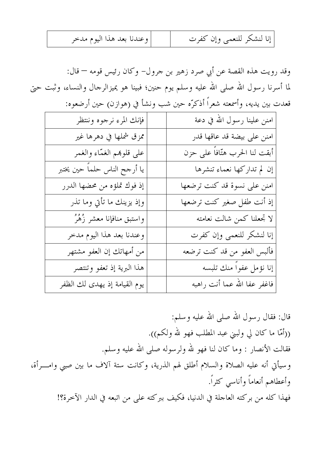| وعندنا بعد هذا اليوم مدخر | إنا لنشكر للنعمى وإن كفرت |
|---------------------------|---------------------------|
|---------------------------|---------------------------|

وقد رويت هذه القصة عن أبي صرد زهير بن جرول– وكان رئيس قومه — قال: لما أسرنا رسول الله صلى الله عليه وسلم يوم حنين؛ فبينا هو يميزالرجال والنساء، وثبت حتى قعدت بين يديه، وأسمعته شعراً أذكرٌه حين شب ونشأ في (هوازن) حين أرضعوه:

| فإنك المرء نرجوه وننتظر       | امنن علينا رسول الله في دعة    |
|-------------------------------|--------------------------------|
| ممزق شملها في دهرها غير       | امنن على بيضة قد عاقها قدر     |
| على قلوهم الغمّاء والغمر      | أبقت لنا الحرب هتّافاً على حزن |
| يا أرجح الناس حلماً حين يختبر | إن لم تداركها نعماء تنشرها     |
| إذ فوك تملؤه من محضها الدرر   | امنن على نسوة قد كنت ترضعها    |
| وإذ يزينك ما تأتي وما تذر     | إذ أنت طفل صغير كنت ترضعها     |
| واستبق منافإنا معشر زُهُرُ    | لا تجعلنا كمن شالت نعامته      |
| وعندنا بعد هذا اليوم مدخر     | إنا لنشكر للنعمى وإن كفرت      |
| من أمهاتك إن العفو مشتهر      | فألبس العفو من قد كنت ترضعه    |
| هذا البرية إذ تعفو وتنتصر     | إنا نؤمل عفواً منك تلبسه       |
| يوم القيامة إذ يهدى لك الظفر  | فاغفر عفا الله عما أنت راهبه   |

قال: فقال رسول الله صلى الله عليه وسلم: ((أمَّا ما كان لي ولبني عبد المطلب فهو لله ولكم)). فقالت الأنصار : وما كان لنا فهو لله ولرسوله صلى الله عليه وسلم. وسيأتي أنه عليه الصلاة والسلام أطلق لهم الذرية، وكانت ستة آلاف ما بين صبي وامــرأة، وأعطاهم أنعاماً وأناسبي كثراً. فهذا كله من بركته العاجلة في الدنيا، فكيف ببركته على من اتبعه في الدار الآخرة؟!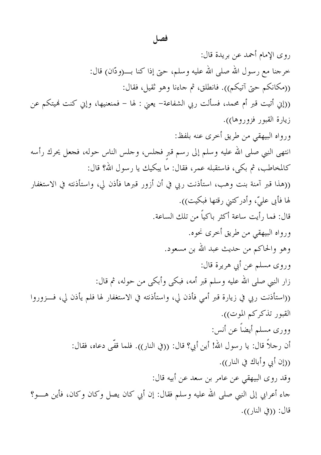#### فصل

روى الإمام أحمد عن بريدة قال: ((مكانكم حتى آتيكم)). فانطلق، ثم جاءنا وهو ثقيل، فقال: ((إين أتيت قبر أم محمد، فسألت ربي الشفاعة– يعني : لها – فمنعنيها، وإين كنت لهيتكم عن زيارة القبور فزوروها)). ورواه البيهقي من طريق أحرى عنه بلفظ: انتهى النبي صلى الله عليه وسلم إلى رسم قبرٍ فحلس، وحلس الناس حوله، فجعل يحرك رأسه كالمخاطب، ثم بكي، فاستقبله عمر، فقال: ما يبكيك يا رسول الله؟ قال: ((هذا قبر آمنة بنت وهب، استأذنت ربي في أن أزور قبرها فأذن لي، واستأذنته في الاستغفار لها فأبي عليّ، وأدركتني رقتها فبكيت)). قال: فما رأيت ساعة أكثر باكياً من تلك الساعة. ورواه البيهقي من طريق أخرى نحوه. وهو والحاكم من حديث عبد الله بن مسعود. وروى مسلم عن أبي هريرة قال: زار النبي صلى الله عليه وسلم قبر أمه، فبكي وأبكي من حوله، ثم قال: ((استأذنت ربي في زيارة قبر أمي فأذن لي، واستأذنته في الاستغفار لها فلم يأذن لي، فـزوروا القبور تذكركم الموت)). ووري مسلم أيضاً عن أنس: أن رجلاً قال: يا رسول الله! أين أبي؟ قال: ((في النار)). فلما قفَّى دعاه، فقال: ((إن أبي وأباك في النار)). وقد روى البيهقى عن عامر بن سعد عن أبيه قال: جاء أعرابي إلى النبي صلى الله عليه وسلم فقال: إن أبي كان يصل وكان وكان، فأين هــــو؟ قال: ((في النار)).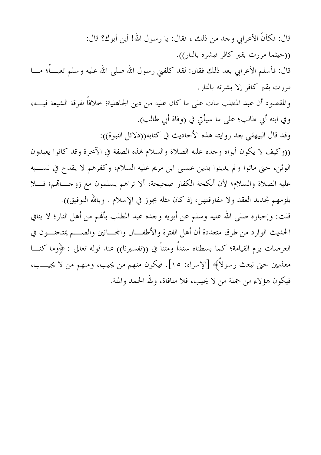قال: فكأنَّ الأعرابي وجد من ذلك ، فقال: يا رسول الله! أين أبوك؟ قال: ((حيثما مررت بقبر كافر فبشره بالنار)). قال: فأسلم الأعرابي بعد ذلك فقال: لقد كلفني رسول الله صلى الله عليه وسلم تعبــــاً؛ مــــا مررت بقبر كافر إلا بشرته بالنار. والمقصود أن عبد المطلب مات على ما كان عليه من دين الجاهلية؛ خلافاً لفرقة الشيعة فيــــه، وفي ابنه أبي طالب؛ على ما سيأتي في (وفاة أبي طالب). وقد قال البيهقي بعد روايته هذه الأحاديث في كتابه((دلائل النبوة)): ((وكيف لا يكون أبواه وجده عليه الصلاة والسلام بهذه الصفة في الآخرة وقد كانوا يعبدون الوثن، حتى ماتوا ولم يدينوا بدين عيسى ابن مريم عليه السلام، وكفرهم لا يقدح في نســـبه عليه الصلاة والسلام؛ لأن أنكحة الكفار صحيحة، ألا تراهم يسلمون مع زوجـــاقم؛ فـــلا يلزمهم تجديد العقد ولا مفارقتهن، إذ كان مثله يجوز في الإسلام . وبالله التوفيق)). قلت: وإخباره صلى الله عليه وسلم عن أبويه وحده عبد المطلب بألهم من أهل النار؛ لا ينافي الحديث الوارد من طرق متعددة أن أهل الفترة والأطفــال والمجـــانين والصـــم يمتحنـــون في العرصات يوم القيامة؛ كما بسطناه سنداً ومتناً في ((تفسيرنا)) عند قوله تعالى : ﴿وما كنـــا معذبين حتى نبعث رسولاً﴾ [الإسراء: ١٥]. فيكون منهم من يجيب، ومنهم من لا يجيـــب، فيكون هؤلاءِ من جملة من لا يجيب، فلا منافاة، ولله الحمد والمنة.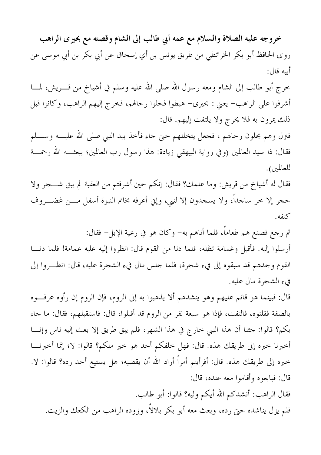خروجه عليه الصلاة والسلام مع عمه أبي طالب إلى الشام وقصته مع بحيرى الراهب روى الحافظ أبو بكر الخرائطي من طريق يونس بن أي إسحاق عن أبي بكر بن أبي موسى عن أبيه قال:

خرج أبو طالب إلى الشام ومعه رسول الله صلى الله عليه وسلم في أشياخ من قــــريش، لمــــا أشرفوا على الراهب– يعني : بحيرى– هبطوا فحلوا رحالهم، فخرج إليهم الراهب، وكانوا قبل ذلك يمرون به فلا يخرج ولا يلتفت إليهم. قال:

فترل وهم يحلون رحالهم ، فجعل يتخللهم حتى جاء فأخذ بيد النبي صلى الله عليــــه وســــلم فقال: ذا سيد العالمين (وفي رواية البيهقي زيادة: هذا رسول رب العالمين؛ يبعثــــه الله رحمــــة للعالمين).

فقال له أشياخ من قريش: وما علمك؟ فقال: إنكم حين أشرفتم من العقبة لم يبق شـــــــجر ولا حجر إلا خر ساجداً، ولا يسجدون إلا لنبي، وإني أعرفه بخاتم النبوة أسفل مـــن غضـــروف كتفه.

ثم رجع فصنع هم طعاماً، فلما أتاهم به– وكان هو في رعية الإبل– فقال: أرسلوا إليه. فأقبل وغمامة تظله، فلما دنا من القوم قال: انظروا إليه عليه غمامة! فلما دنـــا القوم وجدهم قد سبقوه إلى فيء شجرة، فلما جلس مال فيء الشجرة عليه، قال: انظـــروا إلى فيءِ الشجرة مال عليه.

قال: فبينما هو قائم عليهم وهو ينشدهم ألا يذهبوا به إلى الروم، فإن الروم إن رأوه عرفــوه بالصفة فقلتوه، فالتفت، فإذا هو سبعة نفر من الروم قد أقبلوا، قال: فاستقبلهم، فقال: ما جاء بكم؟ قالوا: جئنا أن هذا النبي خارج في هذا الشهر، فلم يبق طريق إلا بعث إليه ناس وإنـــا أخبرنا خبره إلى طريقك هذه. قال: فهل خلفكم أحد هو خير منكم؟ قالوا: لا؛ إنما أخبرنــــا خبره إلى طريقك هذه. قال: أفرأيتم أمراً أراد الله أن يقضيه؛ هل يستيع أحد رده؟ قالوا: لا. قال: فبايعوه وأقاموا معه عنده، قال: فقال الراهب: أنشدكم الله أيكم وليه؟ قالوا: أبو طالب.

فلم يزل يناشده حتى رده، وبعث معه أبو بكر بلالاً، وزوده الراهب من الكعك والزيت.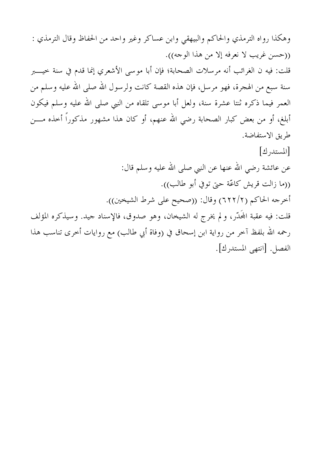وهكذا رواه الترمذي والحاكم والبيهقي وابن عساكر وغير واحد من الحفاظ وقال الترمذي : ((حسن غريب لا نعرفه إلا من هذا الوجه)). قلت: فيه ن الغرائب أنه مرسلات الصحابة؛ فإن أبا موسى الأشعري إنما قدم في سنة حيــــبر سنة سبع من الهجرة، فهو مرسل، فإن هذه القصة كانت ولرسول الله صلى الله عليه وسلم من العمر فيما ذكره ثنتا عشرة سنة، ولعل أبا موسى تلقاه من النبي صلى الله عليه وسلم فيكون أبلغ، أو من بعض كبار الصحابة رضى الله عنهم، أو كان هذا مشهور مذكوراً أخذه مــــن طريق الاستفاضة. [المستدرك] عن عائشة رضي الله عنها عن النبي صلى الله عليه وسلم قال: ((ما زالت قريش كاعّة حتى توفي أبو طالب)). أخرجه الحاكم (٢/٢٢) وقال: ((صحيح على شرط الشيخين)). قلت: فيه عقبة المُحَدَّر، ولم يخرج له الشيخان، وهو صدوق، فالإسناد جيد. وسيذكره المؤلف رحمه الله بلفظ آخر من رواية ابن إسحاق في (وفاة أبي طالب) مع روايات أخرى تناسب هذا الفصل. [انتهى المستدرك].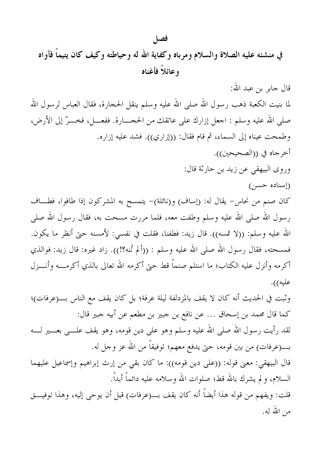# في منشئه عليه الصلاة والسلام ومرباه وكفاية الله له وحياطته وكيف كان يتيماً فآواه وعائلاً فأغناه

قال جابر بن عبد الله: لما بنيت الكعبة ذهب رسول الله صلى الله عليه وسلم ينقل الحجارة، فقال العباس لرسول الله صلى الله عليه وسلم : اجعل إزارك على عاتقك من الحجـــارة. ففعـــل، فخـــرّ إلى الأرض، وطمحت عيناه إلى السماء، ثم قام فقال: ((إزاري)). فشد عليه إزاره. أخرجاه في ((الصحيحين)). وروى البيهقى عن زيد بن حارثة قال:  $(\cdot)$ اسناده حسن) كان صنم من نحاس– يقال له: (إساف) و(نائلة)– يتمسح به المشركون إذا طافوا، فطــاف رسول الله صلى الله عليه وسلم وطفت معه، فلما مررت مسحت به، فقال رسول الله صلى الله عليه وسلم: ((لا تمسه)). قال زيد: فطفنا، فقلت في نفسي: لأمسنه حتى أنظر ما يكون. فمسحته، فقال رسول الله صلى الله عليه وسلم : ((ألم تُنه؟!)). زاد غيره: قال زيد: فوالذي أكرمه وأنزل عليه الكتاب؛ ما استلم صنماً قط حتى أكرمه الله تعالى بالذي أكرمـــه وأنـــزل عليه)).

كما قال محمد بن إسحاق … عن نافع بن جبير بن مطعم عن أبيه جبير قال: لقد رأيت رسول الله صلى الله عليه وسلم وهو على دين قومه، وهو يقف علـــي بعـــير لــــه قال البيهقي: معنى قوله: ((على دين قومه)): ما كان بقى من إرث إبراهيم وإسماعيل عليهما السلام، و لم يشرك بالله قط؛ صلوات الله وسلامه عليه دائماً أبداً. قلت: ويفهم من قوله هذا أيضاً أنه كان يقف بــــ(عرفات) قبل أن يوحى إليه، وهذا توفيــــق من الله له.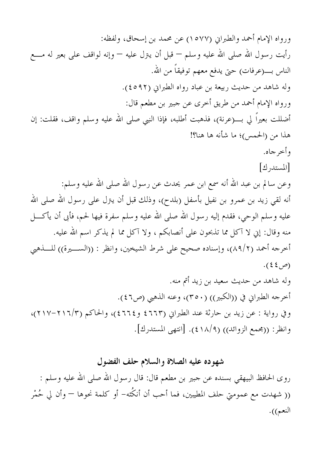ورواه الإمام أحمد والطبراني (١٥٧٧) عن محمد بن إسحاق، ولفظه: رأيت رسول الله صلى الله عليه وسلم — قبل أن يترل عليه — وإنه لواقف على بعير له مــــع وله شاهد من حديث ربيعة بن عباد رواه الطبراني (٤٥٩٢). ورواه الإمام أحمد من طريق أخرى عن جبير بن مطعم قال: أضللت بعيراً لي بــــ(عرنة)، فذهبت أطلبه، فإذا النبي صلى الله عليه وسلم واقف، فقلت: إن هذا من (الحمس)؛ ما شأنه ها هنا؟! و أخر جاه. [المستدرك] وعن سالم بن عبد الله أنه سمع ابن عمر يحدث عن رسول الله صلى الله عليه وسلم: أنه لقي زيد بن عمرو بن نفيل بأسفل (بلدح)، وذلك قبل أن يترل على رسول الله صلى الله عليه وسلم الوحي، فقدم إليه رسول الله صلى الله عليه وسلم سفرة فيها لحم، فأبي أن يأكــــل منه وقال: إني لا آكل مما تذبحون على أنصابكم ، ولا آكل مما لم يذكر اسم الله عليه. أخرجه أحمد (٨٩/٢)، وإسناده صحيح على شرط الشيخين، وانظر : ((الســـيرة)) للــــذهبي  $(\xi \xi_{\omega})$ وله شاهد من حديث سعيد بن زيد أتم منه. أخرجه الطبراني في ((الكبير)) (٣٥٠)، وعنه الذهبي (ص٢٤). وفي رواية : عن زيد بن حارثة عند الطبراني (٤٦٦٣ و٢١٢٤)، والحاكم (٢١٦/٣-٢١٧)، وانظر: ((مجمع الزوائد)) (٤١٨/٩). [انتهى المستدرك].

### شهوده عليه الصلاة والسلام حلف الفضول

روى الحافظ البيهقي بسنده عن جبير بن مطعم قال: قال رسول الله صلى الله عليه وسلم : (( شهدت مع عمومتي حلف المطيبين، فما أحب أن أنكُثه– أو كلمة نحوها — وأن لي حُمْر النعم)).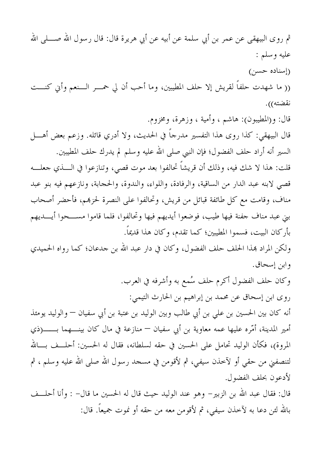ثم روى البيهقي عن عمر بن أبي سلمة عن أبيه عن أبي هريرة قال: قال رسول الله صـــــلى الله عليه وسلم :  $(\omega)$ اسناده حسن) (( ما شهدت حلفاً لقريش إلا حلف المطيبين، وما أحب أن لي حمــــر الــــنعم وأبي كنــــت نقضته)). قال: و(المطيبون): هاشم ، وأمية ، وزهرة، ومخزوم. قال البيهقي: كذا روى هذا التفسير مدرجاً في الحديث، ولا أدري قائله. وزعم بعض أهــــل السير أنه أراد حلف الفضول؛ فإن النبي صلى الله عليه وسلم لم يدرك حلف المطيبين. قلت: هذا لا شك فيه، وذلك أن قريشاً تحالفوا بعد موت قصي، وتنازعوا في الــــذي جعلــــه قصى لابنه عبد الدار من الساقية، والرفادة، واللواء، والندوة، والحجابة، ونازعهم فيه بنو عبد مناف، وقامت مع كل طائفة قبائل من قريش، وتحالفوا على النصرة لحزهم، فأحضر أصحاب بني عبد مناف جفنة فيها طيب، فوضعوا أيديهم فيها وتحالفوا، فلما قاموا مســـحوا أيــــديهم بأركان البيت، فسموا المطيبين؛ كما تقدم، وكان هذا قديماً. ولكن المراد هذا الحلف حلف الفضول، وكان في دار عبد الله بن جدعان؛ كما رواه الحميدي وابن إسحاق. وكان حلف الفضول أكرم حلف سُمع به وأشرفه في العرب. روى ابن إسحاق عن محمد بن إبراهيم بن الحارث التيمي: أنه كان بين الحسين بن على بن أبي طالب وبين الوليد بن عتبة بن أبي سفيان — والوليد يومئذ أمير المدينة، أمّره عليها عمه معاوية بن أبي سفيان — منازعة في مال كان بينــــهما بــــــــــــــــــــــــــــ المروة)، فكأن الوليد تحامل على الحسين في حقه لسلطانه، فقال له الحسين: أحلــف بـــالله لتنصفني من حقي أو لآخذن سيفي، ثم لأقومن في مسحد رسول الله صلى الله عليه وسلم ، ثم لأدعون بحلف الفضول. قال: فقال عبد الله بن الزبير– وهو عند الوليد حيث قال له الحسين ما قال– : وأنا أحلــف بالله لئن دعا به لآخذن سيفي، ثم لأقومن معه من حقه أو نموت جميعاً. قال: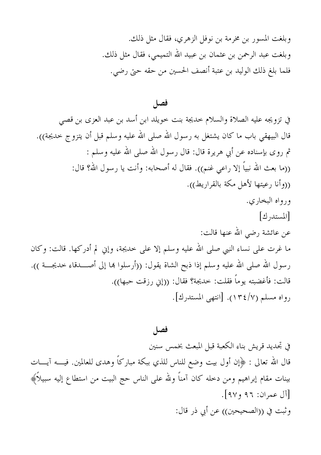وبلغت المسور بن مخرمة بن نوفل الزهري، فقال مثل ذلك. وبلغت عبد الرحمن بن عثمان بن عبيد الله التميمي، فقال مثل ذلك. فلما بلغ ذلك الوليد بن عتبة أنصف الحسين من حقه حتى رضي.

#### فصا

في تزويجه عليه الصلاة والسلام حديجة بنت حويلد ابن أسد بن عبد العزى بن قصى قال البيهقي باب ما كان يشتغل به رسول الله صلى الله عليه وسلم قبل أن يتزوج حديجة)). ثم روى بإسناده عن أبي هريرة قال: قال رسول الله صلى الله عليه وسلم : ((ما بعث الله نبياً إلا راعي غنم)). فقال له أصحابه: وأنت يا رسول الله؟ قال: ((وأنا رعيتها لأهل مكة بالقراريط)). ورواه البخاري. |المستدرك| عن عائشة رضي الله عنها قالت: ما غرت على نساء النبي صلى الله عليه وسلم إلا على خديجة، وإنى لم أدركها. قالت: وكان رسول الله صلى الله عليه وسلم إذا ذبح الشاة يقول: ((أرسلوا هِما إلى أصــــدقاء خديجـــة )). قالت: فأغضبته يوماً فقلت: خديجة؟ فقال: ((إين رزقت حبها)). رواه مسلم (١٣٤/٧). [انتهى المستدرك].

### فصل

في تحديد قريش بناء الكعبة قبل المبعث بخمس سنين قال الله تعالى : ﴿إِن أَول بيت وضع للناس للذي ببكة مباركاً وهدى للعالمين. فيــــه آيــــات بينات مقام إبراهيم ومن دحله كان آمناً ولله على الناس حج البيت من استطاع إليه سبيلاً﴾ [آل عمران: ٩٦ و٩٧]. وثبت في ((الصحيحين)) عن أبي ذر قال: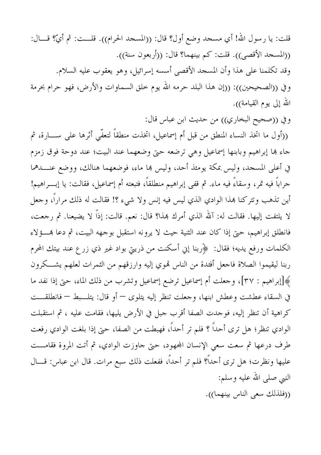قلت: يا رسول الله! أي مسجد وضع أول؟ قال: ((المسجد الحرام)). قلـــت: ثم أيٌّ؟ قـــال: ((المسجد الأقصى)). قلت: كم بينهما؟ قال: ((أربعون سنة)). وقد تكلمنا على هذا وأن المسحد الأقصى أسسه إسرائيل، وهو يعقوب عليه السلام. وفي ((الصحيحين)): ((إن هذا البلد حرمه الله يوم خلق السماوات والأرض، فهو حرام بحرمة الله إلى يوم القيامة)).

وفي ((صحيح البخاري)) من حديث ابن عباس قال:

((أول ما اتخذ النساء المنطق من قبل أم إسماعيل، اتخذت منطقاً لتعفّي أثرها على ســـارة، ثم جاء ها إبراهيم وبابنها إسماعيل وهي ترضعه حتى وضعهما عند البيت؛ عند دوحة فوق زمزم في أعلى المسحد، وليس بمكة يومئذ أحد، وليس هما ماء، فوضعهما هنالك، ووضع عنــــدهما جراباً فيه تمر، وسقاءً فيه ماء. ثم قفي إبراهيم منطلقاً، فتبعته أم إسماعيل، فقالت: يا إبـــراهيم! أين تذهب وتتركنا بمذا الوادي الذي ليس فيه إنس ولا شيء ؟! فقالت له ذلك مرارًا، وجعل لا يلتفت إليها. فقالت له: آلله الذي أمرك بمذا؟ قال: نعم. قالت: إذاً لا يضيعنا. ثم رجعت، فانطلق إبراهيم، حتى إذا كان عند الثنية حيث لا يرونه استقبل بوجهه البيت، ثم دعا بِمسؤلاءِ الكلمات ورفع يديه؛ فقال: ﴿وبنا إِنِي أَسْكَنت من ذريتي بواد غير ذي زرع عند بيتك المحرم ربنا ليقيموا الصلاة فاجعل أفئدة من الناس تموي إليه وارزقهم من الثمرات لعلهم يشـــكرون ﴾[إبراهيم : ٣٧]، وجعلت أم إسماعيل ترضع إسماعيل وتشرب من ذلك الماء، حتى إذا نفد ما في السقاء عطشت وعطش ابنها، وجعلت تنظر إليه يتلوى — أو قال: يتلــبط — فانطلقـــت كراهية أن تنظر إليه، فوجدت الصفا أقرب جبل في الأرض يليها، فقامت عليه ، ثم استقبلت الوادي تنظر؛ هل ترى أحداً ؟ فلم تر أحداً، فهبطت من الصفا، حتى إذا بلغت الوادي رفعت طرف درعها ثم سعت سعى الإنسان المجهود، حتى جاوزت الوادي، ثم أتت المروة فقامـــت عليها ونظرت؛ هل ترى أحداً؟ فلم تر أحداً، ففعلت ذلك سبع مرات. قال ابن عباس: قـــال النبي صلى الله عليه وسلم: ((فلذلك سعى الناس بينهما)).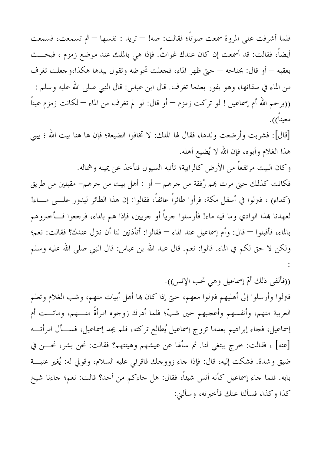فلما أشرفت على المروة سمعت صوتاً؛ فقالت: صه! – تريد : نفسها – ثم تسمعت، فسمعت أيضاً، فقالت: قد أسمعت إن كان عندك غواثٌ. فإذا هي بالملك عند موضع زمزم ، فبحـــث بعقبه — أو قال: بجناحه — حتى ظهر الماء، فجعلت تحوضه وتقول بيدها هكذا،وجعلت تغرف من الماء في سقائها، وهو يفور بعدما تغرف. قال ابن عباس: قال النبي صلى الله عليه وسلم : ((يرحم الله أم إسماعيل ! لو تركت زمزم — أو قال: لو لم تغرف من الماء — لكانت زمزم عيناً معيناً)).

[قال]: فشربت وأرضعت ولدها، فقال لها الملك: لا تخافوا الضيعة؛ فإن ها هنا بيت الله ؛ يبني هذا الغلام وأبوه، فإن الله لا يُضيع أهله.

وكان البيت مرتفعاً من الأرض كالرابية؛ تأتيه السيول فتأخذ عن يمينه وشماله.

فكانت كذلك حتى مرت بمم رُفقة من جرهم — أو : أهل بيت من جرهم– مقبلين من طريق (كداء) ، فترلوا في أسفل مكة، فرأوا طائراً عائفاً، فقالوا: إن هذا الطائر ليدور علــــى مــــاء! لعهدنا بهذا الوادي وما فيه ماء! فأرسلوا جرياً أو جريين، فإذا هم بالماء، فرجعوا فـــأحبروهم بالماء، فأقبلوا — قال: وأم إسماعيل عند الماء — فقالوا: أتأذنين لنا أن نترل عندك؟ فقالت: نعم؛ ولكن لا حق لكم في الماء. قالوا: نعم. قال عبد الله بن عباس: قال النبي صلى الله عليه وسلم

((فألفي ذلك أمّ إسماعيل وهي تحب الإنس)).

فترلوا وأرسلوا إلى أهليهم فترلوا معهم، حتى إذا كان هما أهل أبيات منهم، وشب الغلام وتعلم العربية منهم، وأنفسهم وأعجبهم حين شبّ؛ فلما أدرك زوجوه امرأةً منــــهم، وماتـــت أم إسماعيل، فجاء إبراهيم بعدما تزوج إسماعيل يُطالع تركته، فلم يجد إسماعيل، فســـأل امرأتــــه [عنه] ، فقالت: خرج يبتغي لنا. ثم سألها عن عيشهم وهيئتهم؟ فقالت: نحن بشر، نحــــن في ضيق وشدة. فشكت إليه، قال: فإذا جاء زووجك فاقرئي عليه السلام، وقولي له: يُغير عتبـــة بابه. فلما جاء إسماعيل كأنه أنس شيئاً، فقال: هل جاءكم من أحد؟ قالت: نعم؛ جاءنا شيخ كذا وكذا، فسألنا عنك فأحبرته، وسألبي: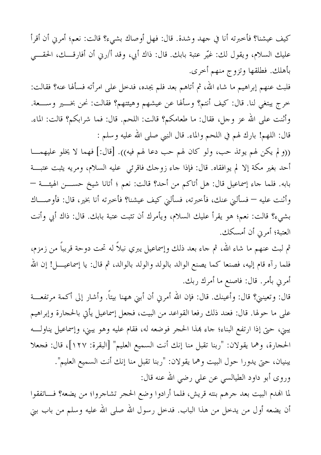كيف عيشنا؟ فأخبرته أنا في جهد وشدة. قال: فهل أوصاك بشيء؟ قالت: نعم؛ أمرني أن أقرأ عليك السلام، ويقول لك: غيّر عتبة بابك. قال: ذاك أبي، وقد أ/رني أن أفارقـــك، الحقـــي بأهلك. فطلقها وتزوج منهم أخرى.

فلبث عنهم إبراهيم ما شاء الله، ثم أتاهم بعد فلم يجده، فدخل على امرأته فسألها عنه؟ فقالت: خرج يبتغي لنا. قال: كيف أنتم؟ وسألها عن عيشهم وهيئتهم؟ فقالت: نحن بخــــير وســــعة. وأثنت على الله عز وحل، فقال: ما طعامكم؟ قالت: اللحم. قال: فما شرابكم؟ قالت: الماء. قال: اللهم! بارك لهم في اللحم والماء. قال النبي صلى الله عليه وسلم :

((و لم يكن لهم يوئذ حب، ولو كان لهم حب دعا لهم فيه)). [قال:] فهما لا يخلو عليهمـــا أحد بغير مكة إلا لم يوافقاه. قال: فإذا جاء زوجك فاقرئي عليه السلام، ومريه يثبت عتبـــة بابه. فلما جاء إسماعيل قال: هل أتاكم من أحد؟ قالت: نعم ؛ أتانا شيخ حســــن الهيئــــة — وأثنت عليه — فسألني عنك، فأحبرته، فسألني كيف عيشنا؟ فأحبرته أنا بخير، قال: فأوصـــاك بشيء؟ قالت: نعم؛ هو يقرأ عليك السلام، ويأمرك أن تثبت عتبة بابك. قال: ذاك أبي وأنت العتبة؛ أمرني أن أمسكك.

ثم لبث عنهم ما شاء الله، ثم جاء بعد ذلك وإسماعيل يبري نبلاً له تحت دوحة قريباً من زمزم، فلما رآه قام إليه، فصنعا كما يصنع الوالد بالولد والولد بالوالد، ثم قال: يا إسماعيــــل! إن الله أمرني بأمر. قال: فاصنع ما أمرك ربك.

قال: وتعينيْ؟ قال: وأعينك. قال: فإن الله أمرني أن أبني ههنا بيتاً. وأشار إلى أكمة مرتفعـــة على ما حولها. قال: فعند ذلك رفعا القواعد من البيت، فحعل إسماعيل يأتي بالححارة وإبراهيم يبني، حتى إذا ارتفع البناء؛ جاء بهذا الحجر فوضعه له، فقام عليه وهو يبني، وإسماعيل يناولـــه الحجارة، وهما يقولان: "ربنا تقبل منا إنك أنت السميع العليم" [البقرة: ١٢٧]، قال: فجعلا يبنيان، حتى يدورا حول البيت وهما يقولان: "ربنا تقبل منا إنك أنت السميع العليم". وروى أبو داود الطيالسي عن على رضي الله عنه قال:

لما الهدم البيت بعد جرهم بنته قريش، فلما أرادوا وضع الحجر تشاجروا؛ من يضعه؟ فـــاتفقوا أن يضعه أول من يدخل من هذا الباب. فدخل رسول الله صلى الله عليه وسلم من باب بني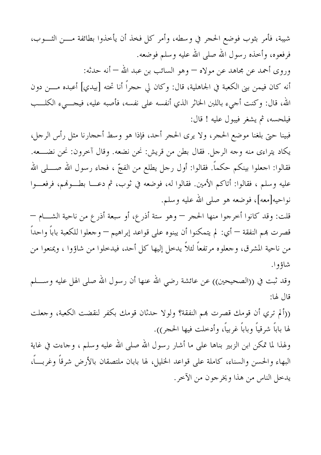شيبة، فأمر بثوب فوضع الحجر في وسطه، وأمر كل فخذ أن يأخذوا بطائفة مـــن الثــــوب، فرفعوه، وأخذه رسول الله صلى الله عليه وسلم فوضعه. وروى أحمد عن مجاهد عن مولاه — وهو السائب بن عبد الله — أنه حدثه: أنه كان فيمن بني الكعبة في الجاهلية، قال: وكان لي حجراً أنا تحته [بيدي] أعبده مــــن دون الله، قال: وكنت أجيء باللبن الخاثر الذي أنفسه على نفسه، فأصبه عليه، فيحـــيء الكلـــب فيلحسه، ثم يشغر فيبول عليه ! قال:

فبينا حتى بلغنا موضع الحجر، ولا يرى الحجر أحد، فإذا هو وسط أحجارنا مثل رأس الرجل، يكاد يتراءى منه وجه الرجل. فقال بطن من قريش: نحن نضعه. وقال آخرون: نحن نضــــعه. فقالوا: اجعلوا بينكم حكماً. فقالوا: أول رجل يطلع من الفجّ ، فجاء رسول الله صــــلى الله عليه وسلم ، فقالوا: أتاكم الأمين. فقالوا له، فوضعه في ثوب، ثم دعـــا بطـــولهم، فرفعــــوا نواحيه[معه]، فوضعه هو صلى الله عليه وسلم.

قلت: وقد كانوا أخرجوا منها الحجر — وهو ستة أذرع، أو سبعة أذرع من ناحية الشــــام — قصرت هم النفقة — أي: لم يتمكنوا أن يبنوه على قواعد إبراهيم — وجعلوا للكعبة باباً واحداً من ناحية المشرق، وجعلوه مرتفعاً لئلاً يدخل إليها كل أحد، فيدخلوا من شاؤوا ، ويمنعوا من شاؤ و ا.

وقد ثبت في ((الصحيحين)) عن عائشة رضي الله عنها أن رسول الله صلى الهل عليه وســــلم قال لها:

((ألم تري أن قومك قصرت بهم النفقة؟ ولولا حدثان قومك بكفر لنقضت الكعبة، وجعلت لها باباً شرقياً وباباً غربياً، وأدخلت فيها الحجر)).

ولهذا لما تمكن ابن الزبير بناها على ما أشار رسول الله صلى الله عليه وسلم ، وجاءت في غاية البهاء والحسن والسناء، كاملة على قواعد الخليل، لها بابان ملتصقان بالأرض شرقاً وغربـــاً، يدخل الناس من هذا ويخرجون من الآخر .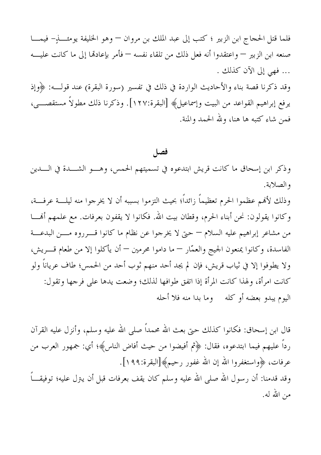صنعه ابن الزبير — واعتقدوا أنه فعل ذلك من تلقاء نفسه — فأمر بإعادقما إلى ما كانت عليــــه … فهي إلى الآن كذلك . وقد ذكرنا قصة بناء والأحاديث الواردة في ذلك في تفسير (سورة البقرة) عند قولــــه: ﴿وإذ

يرفع إبراهيم القواعد من البيت وإسماعيل﴾ [البقرة:٢٧]. وذكرنا ذلك مطولاً مستقصــــي، فمن شاء كتبه ها هنا، ولله الحمد والمنة.

#### فصل

وذكر ابن إسحاق ما كانت قريش ابتدعوه في تسميتهم الحمس، وهــو الشـــدة في الـــدين والصلابة.

وذلك لألهم عظموا الحرم تعظيماً زائداً؛ بحيث التزموا بسببه أن لا يخرجوا منه ليلــــة عرفـــة، وكانوا يقولون: نحن أبناء الحرم، وقطان بيت الله. فكانوا لا يقفون بعرفات. مع علمهم أفمـــا من مشاعر إبراهيم عليه السلام — حتى لا يخرجوا عن نظام ما كانوا قـــرروه مـــن البدعـــة الفاسدة، وكانوا يمنعون الجيج والعمّار — ما داموا محرمين — أن يأكلوا إلا من طعام قــــريش، ولا يطوفوا إلا في ثياب قريش، فإن لم يجد أحد منهم ثوب أحد من الحمس؛ طاف عرياناً ولو كانت امرأة، ولهذا كانت المرأة إذا اتفق طوافها لذلك؛ وضعت يدها على فرجها وتقول: اليوم يبدو بعضه أو كله \_ وما بدا منه فلا أحله

قال ابن إسحاق: فكانوا كذلك حتى بعث الله محمداً صلى الله عليه وسلم، وأنزل عليه القرآن رداً عليهم فيما ابتدعوه، فقال: ﴿ ثُمَّ أَفِيضُوا من حيث أفاض الناس﴾؛ أي: جمهور العرب من عرفات، ﴿وَاسْتَغْفَرُوا اللهُ إِنَّ اللهُ غَفُورٌ رَحِيمٌ﴾[البقرة:٩٩١]. وقد قدمنا: أن رسول الله صلى الله عليه وسلم كان يقف بعرفات قبل أن يترل عليه؛ توفيقـــاً من الله له.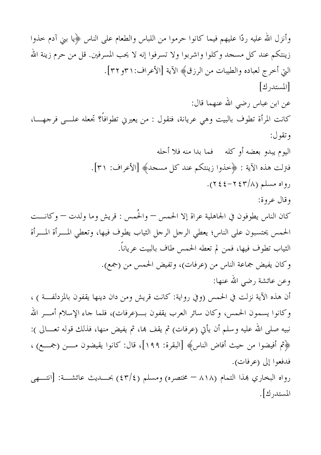وأنزل الله عليه ردًّا عليهم فيما كانوا حرموا من اللباس والطعام على الناس ﴿يا بني آدم خذوا زينتكم عند كل مسحد وكلوا واشربوا ولا تسرفوا إنه لا يحب المسرفين. قل من حرم زينة الله التي أخرج لعباده والطيبات من الرزق﴾ الآية [الأعراف: ٢٦و ٣٢]. [المستدرك] عن ابن عباس رضي الله عنهما قال: كانت المرأة تطوف بالبيت وهي عريانة، فتقول : من يعيرني تطوافاً؟ تجعله علــــي فرجهــــا، و تقو ل: اليوم يبدو بعضه أو كله \_ فما بدا منه فلا أحله فترلت هذه الآية : ﴿عَخْدُوا زِينتِكُمْ عَنْدْ كُلِّ مُسْجَدَ﴾ [الأعراف: ٣١]. رواه مسلم (٢٤٢/٨). وقال عروة: كان الناس يطوفون في الجاهلية عراة إلا الحمس — والحُمس : قريش وما ولدت — وكانـــت الحمس يحتسبون على الناس؛ يعطي الرجل الرجل الثياب يطوف فيها، وتعطي المسرأة المسرأة الثياب تطوف فيها، فمن لم تعطه الحمس طاف بالبيت عرياناً. وكان يفيض جماعة الناس من (عرفات)، وتفيض الحمس من (جمع). وعن عائشة رضى الله عنها: أن هذه الآية نزلت في الحمس (وفي رواية: كانت قريش ومن دان دينها يقفون بالمزدلفة ) ، وكانوا يسمون الحمس، وكان سائر العرب يقفون بــــ(عرفات)، فلما جاء الإسلام أمــــر الله نبيه صلى الله عليه وسلم أن يأتي (عرفات) ثم يقف هما، ثم يفيض منها، فذلك قوله تعـــالى ): ﴿قُمْ أَفِيضُوا مَن حِيثَ أَفَاضِ النَّاسِ﴾ [البقرة: ١٩٩]، قال: كانوا يقيضون مــــن (جمــــع) ، فدفعوا إلى (عرفات). رواه البخاري بهذا التمام (٨١٨ – مختصره) ومسلم (٤٣/٤) بحـــديث عائشـــة: [انتـــهي المستدرك].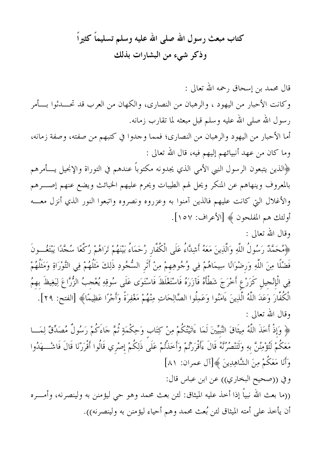# كتاب مبعث رسول الله صلى الله عليه وسلم تسليماً كثيراً وذكر شيء من البشارات بذلك

قال محمد بن إسحاق رحمه الله تعالى : وكانت الأحبار من اليهود ، والرهبان من النصارى، والكهان من العرب قد تحـــدثوا بـــأمر رسول الله صلى الله عليه وسلم قبل مبعثه لما تقارب زمانه. أما الأحبار من اليهود والرهبان من النصارى؛ فمما وجدوا في كتبهم من صفته، وصفة زمانه، وما كان من عهد أنبيائهم إليهم فيه، قال الله تعالى : ﴿الذين يتبعون الرسول النبي الأمي الذي يجدونه مكتوباً عندهم في التوراة والإنحيل يـــأمرهم بالمعروف وينهاهم عن المنكر ويحل لهم الطيبات ويحرم عليهم الخبائث ويضع عنهم إصـــرهم والأغلال التي كانت عليهم فالذين آمنوا به وعزروه ونصروه واتبعوا النور الذي أنزل معـــه أولئك هم المفلحون ﴾ [الأعراف: ١٥٧]. وقال الله تعالى : ﴿مُعَمَّدٌ رَسُولُ اللَّهِ وَالَّذِينَ مَعَهُ أَشِدَّاءُ عَلَى الْكُفَّارِ رُحَمَاءُ بَيْنَهُمْ تَرَاهُمْ رُكَّعًا سُجَّدًا يَبْتَغُــونَ فَضْلًا مِنَ اللَّهِ وَرضُوَانًا سِيمَاهُمْ فِي وُجُوهِهِمْ مِنْ أَثَرِ السُّجُودِ ذَلِكَ مَثَلُهُمْ فِي التَّوْرَاةِ وَمَثَلُهُمْ فِي الْإِنْجِيلِ كَزَرْ عِ أَخْرَجَ شَطْأَهُ فَآزَرَهُ فَاسْتَغْلَظَ فَاسْتَوَى عَلَى سُوقِهِ يُعْجبُ الزُّرَّاعَ لِيَغِيظَ بهمُ الْكُفَّارَ وَعَدَ اللَّهُ الَّذِينَ ءَامَنُوا وَعَمِلُوا الصَّالِحَاتِ مِنْهُمْ مَغْفِرَةً وَأَجْرًا عَظِيمًا﴾ [الفتح: ٢٩]. وقال الله تعالى : ﴿ وَإِذْ أَخَذَ اللَّهُ مِيثَاقَ النَّبَيِّينَ لَمَا ءَاتَيْتُكُمْ مِنْ كِتَابٍ وَحِكْمَةٍ ثُمَّ جَاءَكُمْ رَسُولٌ مُصَدِّقٌ لِمَـــا مَعَكُمْ لَتُؤْمِنُنَّ بِهِ وَلَتَنْصُرُنَّهُ قَالَ ءَأَقْرَرْتُمْ وَأَخَذْتُمْ عَلَى ذَلِكُمْ إصْري قَالُوا أَقْرَرْنَا قَالَ فَاشْــهَدُوا وَأَنَا مَعَكُمْ مِنَ الشَّاهِدِينَ ﴾[آل عمران: ٨١] وفي ((صحيح البخاري)) عن ابن عباس قال: ((ما بعث الله نبياً إذا أحذ عليه الميثاق: لئن بعث محمد وهو حي ليؤمنن به ولينصرنه، وأمــــره أن يأخذ على أمته الميثاق لئن بُعث محمد وهم أحياء ليؤمنن به ولينصرنه)).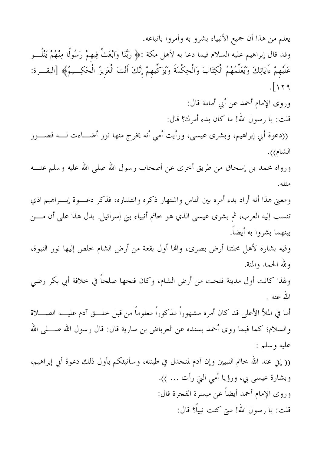يعلم من هذا أن جميع الأنبياء بشرو به وأمروا باتباعه. وقد قال إبراهيم عليه السلام فيما دعا به لأهل مكة :﴿ رَبَّنَا وَابْعَتْ فِيهِمْ رَسُولًا مِنْهُمْ يَتْلُـــو عَلَيْهِمْ ءَايَاتِكَ وَيُعَلِّمُهُمُ الْكِتَابَ وَالْحِكْمَةَ وَيُزَكِّيهِمْ إِنَّكَ أَنْتَ الْعَزِيزُ الْحَكِــيمُ﴾ [البقـــرة:  $\lceil \cdot \rceil$ وروى الإمام أحمد عن أبي أمامة قال: قلت: يا رسول الله! ما كان بدء أمرك؟ قال: ((دعوة أبي إبراهيم، وبشرى عيسى، ورأيت أمى أنه يخرج منها نور أضــــاءت لــــه قصــــور الشام)). ورواه محمد بن إسحاق من طريق أخرى عن أصحاب رسول الله صلى الله عليه وسلم عنــــه مثله. ومعنى هذا أنه أراد بدء أمره بين الناس واشتهار ذكره وانتشاره، فذكر دعـــوة إبـــراهيم اذي تنسب إليه العرب، ثم بشرى عيسى الذي هو خاتم أنبياء بني إسرائيل. يدل هذا على أن مــــن بينهما بشروا به أيضاً. وفيه بشارة لأهل محلتنا أرض بصرى، والها أول بقعة من أرض الشام خلص إليها نور النبوة، ولله الحمد والمنة. ولهذا كانت أول مدينة فتحت من أرض الشام، وكان فتحها صلحاً في خلافة أبي بكر رضي الله عنه . أما في الملأ الأعلى قد كان أمره مشهوراً مذكوراً معلوماً من قبل خلـــق آدم عليـــه الصــــلاة والسلام؛ كما فيما روى أحمد بسنده عن العرباض بن سارية قال: قال رسول الله صــــلى الله عليه وسليع : (( إني عند الله حاتم النبيين وإن آدم لمنحدل في طينته، وسأنبئكم بأول ذلك دعوة أبي إبراهيم، وبشارة عيسى بي، ورؤيا أمي التي رأت … )). وروى الإمام أحمد أيضاً عن ميسرة الفجرة قال: قلت: يا رسول الله! متى كنت نبياً؟ قال: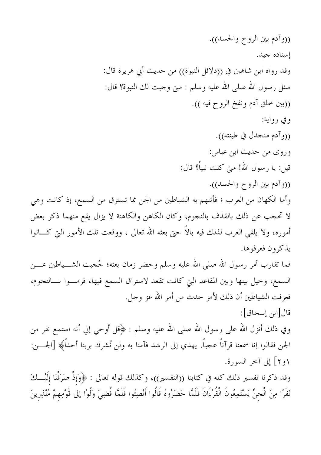((وأدم بين الروح والجسد)). إسناده جيد. وقد رواه ابن شاهين في ((دلائل النبوة)) من حديث أبي هريرة قال: سئل رسول الله صلى الله عليه وسلم : متى وجبت لك النبوة؟ قال: ((بين خلق أدم ونفخ الروح فيه )). وفي رواية: ((وأدم منجدل في طينته)). وروى من حديث ابن عباس: قيل: يا رسول الله! متى كنت نبياً؟ قال: ((وأدم بين الروح والجسد)). وأما الكهان من العرب ؛ فأتتهم به الشياطين من الجن مما تسترق من السمع، إذ كانت وهي لا تحجب عن ذلك بالقذف بالنجوم، وكان الكاهن والكاهنة لا يزال يقع منهما ذكر بعض أموره، ولا يلقى العرب لذلك فيه بالاً حتى بعثه الله تعالى ، ووقعت تلك الأمور التي كــــانوا يذكرون فعرفوها. فما تقارب أمر رسول الله صلى الله عليه وسلم وحضر زمان بعثه؛ حُجبت الشـــياطين عــــن السمع، وحيل بينها وبين المقاعد التي كانت تقعد لاستراق السمع فيها، فرمــوا بــالنجوم، فعرفت الشياطين أن ذلك لأمر حدث من أمر الله عز وجل. قال[ابن إسحاق]: وفي ذلك أنزل الله على رسول الله صلى الله عليه وسلم : ﴿قُلْ أُوحَى إِلَي أنه استمع نفر من الجن فقالوا إنا سمعنا قرآناً عجباً. يهدي إلى الرشد فآمنا به ولن نُشرك بربنا أحداً﴾ [الجــــن: ١و٢] إلى آخر السورة. وقد ذكرنا تفسير ذلك كله في كتابنا ((التفسير))، وكذلك قوله تعالى : ﴿وَإِذْ صَرَفْنَا إِلَيْـــكَ نَفَرًا مِنَ الْحِنِّ يَسْتَمِعُونَ الْقُرْءَانَ فَلَمَّا حَضَرُوهُ قَالُوا أَنْصِتُوا فَلَمَّا قُضِيَ وَلَّوْا إلى قَوْمِهِمْ مُنْذِرينَ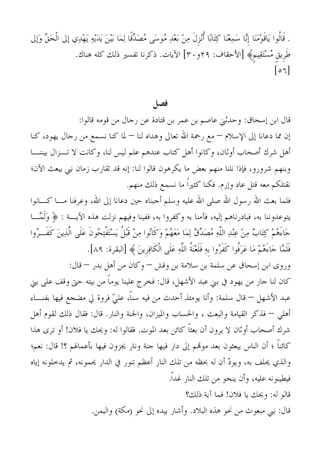. قَالُوا يَاقَوْمَنَا إِنَّا سَمِعْنَا كِتَابًا أُنْزِلَ مِنْ بَعْدِ مُوسَى مُصَدِّقًا لِمَا بَيْنَ يَدَيْهِ يَهْدِي إلى الْحَقِّ وَإلى طَرِيقِ مُسْتَقِيمٍ﴾ [الأحقاف: ٢٩و٣٠] الآيات. ذكرنا تفسير ذلك كله هناك.  $\lceil \circ \tau \rceil$ 

#### فصا

قال ابن إسحاق: وحدثني عاصم بن عمر بن قتادة عن رجال من قومه قالوا: إن مما دعانا إلى الإسلام — مع رحمة الله تعالى وهداه لنا — لما كنا نسمع من رجال يهود، كنا أهل شرك أصحاب أوثان، وكانوا أهل كتاب عندهم علم ليس لنا، وكانت لا تــزال بيننـــا وبنهم شرورو، فإذا نلنا منهم بعض ما يكرهون قالوا لنا: إنه قد تقارب زمان نبي يبعث الآن؛ نقتلكم معه قتل عاد وإرم. فكنا كثيراً ما نسمع ذلك منهم.

فلما بعث الله رسول الله صلى الله عليه وسلم أجبناه حين دعانا إلى الله، وعرفنا مـــا كــــانوا يتوعدوننا به، فبادرناهم إليه، فأمنا به وكفروا به، ففينا وفيهم نزلت هذه الآيـــة : ﴿ وَلَمَّـــا جَاءَهُمْ كِتَابٌ مِنْ عِنْدِ اللَّهِ مُصَدِّقٌ لِمَا مَعَهُمْ وَكَانُوا مِنْ قَبْلُ يَسْتَفْتِحُونَ عَلَى الَّذِينَ كَفَــرُوا فَلَمَّا جَاءَهُمْ مَا عَرَفُوا كَفَرُوا بِهِ فَلَعْنَةُ اللَّهِ عَلَى الْكَافِرِينَ ﴾ [البقرة: ٨٩].

وروى ابن إسحاق عن سلمة بن سلامة بن وقش — وكان من أهل بدر — قال: كان لنا جار من يهود في بني عبد الأشهل، قال: فخرج علينا يوماً من بيته حتى وقف على بنى عبد الأشهل — قال سلمة: وأنا يومئذ أحدث من فيه سناً، علىّ فروة لي مضحع فيها بفنـــاء أهلي — فذكر القيامة والبعث ، والحساب والميزان، والجنة والنار. قال: فقال ذلك لقوم أهل شرك أصحاب أوثان لا يرون أن بعثاً كائن بعد الموت. فقالوا له: ويحك يا فلان! أو ترى هذا كائناً ؛ أن الناس يبعثون بعد موقمم إلى دار فيها جنة ونار يجزون فيها بأعمالهم ؟! قال: نعم؛ والذي يحلف به، ويودُّ أن له بحظه من تلك النار أعظم تنور في الدار يحمونه، ثم يدخلونه إياه فيطينونه عليه، وأن ينجو من تلك النار غداً.

قالو له: ويحك يا فلان! فما آية ذلك؟

قال: نبي مبعوث من نحو هذه البلاد. وأشار بيده إلى نحو (مكة) واليمن.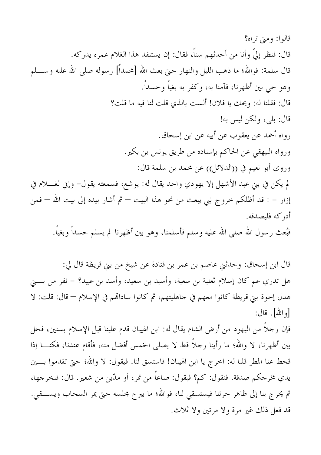قالوا: ومتى تراه؟ قال: فنظر إليَّ وأنا من أحدثهم سناً، فقال: إن يستنفد هذا الغلام عمره يدركه. قال سلمة: فوالله؛ ما ذهب الليل والنهار حتى بعث الله [محمداً] رسوله صلى الله عليه وســــلم وهو حي بين أظهرنا، فآمنا به، وكفر به بغياً وحسداً. قال: فقلنا له: ويحك يا فلان! ألست بالذي قلت لنا فيه ما قلت؟ قال: بلي، ولكن ليس به! رواه أحمد عن يعقوب عن أبيه عن ابن إسحاق. ورواه البيهقي عن الحاكم بإسناده من طريق يونس بن بكير. وروى أبو نعيم في ((الدلائل)) عن محمد بن سلمة قال: لم يكن في بني عبد الأشهل إلا يهودي واحد يقال له: يوشع، فسمعته يقول– وإني لغــــلام في إزار – : قد أظلكم خروج نبي يبعث من نحو هذا البيت — ثم أشار بيده إلى بيت الله — فمن أدركه فليصدقه. فُبُعتْ رسول الله صلى الله عليه وسلم فأسلمنا، وهو بين أظهرنا لم يسلم حسداً وبغياً.

قال ابن إسحاق: وحدثني عاصم بن عمر بن قتادة عن شيخ من بني قريظة قال لي: هل تدري عـم كـان إسلام ثعلبة بن سعبة، وأسيد بن سعيد، وأسد بن عبيد؟ – نفر من بـــــني هدل إخوة بني قريظة كانوا معهم في جاهليتهم، ثم كانوا سادالهم في الإسلام — قال: قلت: لا [والله]. قال:

فإن رحلاً من اليهود من أرض الشام يقال له: ابن الهيبان قدم علينا قبل الإسلام بسنين، فحل بين أظهرنا، لا والله؛ ما رأينا رجلاً قط لا يصلي الخمس أفضل منه، فأقام عندنا، فكنــــا إذا قحط عنا المطر قلنا له: اخرج يا ابن الهيبان! فاستسق لنا. فيقول: لا والله؛ حتى تقدموا بـــين يدي مخرجكم صدقة. فنقول: كم؟ فيقول: صاعاً من تمر، أو مدّين من شعير. قال: فنخرجها، ثم يخرج بنا إلى ظاهر حرتنا فيستسقى لنا، فوالله؛ ما يبرح مجلسه حتى يمر السحاب ويســـقى. قد فعل ذلك غير مرة ولا مرتين ولا ثلاث.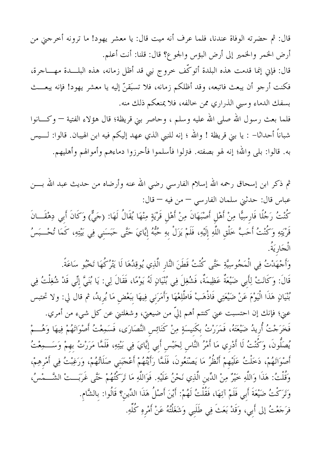قال: ثم حضرته الوفاة عندنا، فلما عرف أنه ميت قال: يا معشر يهود! ما ترونه أخرجني من أرض الخمر والخمير إلى أرض البؤس والجوع؟ قال: قلنا: أنت أعلم. قال: فإني إنما قدمت هذه البلدة أتوكَّف خروج نبي قد أظل زمانه، هذه البلـــدة مهــــاجرة، فكنت أرجو أن يبعث فاتبعه، وقد أظلكم زمانه، فلا تسبَقنَّ إليه يا معشر يهود! فإنه يبعـــث بسفك الدماء وسبي الذراري ممن حالفه، فلا يمنعكم ذلك منه. فلما بعث رسول الله صلى الله عليه وسلم ، وحاصر بني قريظة؛ قال هؤلاء الفتية — وكــــانوا شباناً أحداثا– : يا بني قريظة ! والله ؛ إنه للنبي الذي عهد إليكم فيه ابن الهيبان. قالوا: لــــيس به. قالوا: بلي والله؛ إنه لهو بصفته. فترلوا فأسلموا فأحرزوا دماءهم وأموالهم وأهليهم.

ثم ذكر ابن إسحاق رحمه الله إسلام الفارسي رضى الله عنه وأرضاه من حديث عبد الله بــــن عباس قال: حدثني سلمان الفارسي — من فيه — قال:

كُنْتُ رَجُلًا فَارِسِيًّا مِنْ أَهْلِ أَصْبَهَانَ مِنْ أَهْلِ قَرْيَةٍ مِنْهَا يُقَالُ لَهَا: (جَيٌّ) وَكَانَ أَبِي دِهْقَـــانَ قَرْيَتِهِ وَكُنْتُ أَحَبَّ خَلْقِ اللَّهِ إِلَيْهِ، فَلَمْ يَزَلْ بهِ حُبُّهُ إِيَّايَ حَتَّى حَبَسَني فِي بَيْتِهِ، كَمَا تُحْــبَسُ الْجَارِيَةُ.

وَأَجْهَدْتُ فِي الْمَجُوسِيَّةِ حَتَّى كُنْتُ قَطَنَ النَّارِ الَّذِي يُوقِدُهَا لَا يَتْرُكُهَا تَخْبُو سَاعَةً. قَالَ: وَكَانَتْ لِأَبِي ضَيْعَةٌ عَظِيمَةٌ، فَشُغِلَ فِي بُنْيَانٍ لَهُ يَوْمًا، فَقَالَ لِي: يَا بُنَيَّ إنِّي قَدْ شُغِلْتُ فِي بُنْيَانٍ هَذَا الْيَوْمَ عَنْ ضَيْعَتِي فَاذْهَبْ فَاطَّلِعْهَا وَأَمَرَني فِيهَا بَبَعْضٍ مَا يُرِيدُ، ثم قال لي: ولا تحتبس عني؛ فإنك إن احتسبت عني كنتم أهم إليَّ من ضيعتي، وشغلتني عن كل شيء من أمري. فَخَرَجْتُ أُريدُ ضَيْعَتَهُ، فَمَرَرْتُ بكَنيسَةٍ مِنْ كَنَائِس النَّصَارَى، فَسَمِعْتُ أَصْوَاتَهُمْ فِيهَا وَهُـــمْ يُصَلُّونَ، وَكُنْتُ لَا أَدْرِي مَا أَمْرُ النَّاس لِحَبْسِ أَبِي إِيَّايَ فِي بَيْتِهِ، فَلَمَّا مَرَرْتُ بِهِمْ وَسَـــمِعْتُ أَصْوَاتَهُمْ، دَخَلْتُ عَلَيْهِمْ أَنْظُرُ مَا يَصْنَعُونَ، فَلَمَّا رَأَيْتُهُمْ أَعْجَبَني صَلَاتُهُمْ، وَرَغِبْتُ فِي أَمْرِهِمْ، وَقُلْتُ: هَذَا وَاللَّهِ خَيْرٌ مِنْ الدِّين الَّذِي نَحْنُ عَلَيْهِ. فَوَاللَّهِ مَا تَرَكْتُهُمْ حَتَّى غَرَبَــتْ الشَّــمْسُ، وَتَرَكْتُ ضَيْعَةَ أَبِي فَلَمْ آتِهَا، فَقُلْتُ لَهُمْ: أَيْنَ أَصْلُ هَذَا الدِّين؟ قَالُوا: بالشَّام. فرَجَعْتُ إلى أَبي، وَقَدْ بَعَثَ فِي طَلَبي وَشَغَلْتُهُ عَنْ أَمْرِهِ كُلُّهِ.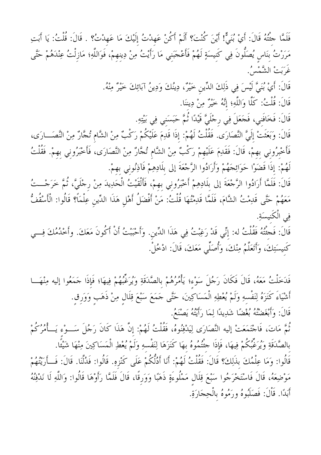فَلَمَّا حئْتُهُ قَالَ: أَيْ بُنَيٍّ! أَيْنَ كُنْتَ؟ أَلَمْ أَكُنْ عَهدْتُ إِلَيْكَ مَا عَهدْتُ؟ . قَالَ: قُلْتُ: يَا أَبَتِ مَرَرْتُ بِنَاسٍ يُصَلُّونَ فِي كَنِيسَةٍ لَهُمْ فَأَعْجَبَنِي مَا رَأَيْتُ مِنْ دِينِهِمْ، فَوَاللَّهِ؛ مَازِلْتُ عِنْدَهُمْ حَتَّى غُرِبَتْ الشَّعْسُ. قَالَ: أَيْ بُنَيَّ لَيْسَ فِي ذَلِكَ الدِّين خَيْرٌ، دِينُكَ وَدِينُ آبَائِكَ خَيْرٌ مِنْهُ. قَالَ: قُلْتُ: كَلَّا وَاللَّهِ؛ إِنَّهُ خَيْرٌ مِنْ دِيننَا. قَالَ: فَخَافَني، فَجَعَلَ فِي رِجْلَيَّ قَيْدًا ثُمَّ حَبَسَنى فِي بَيْتِهِ. قَالَ: وَبَعَثَتْ إِلَيَّ النَّصَارَى. فَقُلْتُ لَهُمْ: إذَا قَدِمَ عَلَيْكُمْ رَكْبٌ مِنْ الشَّام تُجَّارٌ مِنْ النَّصَـــارَى، فَأَخْبِرُوني بهمْ، قَالَ: فَقَدِمَ عَلَيْهِمْ رَكْبٌ مِنْ الشَّام تُجَّارٌ مِنْ النَّصَارَى، فَأَخْبَرُوني بهمْ. فَقُلْتُ لَهُمْ: إذَا قَضَوْا حَوَائِحَهُمْ وَأَرَادُوا الرَّجْعَةَ إلى بلَادِهِمْ فَآذِنُوني بهمْ. قَالَ: فَلَمَّا أَرَادُوا الرَّجْعَةَ إلى بِلَادِهِمْ أَخْبَرُوني بهمْ، فَأَلْقَيْتُ الْحَدِيدَ مِنْ رجْلَيَّ، ثُمَّ خَرَجْــتُ مَعَهُمْ حَتَّى قَدِمْتُ الشَّامَ، فَلَمَّا قَدِمْتُهَا قُلْتُ: مَنْ أَفْضَلُ أَهْلِ هَذَا الدِّينِ عِلْمَاً؟ قَالُوا: الْأَسْقُفُّ فِي الْكَنيسَةِ. قَالَ: فَحِئْتُهُ فَقُلْتُ له: إنِّي قَدْ رَغِبْتُ فِي هَذَا الدِّين. وَأَحْبَبْتُ أَنْ أَكُونَ مَعَكَ. وأخْدُمُكَ فِـــى كَنيسَتِكَ، وَأَتَعَلَّمُ مِنْكَ، وَأَصَلِّي مَعَكَ، قَالَ: ادْخُلْ.

فَدَخَلْتُ مَعَهُ، قَالَ فَكَانَ رَجُلَ سَوْء؛ يَأْمُرُهُمْ بِالصَّدَقَةِ وَيُرَغِّبُهُمْ فِيهَا؛ فَإِذَا جَمَعُوا إليه مِنْهَــا أَشْيَاءَ كَنَزَهُ لِنَفْسهِ وَلَمْ يُعْطِهِ الْمَسَاكِينَ، حَتَّى حَمَعَ سَبْعَ قِلَالٍ مِنْ ذَهَبٍ وَوَرِقٍ. قَالَ: وَأَبْغَضْتُهُ بُغْضًا شَدِيدًا لِمَا رَأَةٍ يَصْنَعُ.

تُمَّ مَاتَ، فَاحْتَمَعَتْ إليه النَّصَارَى لِيَدْفِنُوهُ، فَقُلْتُ لَهُمْ: إنَّ هَذَا كَانَ رَجُلَ سَــوْء يَــأْمُرْكُمْ بالصَّدَقَةِ وَيُرَغِّبُكُمْ فِيهَا، فَإِذَا حِنْتُمُوهُ بِهَا كَنَزَهَا لِنَفْسِهِ وَلَمْ يُعْطِ الْمَسَاكِينَ مِنْهَا شَيْئًا. قَالُوا: وَمَا عِلْمُكَ بذَلِكَ؟ قَالَ: فَقُلْتُ لَهُمْ: أَنَا أَدُلُّكُمْ عَلَى كَنْزِهِ. قَالُوا: فَدُلَّنَا. قَالَ: فَسَأَرَيْتُهُمْ مَوْضِعَهُ، قَالَ فَاسْتَخْرَجُوا سَبْعَ قِلَال مَمْلُوءَةٍ ذَهَبًا وَوَرقًا، قَالَ فَلَمَّا رَأَوْهَا قَالُوا: وَاللَّهِ لَا نَدْفِنُهُ أَبَدًا. قَاْلَ: فَصَلَبُوهُ ورَمُوهُ بِالْحِجَارَةِ.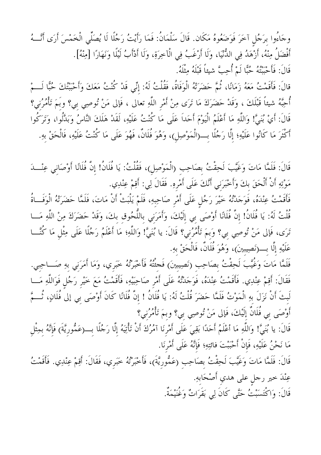وجَاءُوا بِرَجُلٍ آخَرَ فَوَضَعُوهُ مَكَانٍ. قَالَ سَلْمَانُ: فَمَا رَأَيْتُ رَجُلًا لَا يُصَلِّي الْخَمْسَ أَرَى أَنْسَهُ أَفْضَلُ مِنْهُ، أَزْهَدُ فِي الدُّنْيَا، وَلَا أَرْغَبُ فِي الْآخِرَةِ، وَلَا أَدْأَبُ لَيْلًا وَنَهَارًا [مِنْهُ]. قَالَ: فَأَحْبَبْتُهُ حُبًّا لَمْ أُحِبَّ شيئاً قَبْلَهُ مِثْلُهُ.

قالَ: فَأَقَمْتُ مَعَهُ زَمَانًا، ثُمَّ حَضَرَتْهُ الْوَفَاةُ، فَقُلْتُ لَهُ: إنِّي قَدْ كُنْتُ مَعَكَ وَأَحْبَبْتُكَ حُبًّا لَـــمْ أُحِبَّهُ شيئاً قَبْلَكَ ، وَقَدْ حَضَرَكَ مَا تَرَى مِنْ أَمْرِ اللَّهِ تعالى ، فَإِلى مَنْ تُوصِي بِي؟ وبَمَ تَأْمُرُنِي؟ قَالَ: أَيْ بُنَيَّ! وَاللَّهِ مَا أَعْلَمُ الْيَوْمَ أَحَداَ عَلَى مَا كُنْتُ عَلَيْهِ، لَقَدْ هَلَكَ النَّاسُ وَبَدَّلُوا، وَتَرَكُوا أَكْثَرَ مَا كَانُوا عَلَيْهِ؛ إِلَّا رَجُلًا بِـــ(الْمَوْصِلِ)، وَهُوَ فُلَانٌ، فَهُوَ عَلَى مَا كُنْتُ عَلَيْهِ، فَالْحَقْ بِهِ.

قَالَ: فَلَمَّا مَاتَ وَغَيَّبَ لَحِقْتُ بِصَاحِبِ (الْمَوْصِلِ)، فَقُلْتُ: يَا فُلَانُ! إِنَّ فُلَانًا أَوْصَانِي عِنْـــدَ مَوْتِهِ أَنْ أَلْحَقَ بِكَ وَأَحْبَرَنِي أَنَّكَ عَلَى أَمْرِهِ. فَقَالَ لِي: أَقِمْ عِنْدِي.

فَأَقَمْتُ عِنْدَهُ، فَوَجَدْتُهُ خَيْرَ رَجُلٍ عَلَى أَمْرِ صَاحِبِهِ، فَلَمْ يَلْبَتْ أَنْ مَاتَ، فَلَمَّا حَضَرَتْهُ الْوَفَــاةُ قُلْتُ لَهُ: يَا فُلَانُ! إِنَّ فُلَانًا أَوْصَى بِي إِلَيْكَ، وَأَمَرَنِي بِاللَّحُوقِ بِكَ، وَقَدْ حَضَرَكَ مِنْ اللَّهِ مَــا تَرَى، فَإِلى مَنْ تُوصِي بي؟ وَبِمَ تَأْمُرُني؟ قَالَ: يا بُنَيَّ! وَاللَّهِ؛ مَا أَعْلَمُ رَجُلًا عَلَى مِثْل مَا كُنَّـــا عَلَيْهِ إِلَّا بِـــرنَصِيبينَ)، وَهُوَ فُلَانٌ، فَالْحَقْ بِهِ.

فَلَمَّا مَاتَ وَغُيَّبَ لَحِقْتُ بِصَاحِبِ (نَصِيبينَ) فَجئْتُهُ فَأَخْبَرْتُهُ خَبَري، وَمَا أَمَرَني بهِ صَـــاحِبي. فَقَالَ: أَقِمْ عِنْدِي. فَأَقَمْتُ عِنْدَهُ، فَوَجَدْتُهُ عَلَى أَمْرِ صَاحِبَيْهِ، فَأَقَمْتُ مَعَ خَيْرِ رَجُلٍ فَوَاللَّهِ مَــا لَبتَ أَنْ نَزَلَ بهِ الْمَوْتُ فَلَمَّا حَضَرَ قُلْتُ لَهُ: يَا فُلَانُ ! إِنَّ فُلَانًا كَانَ أَوْصَى بي إلى فُلَانٍ، تُـــمَّ أَوْصَى بي فُلَانٌ إِلَيْكَ، فَإِلى مَنْ تُوصِي بِي؟ وبِمَ تَأْمُرُنِي؟

قَالَ: يا بُنَيًّا! وَاللَّهِ مَا أَعْلَمُ أَحَدًا بَقِيَ عَلَى أَمْرِنَا آمُرُكَ أَنْ تَأْتِيَهُ إِلَّا رَجُلًا بـــ(عَمُّوريَّةَ) فَإِنَّهُ بِمِثْل مَا نَحْنُ عَلَيْهِ، فَإِنْ أَحْبَبْتَ فائتِهِ؛ فَإِنَّهُ عَلَى أَمْرِنَا.

قَالَ: فَلَمَّا مَاتَ وَغَيَّبَ لَحِقْتُ بِصَاحِبِ (عَمُّوريَّةَ)، فَأَخْبَرْتُهُ خَبَري، فَقَالَ: أَقِمْ عِنْدِي. فَأَقَمْتُ عِنْدَ خير رحل على هدي أَصْحَابهِ. قَالَ: وَاكْتَسَبْتُ حَتَّى كَانَ لِي بَقَرَاتٌ وَغُنَيْمَةٌ.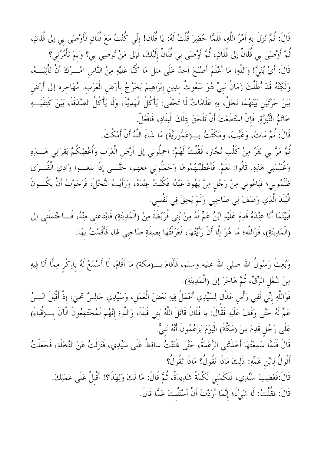قَالَ: ثُمَّ نَزَلَ بهِ أَمْرُ اللَّهِ، فَلَمَّا حُضِرَ قُلْتُ لَهُ: يَا فُلَان! إِنِّي كُنْتُ مَعَ فُلَانٍ فَأَوْصَى بِي إلى فُلَانٍ، تُمّ أَوْصَى بِي فُلَانٌ إلى فُلَانٍ، ثُمَّ أَوْصَى بِي فُلَانٌ إِلَيْكَ، فَإِلى مَنْ تُوصِي بِي؟ وَبِمَ تَأْمُرُني؟ قَالَ: أَيْ بُنَيَّ! وَاللَّهِ؛ مَا أَعْلَمُ أَصْبَحَ أحدٌ عَلَى مثل مَا كُنَّا عَلَيْهِ مِنْ النَّاس آمُــرُكَ أَنْ تَأْتِيَــهُ، وَلَكِنَّهُ قَدْ أَظَلَّكَ زَمَانُ نَبِيٍّ هُوَ مَبْعُوثٌ بِدِينِ إِبْرَاهِيمَ يَخْرُجُ بِأَرْضِ الْعَرَب. مُهَاجره إلى أَرْضِ بَيْنَ حَرَّتَيْنِ بَيْنَهُمَا نَخْلٌ، بِهِ عَلَامَاتٌ لَا تَخْفَى: يَأْكُلُ الْهَدِيَّةَ، وَلَا يَأْكُلُ الصَّدَقَةَ، بَيْنَ كَتِفَيْب خَاتَمُ النُّبُوَّةِ. فَإِنْ اسْتَطَعْتَ أَنْ تَلْحَقَ بِتِلْكَ الْبِلَادِ، فَافْعَلْ.

قَالَ: ثُمَّ مَاتَ، وَغَيَّبَ، ومَكَثْتُ بــِــ(عَمُّوريَّةَ) مَا شَاءَ اللَّهُ أَنْ أَمْكُتَ. نْمٌ مَرَّ بي نَفَرٌ مِنْ كَلْبٍ تُجَّارٍ، فَقُلْتُ لَهُمْ: احْمِلُونِي إلى أَرْضِ الْعَرَبِ وَأُعْطِيكُمْ بَقَرَاتِي هَـــــــٰزِهِ وَغُنَيْمَتِي هَذِهِ. قَالُوا: نَعَمْ. فَأَعْطَيْتُهُمُوهَا وَحَمَلُوني معهم، حَتَّـــى إِذَا بلغـــوا وَادِي الْقُـــرَى

ظَلَمُونِي؛ فَبَاعُونِي مِنْ رَجُلٍ مِنْ يَهُودَ عَبْدًا فَكُنْتُ عِنْدَهُ، وَرَأَيْتُ النَّخْلَ، فَرَجَوْتُ أَنْ يكُــونَ الْبَلَدَ الَّذِي وَصَفَ لِي صَاحِبِي وَلَمْ يَحِقْ فِي نَفْسِي.

فَبَيْنَمَا أَنَا عِنْدَهُ قَدِمَ عَلَيْهِ ابْنُ عَمٍّ لَهُ مِنْ بَنِي قُرَيْظَةَ مِنْ (الْمَدِينَةِ) فَابْتَاعَنِي مِنْهُ، فَــاحْتَمَلَنِي إلى (الْمَدِينَةِ)، فَوَاللَّهِ؛ مَا هُوَ إِلَّا أَنْ رَأَيْتُهَا، فَعَرَفْتُهَا بصِفَةِ صَاحِبي لها، فَأَقَمْتُ بهَا.

وَبُعِثَ رَسُولُ الله صلى الله عليه وسلم، فَأَقَامَ بـــ(مكة) مَا أَقَامَ، لَا أَسْمَعُ لَهُ بذِكْرٍ مِمَّا أَنَا فِيهِ مِنْ شُغْلِ الرِّقِّ، ثُمَّ هَاجَرَ إلى (الْمَدِينَةِ).

فَوَاللَّهِ إنِّي لَفِي رَأْسٍ عَذْقٍ لِسَيِّدِي أَعْمَلُ فِيهِ بَعْضَ الْعَمَلِ، وَسَيِّدِي حَالِسٌ تحتي، إذْ أَقْبَلَ ابْـــنُ عَمٍّ لَهُ حَتَّى وَقَفَ عَلَيْهِ فَقَالَ: يا فُلَانُ قَاتَلَ اللَّهُ بَني قَيْلَةَ، وَاللَّهِ؛ إِنَّهُمْ لَمُحْتَمِعُونَ الْآنَ بِـــ(قُبَاءَ) عَلَى رَجُلٍ قَدِمَ مِنْ (مَكَّةَ) الْيَوْمَ يَزْعُمُونَ أَنَّهُ نَبِيٌّ.

قَالَ فَلَمَّا سَمِعْتُهَا أَخَذَتْني الرَّعْدَةُ، حَتَّى ظَنَنْتُ ساقِطٌ عَلَى سَيِّدِي، فَنَزَلْتُ عَنْ النَّخْلَةِ، فَحَعَلْتُ أَقُولُ لِابْنِ عَمِّهِ: ذَلِكَ مَاذَا تَقُولُ؟ مَاذَا تَقُولُ؟

قَالَ:فَغَضِبَ سَيِّدِي، فَلَكَمَني لَكْمَةً شَدِيدَةً، ثُمَّ قَالَ: مَا لَكَ وَلِهَذَا؟! أَقْبلْ عَلَى عَمَلِكَ. قَالَ: فقُلْتُ: لَا شَيْءَ؛ إِنَّمَا أَرَدْتُ أَنْ أَسْتَتْبتَ عَمَّا قَالَ.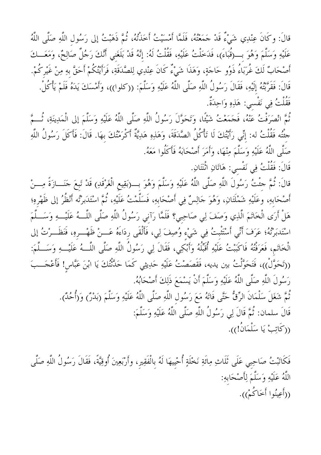قالَ: وكَانَ عِنْدِي شَيْءٌ قَدْ جَمَعْتُهُ، فَلَمَّا أَمْسَيْتُ أَخَذْتُهُ، ثُمَّ ذَهَبْتُ إلى رَسُول اللَّهِ صَلَّى اللَّهُ عَلَيْهِ وَسَلَّمَ وَهُوَ بِـــ(قُبَاءَ)، فَدَخَلْتُ عَلَيْهِ، فَقُلْتُ لَهُ: إِنَّهُ قَدْ بَلَغَنِي أَنَّكَ رَجُلٌ صَالِحٌ، وَمَعَـــكَ أَصْحَابٌ لَكَ غُرَبَاءُ ذَوُو حَاجَةٍ، وَهَذَا شَيْءٌ كَانَ عِنْدِي لِلصَّدَقَةِ، فَرَأَيْتُكُمْ أَحَقَّ بهِ مِنْ غَيْر كُمْ. قَالَ: فَقَرَّبْتُهُ إِلَيْهِ، فَقَالَ رَسُولُ اللَّهِ صَلَّى اللَّهُ عَلَيْهِ وَسَلَّمَ: ((كلوا))، وَأَمْسَكَ يَدَهُ فَلَمْ يَأْكُلْ. فَقُلْتُ فِي نَفْسي: هَذِهِ وَاحِدَةٌ.

ثُمَّ انْصَرَفْتُ عَنْهُ، فَجَمَعْتُ شَيْئًا، وَتَحَوَّلَ رَسُولُ اللَّهِ صَلَّى اللَّهُ عَلَيْهِ وَسَلَّمَ إلى الْمَدِينَةِ، ثُـــمَّ حثُّه فَقُلْتُ له: إنِّي رَأَيْتُكَ لَا تَأْكُلُ الصَّدَقَةَ، وَهَذِهِ هَدِيَّةٌ أَكْرَمْتُكَ بهَا. قَالَ: فَأكَلَ رَسُولُ اللَّهِ صَلَّى اللَّهُ عَلَيْهِ وَسَلَّمَ مِنْهَا، وَأَمَرَ أَصْحَابَهُ فَأَكَلُوا مَعَهُ.

قَالَ: فَقُلْتُ فِي نَفْسي: هَاتَانِ اثْنَتَانِ.

قالَ: ثُمَّ حثْتُ رَسُولَ اللَّهِ صَلَّى اللَّهُ عَلَيْهِ وَسَلَّمَ وَهُوَ بـــ(بَقِيع الْغَرْقَدِ) قَدْ تَبعَ جَنَـــازَةً مِـــنْ أَصْحَابِهِ، وعَلَيْهِ شَمْلَتَانِ، وَهُوَ جَالِسٌ فِي أَصْحَابِهِ، فَسَلَّمْتُ عَلَيْهِ، ثُمَّ اسْتَدَبرْتُه أَنْظُرُ إلى ظَهْرِهِ؛ هَلْ أَرَى الْخَاتَمَ الَّذِي وَصَفَ لِي صَاحِبِي؟ فَلَمَّا رَآني رَسُولُ اللَّهِ صَلَّى اللَّـــهُ عَلَيْـــهِ وَسَـــلَّمَ اسْتَدبَرْتُهُ؛ عَرَفَ أَنِّي أَسْتَتْبتُ فِي شَيْءٍ وُصِفَ لِي، فَأَلْقَى رِدَاءَهُ عَـــنْ ظَهْـــرو، فَنَظَــرْتُ إلى الْخَاتَمِ، فَعَرَفْتُهُ فَاكَبَبْتُ عَلَيْهِ أُقَبِّلُهُ وَأَبْكِي، فَقَالَ لِي رَسُولُ اللَّهِ صَلَّى اللَّــهُ عَلَيْــهِ وَسَــلَّمَ: ((تَحَوَّلْ))، فَتَحَوَّلْتُ بين يديه، فَقَصَصْتُ عَلَيْهِ حَدِيثِي كَمَا حَدَّتْتُكَ يَا ابْنَ عَبَّاس! فَأَعْجَـــبَ رَسُولَ اللَّهِ صَلَّى اللَّهُ عَلَيْهِ وَسَلَّمَ أَنْ يَسْمَعَ ذَلِكَ أَصْحَابُهُ. ثُمَّ شَغَلَ سَلْمَانَ الرِّقُّ حَتَّى فَاتَهُ مَعَ رَسُول اللَّهِ صَلَّى اللَّهُ عَلَيْهِ وَسَلَّمَ (بَدْرٌ) وَ(أُحُدٌ). قَالَ سلمان: ثُمَّ قَالَ لِي رَسُولُ اللَّهِ صَلَّى اللَّهُ عَلَيْهِ وَسَلَّمَ: ((كَاتِبْ يَا سَلْمَانُ!)).

فَكَاتَبْتُ صَاحِبي عَلَى ثَلَاثِ مِائَةِ نَخْلَةٍ أُحْييهَا لَهُ بِالْفَقِيرِ، وأَرْبَعِينَ أُوقِيَّةً، فَقَالَ رَسُولُ اللَّهِ صَلَّى اللَّهُ عَلَيْهِ وَسَلَّمَ لِأَصْحَابِهِ: ((أَعِينُوا أَخَاكُمْ)).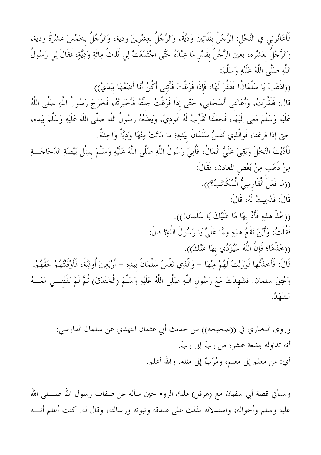فَأَعَانُوني في النَّخْل: الرَّجُلُ بثَلَاثِينَ وَدِيَّةً، وَالرَّجُلُ بعِشْرينَ ودية، وَالرَّجُلُ بخَمْسَ عَشْرَةَ ودية، وَالرَّجُلُ بِعَشْرة، يعين الرَّجُلُ بقَدْرٍ مَا عِنْدَهُ حَتَّى اجْتَمَعَتْ لِي ثَلَاثُ مِائَةِ وَدِيَّةٍ، فَقَالَ لِي رَسُولُ اللَّهِ صَلَّى اللَّهُ عَلَيْهِ وَسَلَّمَ: ((اذْهَبْ يَا سَلْمَانُ! فَفَقِّرْ لَهَا، فَإِذَا فَرَغْتَ فَأْتِنى أَكُنُ أَنَا أَضَعُهَا بِيَدَيَّ)). قال: فَفَقَّرْتُ، وَأَعَانَني أَصْحَابي، حَتَّى إذَا فَرَغْتُ جئْتُهُ فَأَخْبَرْتُهُ، فَخَرَجَ رَسُولُ اللَّهِ صَلَّى اللَّهُ عَلَيْهِ وَسَلَّمَ مَعِي إِلَيْهَا، فَحَعَلْنَا نُقَرِّبُ لَهُ الْوَدِيَّ، وَيَضَعُهُ رَسُولُ اللَّهِ صَلَّى اللَّهُ عَلَيْهِ وَسَلَّمَ بيَدِهِ، حتى إذا فرغنا، فَوَالَّذِي نَفْسُ سَلْمَانَ بِيَدِهِ؛ مَا مَاتَتْ مِنْهَا وَدِيَّةٌ وَاحِدَةٌ. فَأَدَّيْتُ النَّخْلَ وَبَقِيَ عَلَيَّ الْمَالُ، فَأُتِيَ رَسُولُ اللَّهِ صَلَّى اللَّهُ عَلَيْهِ وَسَلَّمَ بِمِثْلِ بَيْضَةِ الدَّجَاجَـــةِ مِنْ ذَهَبٍ مِنْ بَعْضِ المعادن، فَقَالَ: ((مَا فَعَلَ الْفَارِسِيُّ الْمُكَاتَبُّ؟)). قَالَ: فَدُعِيتُ لَهُ، قَالَ: ((خُذْ هَذِهِ فَأَدِّ بِهَا مَا عَلَيْكَ يَا سَلْمَان!)). فَقُلْتُ: وَأَيْنَ تَقَعُ هَذِهِ مِمَّا عَلَىَّ يَا رَسُولَ اللَّهِ؟ قَالَ: ((خُذْهَا؛ فَإِنَّ اللَّهَ سَيُؤَدِّي بِهَا عَنْكَ)). قَالَ: فَأَحَذْتُهَا فَوَزَنْتُ لَهُمْ مِنْهَا – وَالَّذِي نَفْسُ سَلْمَانَ بَيَدِهِ – أَرْبَعِينَ أُوقِيَّةً، فَأَوْفَيْتُهُمْ حَقَّهُمْ. وَعُتِقَ سلمان. فَشَهِدْتُ مَعَ رَسُولِ اللَّهِ صَلَّى اللَّهُ عَلَيْهِ وَسَلَّمَ (الْخَنْدَقَ) ثُمَّ لَمْ يَفُتْنــي مَعَــهُ مَشْهَدٌ.

وروى البخاري في ((صحيحه)) من حديث أبي عثمان النهدي عن سلمان الفارسي: أنه تداوله بضعة عشر؛ من ربِّ إلى ربِّ. أي: من معلم إلى معلم، ومُرَبّ إلى مثله. والله أعلم.

وستأتي قصة أبي سفيان مع (هرقل) ملك الروم حين سأله عن صفات رسول الله صـــــلى الله عليه وسلم وأحواله، واستدلاله بذلك على صدقه ونبوته ورسالته، وقال له: كنت أعلم أنـــه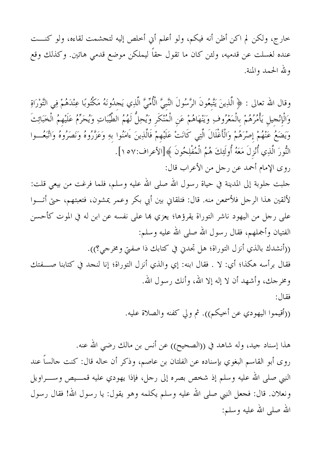خارج، ولكن لم اكن أظن أنه فيكم، ولو أعلم أين أخلص إليه لتحشمت لقاءه، ولو كنـــت عنده لغسلت عن قدميه، ولئن كان ما تقول حقاً ليملكن موضع قدمى هاتين. وكذلك وقع ولله الحمد والمنة.

وقال الله تعالى : ﴿ الَّذِينَ يَتَّبِعُونَ الرَّسُولَ النَّبِيَّ الْأُمِّيَّ الَّذِي يَحِدُونَهُ مَكْتُوبًا عِنْدَهُمْ فِي التَّوْرَاةِ وَالْإِنْحِيلِ يَأْمُرُهُمْ بِالْمَعْرُوفِ وَيَنْهَاهُمْ عَنِ الْمُنْكَرِ وَيُحِلُّ لَهُمُ الطَّيِّبَاتِ وَيُحَرِّمُ عَلَيْهِمُ الْخَبَائِثَ وَيَضَعُ عَنْهُمْ إِصْرَهُمْ وَالْأَغْلَالَ الَّتِي كَانَتْ عَلَيْهِمْ فَالَّذِينَ ءَامَنُوا بِهِ وَعَزَّرُوهُ وَنَصَرُوهُ وَاتَّبَعُــوا النُّورَ الَّذِي أُنْزِلَ مَعَهُ أُولَئِكَ هُمُ الْمُفْلِحُونَ ﴾[الأعراف:٥٧ ] .

روى الإمام أحمد عن رجلٍ من الأعراب قال:

جلبت جلوبة إلى المدينة في حياة رسول الله صلى الله عليه وسلم، فلما فرغت من بيعي قلت: لألقين هذا الرجل فلأسمعن منه. قال: فتلقاني بين أبي بكر وعمر يمشون، فتعبتهم، حتى أتـــوا على رجل من اليهود ناشر التوراة يقرؤها؛ يعزي هما على نفسه عن ابن له في الموت كأحسن الفتيان وأجملهم، فقال رسول الله صلى الله عليه وسلم:

((أنشدك بالذي أنزل التوراة؛ هل تجدني في كتابك ذا صفتي ومخرجي؟)). فقال برأسه هكذا؛ أي: لا . فقال ابنه: إي والذي أنزل التوراة؛ إنا لنجد في كتابنا صــــفتك ومخرجك، وأشهد أن لا إله إلا الله، وأنك رسول الله. فقال:

((أقيموا اليهودي عن أخيكم)). ثم ولي كفنه والصلاة عليه.

هذا إسناد جيد، وله شاهد في ((الصحيح)) عن أنس بن مالك رضى الله عنه. روى أبو القاسم البغوي بإسناده عن الفلتان بن عاصم، وذكر أن خاله قال: كنت جالساً عند النبي صلى الله عليه وسلم إذ شخص بصره إلى رحل، فإذا يهودي عليه قمـــيص وســـراويل ونعلان. قال: فجعل النبي صلى الله عليه وسلم يكلمه وهو يقول: يا رسول الله! فقال رسول الله صلى الله عليه وسلم: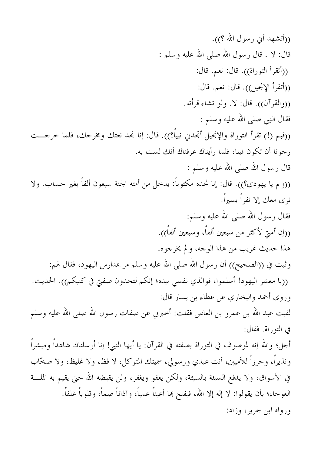((أتشهد أي رسول الله ؟)). قال: لا . قال رسول الله صلى الله عليه وسلم : ((أتقرأ التوراة)). قال: نعم. قال: ((أتقرأ الإنجيل)). قال: نعم. قال: ((والقرآن)). قال: لا. ولو تشاء قرأته. فقال النبي صلى الله عليه وسلم : ((فبم (!) تقرأ التوراة والإنجيل أتجدني نبياً؟)). قال: إنا نجد نعتك ومخرجك، فلما خرجـــت رجونا أن تكون فينا، فلما رأيناك عرفناك أنك لست به. قال رسول الله صلى الله عليه وسلم : ((و لم يا يهودي؟)). قال: إنا نجده مكتوباً: يدخل من أمته الجنة سبعون ألفاً بغير حساب. ولا نرى معك إلا نفراً يسيراً. فقال رسول الله صلى الله عليه وسلم: ((إن أمتي لأكثر من سبعين ألفاً، وسبعين ألفاً)). هذا حديث غريب من هذا الوجه، و لم يخرجوه. وثبت في ((الصحيح)) أن رسول الله صلى الله عليه وسلم مر بمدارس اليهود، فقال لهم: ((يا معشر اليهود! أسلموا، فوالذي نفسي بيده؛ إنكم لتحدون صفتي في كتبكم)). الحديث. وروى أحمد والبخاري عن عطاء بن يسار قال: لقيت عبد الله بن عمرو بن العاص فقلت: أخبرني عن صفات رسول الله صلى الله عليه وسلم في التوراة. فقال: أجل؛ والله إنه لموصوف في التوراة بصفته في القرآن: يا أيها النبي! إنا أرسلناك شاهداً ومبشراً ونذيراً، وحرزاً للأميين، أنت عبدي ورسولي، سميتك المتوكل، لا فظ، ولا غليظ، ولا صخَّاب في الأسواق، ولا يدفع السيئة بالسيئة، ولكن يعفو ويغفر، ولن يقبضه الله حتى يقيم به الملـــة العوجاء؛ بأن يقولوا: لا إله إلا الله، فيفتح هِا أعيناً عمياً، وآذاناً صماً، وقلوباً غلفاً. ورواه ابن جرير، وزاد: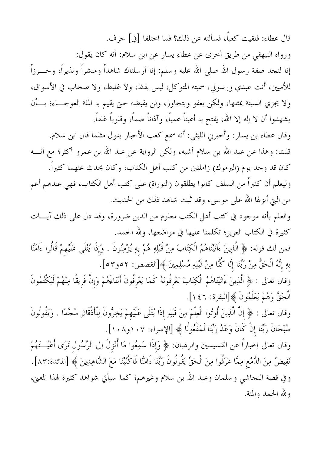قال عطاء: فلقيت كعبًّا، فسألته عن ذلك؟ فما اختلفا [في] حرف. ورواه البيهقي من طريق أخرى عن عطاء يسار عن ابن سلام: أنه كان يقول: إنا لنجد صفة رسول الله صلى الله عليه وسلم: إنا أرسلناك شاهداً ومبشراً ونذيراً، وحـــرزاً للأميين، أنت عبدي ورسولي، سميته المتوكل، ليس بفظ، ولا غليظ، ولا صخاب في الأسواق، ولا يجزي السيئة بمثلها، ولكن يعفو ويتحاوز، ولن يقبضه حتى يقيم به الملة العوجـــاء؛ بـــأن يشهدوا أن لا إله إلا الله، يفتح به أعيناً عمياً، وآذاناً صماً، وقلوباً غلفاً. وقال عطاء بن يسار: وأخبرني الليثي: أنه سمع كعب الأحبار يقول مثلما قال ابن سلام. قلت: وهذا عن عبد الله بن سلام أشبه، ولكن الرواية عن عبد الله بن عمرو أكثر؛ مع أنــــه كان قد وجد يوم (اليرموك) زاملتين من كتب أهل الكتاب، وكان يحدث عنهما كثيراً. وليعلم أن كثيراً من السلف كانوا يطلقون (التوراة) على كتب أهل الكتاب، فهي عندهم أعم من التي أنزلها الله على موسى، وقد ثبت شاهد ذلك من الحديث. والعلم بأنه موجود في كتب أهل الكتب معلوم من الدين ضرورة، وقد دل على ذلك آيـــات كثيرة في الكتاب العزيز؛ تكلمنا عليها في مواضعها، ولله الحمد. فمن لك قوله: ﴿ الَّذِينَ ءَاتَيْنَاهُمُ الْكِتَابَ مِنْ قَبْلِهِ هُمْ بِهِ يُؤْمِنُونَ . وَإِذَا يُتْلَى عَلَيْهِمْ قَالُوا ءَامَنَّا بهِ إِنَّهُ الْحَقُّ مِنْ رَبِّنَا إِنَّا كُنَّا مِنْ قَبْلِهِ مُسْلِمِينَ ﴾[القصص: ٢٥و٥٣].

وقال تعالى : ﴿ الَّذِينَ ءَاتَيْنَاهُمُ الْكِتَابَ يَعْرِفُونَهُ كَمَا يَعْرِفُونَ أَبْنَاءَهُمْ وَإِنَّ فَريقًا مِنْهُمْ لَيَكْتُمُونَ الْحَقَّ وَهُمْ يَعْلَمُونَ ﴾[البقرة: ٤٦ ١].

وقال تعالى : ﴿ إِنَّ الَّذِينَ أُوتُوا الْعِلْمَ مِنْ قَبْلِهِ إِذَا يُتْلَى عَلَيْهِمْ يَخِرُّونَ لِلْأَذْقَانِ سُجَّدًا . وَيَقُولُونَ سُبْحَانَ رَبِّنَا إِنْ كَانَ وَعْدُ رَبِّنَا لَمَفْعُولًا ﴾ [الإسراء: ١٠٧و١٠٨].

وقال تعالى إخباراً عن القسيسين والرهبان: ﴿ وَإِذَا سَمِعُوا مَا أُنْزِلَ إِلَى الرَّسُولِ تَرَى أَعْيُـــنَهُمْ تَفِيضُ مِنَ الدَّمْعِ مِمَّا عَرَفُوا مِنَ الْحَقِّ يَقُولُونَ رَبَّنَا ءَامَنَّا فَاكْتُبْنَا مَعَ الشَّاهِدِينَ ﴾ [المائدة:٨٣]. وفي قصة النحاشي وسلمان وعبد الله بن سلام وغيرهم؛ كما سيأتي شواهد كثيرة لهذا المعنى، ولله الحمد والمنة.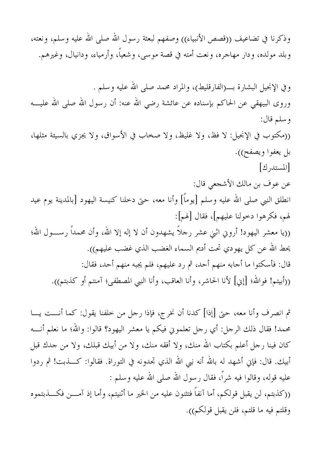وذكرنا في تضاعيف ((قصص الأنبياء)) وصفهم لبعثة رسول الله صلى الله عليه وسلم، ونعته، وبلد مولده، ودار مهاجره، ونعت أمته في قصة موسى، وشعياً، وأرمياء، ودانيال، وغيرهم.

وفي الإنجيل البشارة بــــ(الفارقليط)، والمراد محمد صلى الله عليه وسلم . وروى البيهقي عن الحاكم بإسناده عن عائشة رضي الله عنه: أن رسول الله صلى الله عليــــه وسلم قال: ((مكتوب في الإنجيل: لا فظ، ولا غليظ، ولا صخاب في الأسواق، ولا يجزي بالسيئة مثلها، بل يعفوا ويصفح)). [المستدرك] عن عوف بن مالك الأشجعي قال: انطلق النبي صلى الله عليه وسلم [يوماً] وأنا معه، حتى دخلنا كنيسة اليهود [بالمدينة يوم عيد لهم، فكرهوا دخولنا عليهم]، فقال [لهم]: ((يا معشر اليهود! أروني اثني عشر رحلاً يشهدون أن لا إله إلا الله، وأن محمداً رســول الله؛ يحط الله عن كل يهودي تحت أديم السماء الغضب الذي غضب عليهم)). قال: فأسكتوا ما أجابه منهم أحد، ثم رد عليهم، فلم يجبه منهم أحد، فقال: ((أبيتم! فوالله؛ [إني] لأنا الحاشر، وأنا العاقب، وأنا النبي المصطفى؛ آمنتم أو كذبتم)).

ثم انصرف وأنا معه، حتى [إذا] كدنا أن نخرج، فإذا رجل من خلفنا يقول: كما أنـــت يـــا محمد! فقال ذلك الرجل: أي رجل تعلموني فيكم يا معشر اليهود؟ قالوا: والله؛ ما نعلم أنــــه كان فينا رجل أعلم بكتاب الله منك، ولا أفقه منك، ولا من أبيك قبلك، ولا من جدك قبل أبيك. قال: فإين أشهد له بالله أنه نبي الله الذي تجدونه في التوراة. فقالوا: كــــذبت! ثم ردوا عليه قوله، وقالوا فيه شرًّا، فقال رسول الله صلى الله عليه وسلم : ((كذبتم، لن يقبل قولكم، أما آنفاً فتثنون عليه من الخير ما أثنيتم، وأما إذ آمـــن فكــــذبتموه وقلتم فيه ما قلتم، فلن يقبل قولكم)).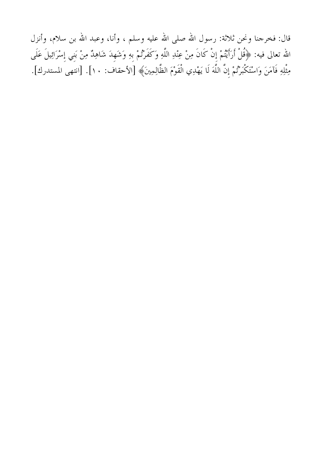قال: فخرجنا ونحن ثلاثة: رسول الله صلى الله عليه وسلم ، وأنا، وعبد الله بن سلام، وأنزل الله تعالى فيه: ﴿قُلْ أَرَأَيْتُمْ إِنْ كَانَ مِنْ عِنْدِ اللَّهِ وَكَفَرْتُمْ بِهِ وَشَهِدَ شَاهِدٌ مِنْ بَنِي إِسْرَائِيلَ عَلَى مِثْلِهِ فَآمَنَ وَاسْتَكْبَرْتُمْ إِنَّ اللَّهَ لَا يَهْدِي الْقَوْمَ الظَّالِمِينَ﴾ [الأحقاف: ١٠]. [انتهى المستدرك].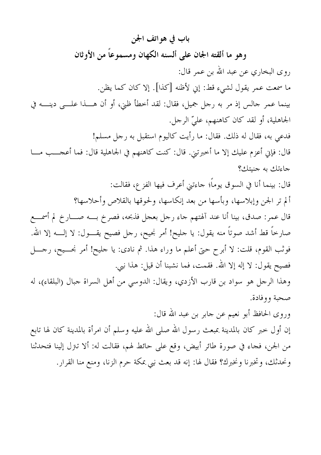باب في هواتف الجن وهو ما ألقته الجان على ألسنه الكهان ومسموعاً من الأوثان روى البخاري عن عبد الله بن عمر قال: ما سمعت عمر يقول لشيء قط: إين لأظنه [كذا]. إلا كان كما يظن. بينما عمر جالس إذ مر به رجل جميل، فقال: لقد أخطأ ظني، أو أن هــــذا علــــى دينـــــه في الجاهلية، أو لقد كان كاهنهم، علىّ الرجل. فدعي به، فقال له ذلك. فقال: ما رأيت كاليوم استقبل به رجل مسلم! قال: فإني أعزم عليك إلا ما أخبرتني. قال: كنت كاهنهم في الجاهلية قال: فما أعجـــب مـــا جاءتك به جنبتك؟ قال: بينما أنا في السوق يوماً؛ جاءتني أعرف فيها الفز ع، فقالت: ألم تر الجن وإبلاسها، وبأسها من بعد إنكاسها، ولحوقها بالقلاص وأحلاسها؟ قال عمر: صدق، بينا أنا عند آلهتهم جاء رجل بعجل فذبحه، فصرخ بــــه صــــارخ لم أسمــــع صارخاً قط أشد صوتاً منه يقول: يا جليح! أمر نجيح، رجل فصيح يقــــول: لا إلــــه إلا الله. فوثب القوم، قلت: لا أبرح حتى أعلم ما وراء هذا. ثم نادى: يا حليح! أمر نجـــيح، رحــــل فصيح يقول: لا إله إلا الله. فقمت، فما نشبنا أن قيل: هذا نبي. وهذا الرجل هو سواد بن قارب الأزدي، ويقال: الدوسي من أهل السراة جبال (البلقاء)، له صحبة ووفادة. وروى الحافظ أبو نعيم عن جابر بن عبد الله قال:

إن أول خبر كان بالمدينة بمبعث رسول الله صلى الله عليه وسلم أن امرأة بالمدينة كان لها تابع من الجن، فحاء في صورة طائر أبيض، وقع على حائط لهم، فقالت له: ألا تنزل إلينا فتحدثنا ونحدثك، وتخبرنا ونخبرك؟ فقال لها: إنه قد بعث نبي بمكة حرم الزنا، ومنع منا القرار.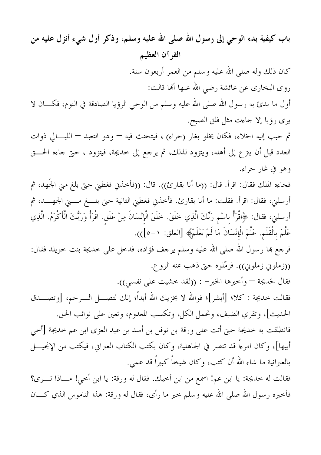باب كيفية بدء الوحي إلى رسول الله صلى الله عليه وسلم، وذكر أول شيء أنزل عليه من القرآن العظيم كان ذلك وله صلى الله عليه وسلم من العمر أربعون سنة. روى البخارى عن عائشة رضى الله عنها ألها قالت: أول ما بدئ به رسول الله صلى الله عليه وسلم من الوحى الرؤيا الصادقة في النوم، فكــــان لا يرى رؤيا إلا جاءت مثل فلق الصبح. ثم حبب إليه الخلاء، فكان يخلو بغار (حراء) ، فيتحنث فيه — وهو التعبد — الليـــالي ذوات العدد قبل أن يترع إلى أهله، ويتزود لذلك، ثم يرجع إلى خديجة، فيتزود ، حتى جاءه الحـــق وهو في غار حراء. فجاءه الملك فقال: اقرأ. قال: ((ما أنا بقارئ)). قال: ((فأخذني فغطني حتى بلغ مني الجَهد، ثم أرسلني، فقال: اقرأ. فقلت: ما أنا بقارئ. فأخذني فغطني الثانية حتى بلــــغ مـــــني الجـهـــــد، ثم أرسلني، فقال: ﴿اقْرَأْ باسْم رَبِّكَ الَّذِي خَلَقَ. خَلَقَ الْإِنْسَانَ مِنْ عَلَقٍ. اقْرَأْ وَرَبُّكَ الْأَكْرَمُ. الَّذِي عَلَّمَ بِالْقَلَمِ. عَلَّمَ الْإِنْسَانَ مَا لَمْ يَعْلَمْ﴾ [العلق: ١-٥])). فرجع هما رسول الله صلى الله عليه وسلم يرجف فؤاده، فدخل على خديجة بنت خويلد فقال: ((زملوني زملوني)). فزمّلوه حتى ذهب عنه الروع. فقال لخديجة – وأخبرها الخبر– : ((لقد خشيت على نفسي)). فقالت حديجة : كلا؛ [أبشر]؛ فوالله لا يخزيك الله أبداً؛ إنك لتصــــل الــــرحم، [وتصـــــدق الحديث]، وتقري الضيف، وتحمل الكل، وتكسب المعدوم، وتعين على نوائب الحق. فانطلقت به خديجة حتى أتت على ورقة بن نوفل بن أسد بن عبد العزى ابن عم خديجة [أخي أبيها]، وكان امرءًا قد تنصر في الجاهلية، وكان يكتب الكتاب العبراني، فيكتب من الإنجيــــل بالعبرانية ما شاء الله أن كتب، وكان شيخاً كبيراً قد عمي. فقالت له خديجة: يا ابن عم! اسمع من ابن أخيك. فقال له ورقة: يا ابن أخي! مـــاذا تــــرى؟ فأخبره رسول الله صلى الله عليه وسلم خبر ما رأى، فقال له ورقة: هذا الناموس الذي كـــان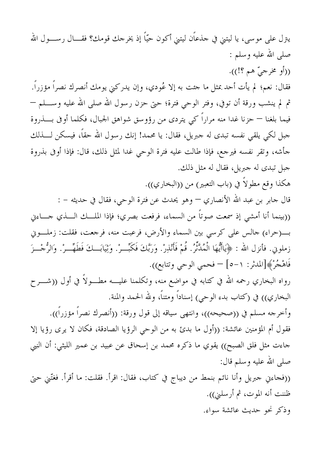يترل على موسى، يا ليتني في حذعاًن ليتني أكون حيّاً إذ يخرجك قومك؟ فقـــال رســــول الله صلى الله عليه وسلم : ((أو مخرجيٌّ هم ؟!)). فقال: نعم؛ لم يأت أحد بمثل ما جئت به إلا عُودي، وإن يدركني يومك أنصرك نصراً مؤزراً. ثم لم ينشب ورقة أن توفي، وفتر الوحي فترة؛ حتى حزن رسول الله صلى الله عليه وســــلم — فيما بلغنا — حزنا غدا منه مراراً كي يتردى من رؤوسق شواهق الجبال، فكلما أوفى بـــــذروة جبل لكي يلقي نفسه تبدى له جبريل، فقال: يا محمد! إنك رسول الله حقاً، فيسكن لــــذلك جأشه، وتقر نفسه فيرجع، فإذا طالت عليه فترة الوحي غدا لمثل ذلك، قال: فإذا أوفى بذروة جبل تبدي له جبريل، فقال له مثل ذلك. هكذا وقع مطولاً في (باب التعبير) من ((البخاري)). قال جابر بن عبد الله الأنصاري — وهو يحدث عن فترة الوحي، فقال في حديثه – : ((بينما أنا أمشى إذ سمعت صوتاً من السماء، فرفعت بصري؛ فإذا الملـــك الــــذي جــــاءين زملوني. فأنزل الله : ﴿يَاأَيُّهَا الْمُدَّنَّرُ. قُمْ فَأَنْذِرْ. وَرَبَّكَ فَكَبِّــرْ. وَثِيَابَــكَ فَطَهِّــرْ. وَالرُّجْــزَ فَاهْجُرْ﴾[المدثر: ١–٥] — فحمي الوحي وتتابع)). رواه البخاري رحمه الله في كتابه في مواضع منه، وتكلمنا عليــــه مطـــولاً في أول ((شــــرح البخاري)) في (كتاب بدء الوحي) إسناداً ومتناً، ولله الحمد والمنة. وأخرجه مسلم في ((صحيحه))، وانتهى سياقه إلى قول ورقة: ((أنصرك نصراً مؤزراً)). فقول أم المؤمنين عائشة: ((أول ما بدئ به من الوحي الرؤيا الصادقة، فكان لا يرى رؤيا إلا جاءت مثل فلق الصبح)) يقوي ما ذكره محمد بن إسحاق عن عبيد بن عمير الليثي: أن النبي صلى الله عليه وسلم قال: ((فحاءني جبريل وأنا نائم بنمط من ديباج في كتاب، فقال: اقرأ. فقلت: ما أقرأ. فغتّني حتى ظننت أنه الموت، ثم أرسلني)). وذكر نحو حديث عائشة سواء.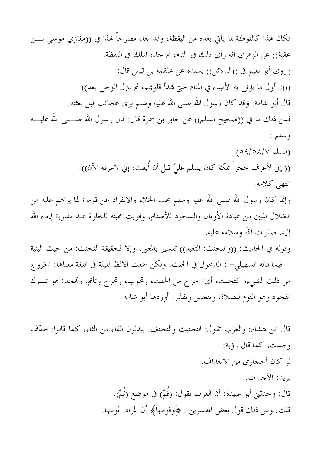فكان هذا كالتوطئة لما يأتي بعده من اليقظة، وقد جاء مصرحاً بمذا في ((مغازي موسى بــــن عقبة)) عن الزهري أنه رأى ذلك في المنام، ثم جاءه الملك في اليقظة. وروى أبو نعيم في ((الدلائل)) بسنده عن علقمة بن قيس قال: ((إن أول ما يؤتبي به الأنبياء في المنام حتى لهدأ قلوهم، ثم يترل الوحي بعد)). قال أبو شامة: وقد كان رسول الله صلى الله عليه وسلم يرى عجائب قبل بعثته. فمن ذلك ما في ((صحيح مسلم)) عن جابر بن سمرة قال: قال رسول الله صــــلى الله عليــــه وسلم :  $(09/0)(\gamma)$ (مسلم) (( إني لأعرف حجراً بمكة كان يسلم عليّ قبل أن أُبعث، إنى لأعرفه الآن)). انتهى كلامه. وإنما كان رسول الله صلى الله عليه وسلم يحب الخلاء والانفراد عن قومه؛ لما يراهم عليه من الضلال المبين من عبادة الأوثان والسحود للأصنام، وقويت محبته للخلوة عند مقاربة إيحاء الله إليه، صلوات الله و سلامه عليه. وقوله في الحديث: ((والتحنث: التعبد)) تفسير بالمعنى، وإلا فحقيقة التحنث: من حيث البنية – فيما قاله السهيلي– : الدخول في الحنث. ولكن سمعت ألافظ قليلة في اللغة معناها: الخروج من ذلك الشيء؛ كتحنث، أي: خرج من الحنث، وتحوب، وتحرج وتأثم. وتمحد: هو تـــرك

قال ابن هشام: والعرب تقول: التحنيث والتحنف. يبدلون الفاء من الثاء، كما قالوا: جدّف وجدت، كما قال رؤبة: لو كان أحجاري من الاجداف. يريد: الأجداث. قال: وحدثني أبو عبيدة: أن العرب تقول: (فُمّ) في موضع (ثُمّ). قلت: ومن ذلك قول بعض المفسرين : ﴿وفومها﴾ أن المراد: ثومها.

الهجود وهو النوم للصلاة، وتنحس وتقذر. أوردها أبو شامة.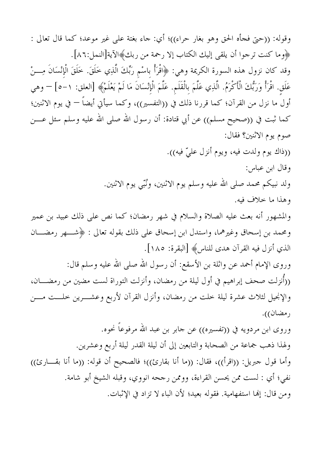وقوله: ((حتى فجأه الحق وهو بغار حراء))؛ أي: جاء بغتة على غير موعد؛ كما قال تعالى : ﴿وَمِا كَنتَ تَرْجُوا أَنْ يَلْقَى إِلَيْكَ الْكِتَابِ إِلَّا رَحْمَةً مِنْ رَبِّكَ﴾الآية[النمل:٨٦]. وقد كان نزول هذه السورة الكريمة وهي: ﴿اقْرَأْ باسْم رَبِّكَ الَّذِي خَلَقَ. خَلَقَ الْإِنْسَانَ مِـــنْ عَلَق. اقْرَأْ وَرَبُّكَ الْأَكْرَمُ. الَّذِي عَلَّمَ بالْقَلَم. عَلَّمَ الْإِنْسَانَ مَا لَمْ يَعْلَمْ﴾ [العلق: ١–٥] — وهي أول ما نزل من القرآن؛ كما قررنا ذلك في ((التفسير))، وكما سيأتي أيضاً — في يوم الاثنين؛ كما ثبت في ((صحيح مسلم)) عن أبي قتادة: أن رسول الله صلى الله عليه وسلم سئل عــــن صوم يوم الاثنين؟ فقال: ((ذاك يوم ولدت فيه، ويوم أنزل عليّ فيه)). وقال ابن عباس: ولد نبيكم محمد صلى الله عليه وسلم يوم الاثنين، ونُبَّى يوم الاثنين. وهذا ما خلاف فيه. والمشهور أنه بعث عليه الصلاة والسلام في شهر رمضان؛ كما نص على ذلك عبيد بن عمير ومحمد بن إسحاق وغيرهما، واستدل ابن إسحاق على ذلك بقوله تعالى : ﴿تَفْسُلُوا رَمَضْـَـان الذي أنزل فيه القرآن هدى للناس﴾ [البقرة: ١٨٥]. وروى الإمام أحمد عن واثلة بن الأسقع: أن رسول الله صلى الله عليه وسلم قال: ((أنزلت صحف إبراهيم في أول ليلة من رمضان، وأنزلت التوراة لست مضين من رمضــــان، والإنجيل لثلاث عشرة ليلة خلت من رمضان، وأنزل القرآن لأربع وعشـــرين حلـــت مـــن رمضان)). وروى ابن مردويه في ((تفسيره)) عن جابر بن عبد الله مرفوعاً نحوه. ولهذا ذهب جماعة من الصحابة والتابعين إلى أن ليلة القدر ليلة أربع وعشرين. وأما قول جبريل: ((اقرأ))، فقال: ((ما أنا بقارئ))؛ فالصحيح أن قوله: ((ما أنا بقـــارئ)) نفي؛ أي : لست ممن يحسن القراءة، ووممن رجحه انووي، وقبله الشيخ أبو شامة.

ومن قال: إنها استفهامية. فقوله بعيد؛ لأن الباء لا تزاد في الإثبات.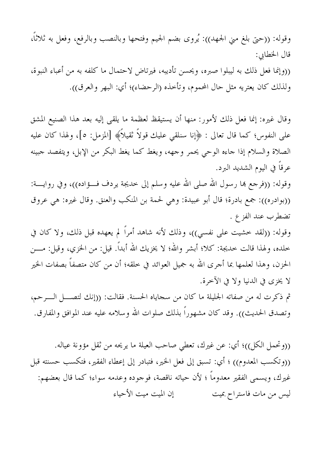وقوله: ((حتى بلغ منى الجهد)): يُروى بضم الجيم وفتحها وبالنصب وبالرفع، وفعل به ثلاثًا، قال الخطابي:

((وإنما فعل ذلك به ليبلوا صبره، ويحسن تأديبه، فيرتاض لاحتمال ما كلفه به من أعباء النبوة، ولذلك كان يعتريه مثل حال المحموم، وتأخذه (الرحضاء)؛ أي: البهر والعرق)).

وقال غيره: إنما فعل ذلك لأمور: منها أن يستيقظ لعظمة ما يلقى إليه بعد هذا الصنيع المشق على النفوس؛ كما قال تعالى : ﴿إِنا سنلقى عليك قولاً ثقيلاً﴾ [المزمل: ٥]، ولهذا كان عليه الصلاة والسلام إذا جاءه الوحى يحمر وجهه، ويغط كما يغط البكر من الإبل، ويتفصد جبينه عرقاً في اليوم الشديد البرد.

وقوله: ((فرجع هما رسول الله صلى الله عليه وسلم إلى خديجة يردف فـــؤاده))، وفي روايــــة: ((بوادره)): جمع بادرة؛ قال أبو عبيدة: وهي لحمة بن المنكب والعنق. وقال غيره: هي عروق تضطرب عند الفز ع .

وقوله: ((لقد خشيت على نفسي))، وذلك لأنه شاهد أمراً لم يعهده قبل ذلك، ولا كان في خلده، ولهذا قالت خديجة: كلا؛ أبشر والله؛ لا يخزيك الله أبداً. قيل: من الخزي، وقيل: مــــن الحزن، وهذا لعلمها بما أجرى الله به جميل العوائد في خلقه؛ أن من كان متصفاً بصفات الخير لا يخزى في الدنيا ولا في الآخرة.

ثم ذكرت له من صفاته الجليلة ما كان من سجاياه الحسنة. فقالت: ((إنك لتصـــل الــــرحم، وتصدق الحديث)). وقد كان مشهوراً بذلك صلوات الله وسلامه عليه عند الموافق والمفارق.

((وتحمل الكل))؛ أي: عن غيرك، تعطي صاحب العيلة ما يريحه من ثقل مؤونة عياله. ((وتكسب المعدوم)) ؛ أي: تسبق إلى فعل الخير، فتبادر إلى إعطاء الفقير، فتكسب حسنته قبل غيرك، ويسمى الفقير معدوماً ؛ لأن حياته ناقصة، فوجوده وعدمه سواء؛ كما قال بعضهم: إن الميت ميت الأحياء ليس من مات فاستراح بميت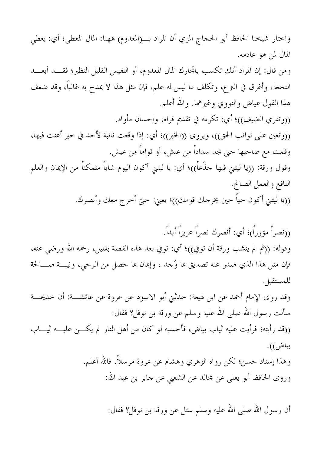واختار شيخنا الحافظ أبو الحجاج المزي أن المراد بـــ(المعدوم) ههنا: المال المعطي؛ أي: يعطي المال لمن هو عادمه.

ومن قال: إن المراد أنك تكسب باتحارك المال المعدوم، أو النفيس القليل النظير؛ فقـــد أبعـــد النجعة، وأغرق في الـتز ع، وتكلف ما ليس له علـم، فإن مثل هذا لا يمدح به غالباً، وقد ضعف هذا القول عياض والنووي وغيرهما. والله أعلم.

((وتقري الضيف))؛ أي: تكرمه في تقديم قراه، وإحسان مأواه. ((وتعين على نوائب الحق))، ويروى ((الخير))؛ أي: إذا وقعت نائبة لأحد في خير أعنت فيها، وقمت مع صاحبها حتى يجد سداداً من عيش، أو قواماً من عيش. وقول ورقة: ((يا ليتني فيها جذَعاً))؛ أي: يا ليتني أكون اليوم شاباً متمكناً من الإيمان والعلم

> النافع والعمل الصالح. ((يا ليتني أكون حياً حين يخرجك قومك))؛ يعني: حتى أخرج معك وأنصرك.

((نصراً مؤزراً)؛ أي: أنصرك نصراً عزيزاً أبداً. وقوله: ((ثم لم ينشب ورقة أن توفي))؛ أي: توفي بعد هذه القصة بقليل، رحمه الله ورضى عنه، فإن مثل هذا الذي صدر عنه تصديق بما وُجد ، وإيمان بما حصل من الوحي، ونيسة صـــالحة للمستقبل.

وقِد روى الإمام أحمد عن ابن لهيعة: حدثني أبو الاسود عن عروة عن عائشـــة: أن خديجـــة سألت رسول الله صلى الله عليه وسلم عن ورقة بن نوفل؟ فقال: ((قد رأيته؛ فرأيت عليه ثياب بياض، فأحسبه لو كان من أهل النار لم يكــــن عليـــــه ثيـــــاب بياض)).

وهذا إسناد حسن؛ لكن رواه الزهري وهشام عن عروة مرسلاً. فالله أعلم. وروى الحافظ أبو يعلى عن مجالد عن الشعبي عن جابر بن عبد الله:

أن رسول الله صلى الله عليه وسلم سئل عن ورقة بن نوفل؟ فقال: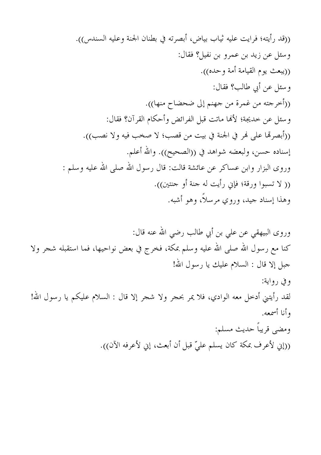((قد رأيته؛ فرايت عليه ثياب بياض، أبصرته في بطنان الجنة وعليه السندس)). وسئل عن زيد بن عمرو بن نفيل؟ فقال: ((يبعث يوم القيامة أمة وحده)). وسئل عن أبي طالب؟ فقال: ((أخرجته من غمرة من جهنم إلى ضحضاح منها)). وسئل عن خديجة؛ لألها ماتت قبل الفرائض وأحكام القرآن؟ فقال: ((أبصرهّا على فمر في الجنة في بيت من قصب؛ لا صخب فيه ولا نصب)). إسناده حسن، ولبعضه شواهد في ((الصحيح)). والله أعلم. وروى البزار وابن عساكر عن عائشة قالت: قال رسول الله صلى الله عليه وسلم : (( لا تسبوا ورقة؛ فإني رأيت له جنة أو جنتين)). وهذا إسناد جيد، وروي مرسلاً، وهو أشبه.

وروى البيهقى عن على بن أبي طالب رضى الله عنه قال: كنا مع رسول الله صلى الله عليه وسلم بمكة، فخرج في بعض نواحيها، فما استقبله شجر ولا جبل إلا قال : السلام عليك يا رسول الله! وفي رواية: لقد رأيتني أدخل معه الوادي، فلا يمر بحجرٍ ولا شجرٍ إلا قال : السلام عليكم يا رسول الله! وأنا أسمعه. ومضى قريباً حديث مسلم: ((إِنِي لأعرِفَ بِمَكَّةِ كَانَ يَسْلَمْ عَلَيِّ قِبَلِ أَنْ أَبْعَثْ، إِنِي لأَعْرِفَهِ الآن)).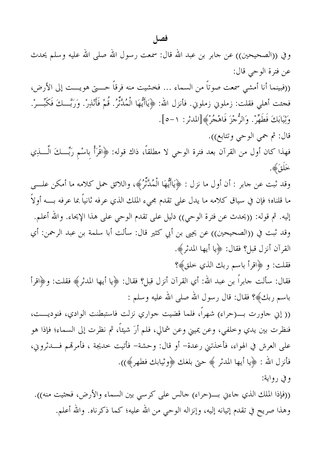وفي ((الصحيحين)) عن جابر بن عبد الله قال: سمعت رسول الله صلى الله عليه وسلم يحدث عن فترة الوحي قال: ((فبينما أنا أمشى سمعت صوتاً من السماء … فخشيت منه فرقاً حــــتي هويـــت إلى الأرض، فحئت أهلي فقلت: زملوني زملوني. فأنزل الله: ﴿يَاأَيُّهَا الْمُدَّثِّرُ. قُمْ فَأَنْذِرْ. وَرَبَّــكَ فَكَبِّــرْ. وَثِيَابَكَ فَطَهِّرْ. وَالرُّجْزَ فَاهْجُرْ﴾[المدثر: ١–٥]. قال: ثم حمى الوحي وتتابع)). فهذا كان أول من القرآن بعد فترة الوحي لا مطلقاً، ذاك قوله: ﴿اقْرَأْ باسْم رَبِّـــكَ الَّــــذِي خَلَقَ﴾. وقد ثبت عن جابر : أن أول ما نزل : ﴿يَاأَيُّهَا الْمُدَّنَّرُ﴾، واللائق حمل كلامه ما أمكن علـــي ما قلناه؛ فإن في سياق كلامه ما يدل على تقدم مجيء الملك الذي عرفه ثانياً بما عرفه بــــه أولاً إليه. ثم قوله: ((يحدث عن فترة الوحي)) دليل على تقدم الوحي على هذا الإيحاء. والله أعلم. وقد ثبت في ((الصحيحين)) عن يجيي بن أبي كثير قال: سألت أبا سلمة بن عبد الرحمن: أي القرآن أنزل قبل؟ فقال: ﴿ يَا أَيْهَا الْمَدْنَرِ﴾. فقلت: و ﴿اقرأ باسم ربك الذي خلق﴾؟ فقال: سألت جابراً بن عبد الله: أي القرآن أنزل قبل؟ فقال: ﴿يا أيها المدثر﴾ فقلت: و﴿اقرأ باسم ربك﴾؟ فقال: قال رسول الله صلى الله عليه وسلم : (( إني جاورت بــــ(حراء) شهراً، فلما قضيت جواري نزلت فاستبطنت الوادي، فنوديــــت، فنظرت بين يدي وخلفي، وعن يميني وعن شمالي، فلم أرَ شيئاً، ثم نظرت إلى السماء؛ فإذا هو على العرش في الهواء، فأخذتني رعدة– أو قال: وحشة– فأتيت خديجة ، فأمرتَّمم فــــدثروني، فأنزل الله : ﴿ يا أيها المدثر ﴾ حتى بلغك ﴿وثيابك فطهر﴾)). وفي رواية: ((فإذا الملك الذي جاءين بــــ(حراء) جالس على كرسي بين السماء والأرض، فجثيت منه)). وهذا صريح في تقدم إتيانه إليه، وإنزاله الوحي من الله عليه؛ كما ذكرناه. والله أعلم.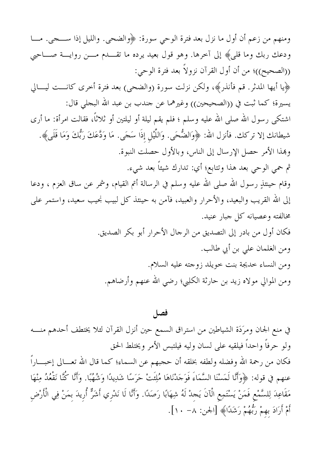ومنهم من زعم أن أول ما نزل بعد فترة الوحي سورة: ﴿والضحى. والليل إذا ســـجى. مـــا ودعك ربك وما قلي﴾ إلى أخرها. وهو قول بعيد يرده ما تقـــدم مــــن روايــــة صــــاحبي ((الصحيح))؛ من أن أول القرآن نزولاً بعد فترة الوحي: ﴿يا أيها المدثر. قم فأنذر﴾، ولكن نزلت سورة (والضحى) بعد فترة أخرى كانـــت ليـــالي يسيرة؛ كما ثبت في ((الصحيحين)) وغيرهما عن جندب بن عبد الله البحلي قال: اشتكى رسول الله صلى الله عليه وسلم ؛ فلم يقم ليلة أو ليلتين أو ثلاثًا، فقالت امرأة: ما أرى شيطانك إلا تركك. فأنزل الله: ﴿وَالضُّحَى. وَاللَّيْلِ إِذَا سَجَى. مَا وَدَّعَكَ رَبُّكَ وَمَا قَلَى﴾. وهذا الأمر حصل الإرسال إلى الناس، وبالأول حصلت النبوة. ثم حمى الوحي بعد هذا وتتابع؛ أي: تدارك شيئاً بعد شيء. وقام حينئذٍ رسول الله صلى الله عليه وسلم في الرسالة أتم القيام، وشمر عن ساق العزم ، ودعا إلى الله القريب والبعيد، والأحرار والعبيد، فآمن به حينئذ كل لبيب نجيب سعيد، واستمر على مخالفته وعصيانه كل جبار عنيد. فكان أول من بادر إلى التصديق من الرجال الأحرار أبو بكر الصديق. ومن الغلمان على بن أبي طالب. ومن النساء خديجة بنت خويلد زوجته عليه السلام. ومن الموالي مولاه زيد بن حارثة الكلبي؛ رضي الله عنهم وأرضاهم.

## فصل

في منع الجان ومرَدَة الشياطين من استراق السمع حين أنزل القرآن لثلا يختطف أحدهم منــــه ولو حرفاً واحداً فيلقيه على لسان وليه فيلتبس الأمر ويختلط الحق فكان من رحمة الله وفضله ولطفه بخلقه أن حجبهم عن السماء؛ كما قال الله تعـــالى إخبــــاراً عنهم في قوله: ﴿وَأَنَّا لَمَسْنَا السَّمَاءَ فَوَجَدْنَاهَا مُلِئَتْ حَرَسًا شَدِيدًا وَشُهْبًا. وَأَنَّا كُنَّا نَقْعُدُ مِنْهَا مَقَاعِدَ لِلسَّمْعِ فَمَنْ يَسْتَمِعِ الْآنَ يَجدْ لَهُ شِهَابًا رَصَدًا. وَأَنَّا لَا نَدْرِي أَشَرٌّ أُريدَ بمَنْ فِي الْأَرْض أَمْ أَرَادَ بهمْ رَبُّهُمْ رَشَدًا﴾ [الجن: ٨– ١٠].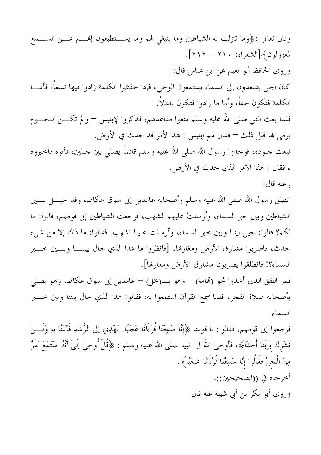وقال تعالى :﴿وما تترلت به الشياطين وما ينبغي لهم وما يســـتطيعون إلهــــم عــــن الســــمع لمعزولون﴾[الشعراء: ٢١٠ — ٢١٢]. وروى الحافظ أبو نعيم عن ابن عباس قال: كان الجن يصعدون إلى السماء يستمعون الوحي، فإذا حفظوا الكلمة زادوا فيها تسعاً، فأمـــا الكلمة فتكون حقاً، وأما ما زادوا فتكون باطلاً. فلما بعث النبي صلى الله عليه وسلم منعوا مقاعدهم، فذكروا لإبليس — و لم تكـــن النجـــوم يرمي بما قبل ذلك — فقال لهم إبليس : هذا لأمر قد حدث في الأرض. فبعث جنوده، فوجدوا رسول الله صلى الله عليه وسلم قائماً يصلى بين جبلين، فأتوه فأخبروه ، فقال : هذا الأمر الذي حدث في الأرض. وعنه قال: انطلق رسول الله صلى الله عليه وسلم وأصحابه عامدين إلى سوق عكاظ، وقد حيــــل بــــين الشياطين وبين حبر السماء، وأرسلتْ عليهم الشهب، فرجعت الشياطين إلى قومهم، قالوا: ما لكم؟ قالوا: حيل بيننا وبين خبر السماء، وأرسلت علينا اشهب. فقالوا: ما ذاك إلا من شيء حدث، فاضربوا مشارق الأرض ومغاربها، [فانظروا ما هذا الذي حال بيننـــا وبـــين خــــبر السماء؟! فانطلقوا يضربون مشارق الأرض ومغارها]. فمر النفق الذي أخذوا نحو (تمامة) – وهو بــــ(نخل) – عامدين إلى سوق عكاظ، وهو يصلي بأصحابه صلاة الفجر، فلما سمع القرآن استمعوا له، فقالو: هذا الذي حال بيننا وبين خــــبر السماء. فرجعوا إلى قومهم، فقالوا: يا قومنا ﴿إِنَّا سَمِعْنَا قُرْءَانًا عَجَبًا. يَهْدِي إلى الرُّشْدِ فَآمَنَّا بهِ وَلَـــنْ نُشْركَ برَبِّنَا أَحَدًا﴾، فأوحى الله إلى نبيه صلى الله عليه وسلم : ﴿قُلْ أُوحِيَ إِلَيَّ أَنَّهُ اسْتَمَعَ نَفَرٌ مِنَ الْجنِّ فَقَالُوا إِنَّا سَمِعْنَا قُرْءَانًا عَجَبًا﴾. أحرجاه في ((الصحيحين)).

وروى أبو بكر بن أبي شيبة عنه قال: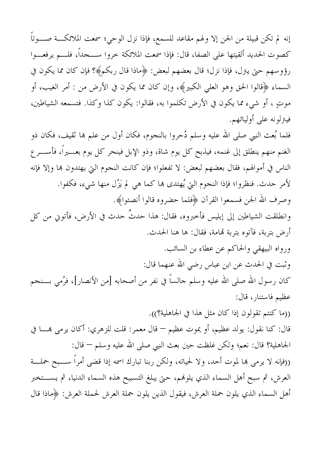إنه لم تكن قبيلة من الجن إلا ولهم مقاعد للسمع، فإذا نزل الوحى؛ سمعت الملائكـــة صــــوتاً كصوت الحديد ألقيتها على الصفا، قال: فإذا سمعت الملائكة خروا ســــجداً، فلــــم يرفعـــوا رؤوسهم حتى يترل، فإذا نزل؛ قال بعضهم لبعض: ﴿ماذا قال ربكم﴾؟ فإن كان مما يكون في السماء ﴿قَالُوا الحقَّ وهو العلي الكبير﴾، وإن كان مما يكون في الأرض من : أمر الغيب، أو موتٍ ، أو شيء مما يكون في الأرض تكلموا به، فقالوا: يكون كذا وكذا. فتسمعه الشياطين، فيترلونه على أوليائهم.

فلما بُعث النبي صلى الله عليه وسلم دُحروا بالنجوم، فكان أول من علم هِا ثقيف، فكان ذو الغنم منهم ينطلق إلى غنمه، فيذبح كل يوم شاة، وذو الإبل فينحر كل يوم بعــــيراً، فأســــر ع الناس في أموالهم، فقال بعضهم لبعض: لا تفعلوا؛ فإن كانت النجوم التي يهتدون بما وإلا فإنه لأمر حدث. فنظروا؛ فإذا النحوم التي يُهتدي هِا كما هي لم يَزُل منها شيءِ، فكفوا. وصرف الله الجن فسمعوا القرآن ﴿فَلَمَّا حَضَرُوهُ قَالُوا أَنصتوا﴾. وانطلقت الشياطين إلى إبليس فأخبروه، فقال: هذا حدثٌ حدث في الأرض، فأتونى من كل أرض بتربة، فآتوه بتربة تهامة، فقال: ها هنا الحدث. ورواه البيهقي والحاكم عن عطاء بن السائب. وثبت في الحدث عن ابن عباس رضي الله عنهما قال: كان رسول الله صلى الله عليه وسلم جالساً في نفر من أصحابه [من الأنصار]، فرُمي بـــنجم عظيم فاستنار، قال: ((ما كنتم تقولون إذا كان مثل هذا في الجاهلية؟)). قال: كنا نقول: يولد عظيم، أو يموت عظيم — قال معمر: قلت للزهري: أكان يرمى بهــــا في الجاهلية؟ قال: نعم؛ ولكن غلظت حين بعث النبي صلى الله عليه وسلم — قال:

((فإنه لا يرمى بما لموت أحد، ولا لحياته، ولكن ربنا تبارك اسمه إذا قضى أمراً ســـبح حملـــة العرش، ثم سبح أهل السماء الذي يلوهُم، حتى يبلغ التسبيح هذه السماء الدنيا، ثم يســـتخبر أهل السماء الذي يلون حملة العرش، فيقول الذين يلون حملة العرش لحملة العرش: ﴿مَاذَا قَالَ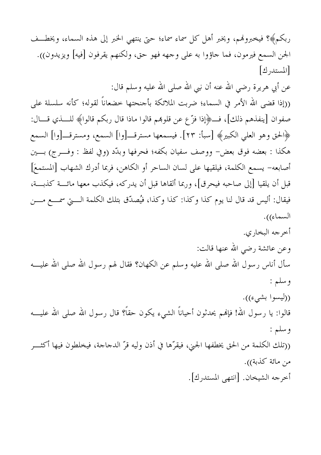ربكم﴾؟ فيخبروفمم، ويخبر أهل كل سماء سماء؛ حتى ينتهي الخبر إلى هذه السماء، ويخطــف الجن السمع فيرمون، فما جاؤوا به على وجهه فهو حق، ولكنهم يقرفون [فيه] ويزيدون)). [المستدرك] عن أبي هريرة رضي الله عنه أن نبي الله صلى الله عليه وسلم قال: ((إذا قضى الله الأمر في السماء؛ ضربت الملائكة بأجنحتها خضعاناً لقوله؛ كأنه سلسلة على صفوان [ينفذهم ذلك]، فـــ﴿إذا فزَّع عن قلوهِم قالوا ماذا قال ربكم قالوا﴾ للــــذي قــــال: ﴿الْحَقِّ وهو العلي الكبيرِ﴾ [سبأ: ٢٣]. فيسمعها مسترقـ[وا] السمع، ومسترقـ[وا] السمع هكذا : بعضه فوق بعض- ووصف سفيان بكفه؛ فحرفها وبدَّد (وفي لفظ : وفــرج) بـــين أصابعه– يسمع الكلمة، فيلقيها على لسان الساحر أو الكاهن، فربما أدرك الشهاب [المستمعَ] قبل أن يلقيا [إلى صاحبه فيحرق]، وربما ألقاها قبل أن يدركه، فيكذب معها مائـــة كذبـــة، فيقال: أليس قد قال لنا يوم كذا وكذا: كذا وكذا، فيُصدِّق بتلك الكلمة الـــتي سمـــع مـــن السماء)). أخرجه البخاري. وعن عائشة رضي الله عنها قالت: سأل أناس رسول الله صلى الله عليه وسلم عن الكهان؟ فقال لهم رسول الله صلى الله عليــــه وسلين: ((ليسوا بشيء)). قالوا: يا رسول الله! فإلهم يحدثون أحياناً الشيء يكون حقاً؟ قال رسول الله صلى الله عليــــه وسلم : ((تلك الكلمة من الحق يخطفها الجني، فيقرَّها في أذن وليه قرَّ الدجاجة، فيخلطون فيها أكثـــر من مائة كذبة)). أخرجه الشيخان. [انتهى المستدرك].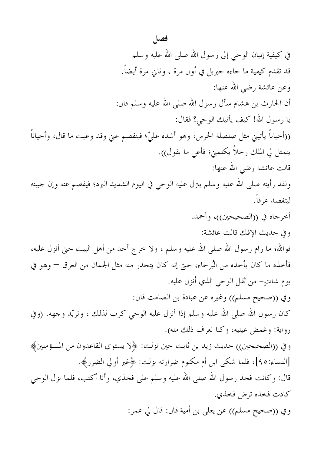فصل في كيفية إتيان الوحي إلى رسول الله صلى الله عليه وسلم قد تقدم كيفية ما جاءه جبريل في أول مرة ، وثاني مرة أيضاً. وعن عائشة رضي الله عنها: أن الحارث بن هشام سأل رسول الله صلى الله عليه وسلم قال: يا رسول الله! كيف يأتيك الوحى؟ فقال: ((أحياناً يأتيني مثل صلصلة الجرس، وهو أشده عليٌّ؛ فينفصم عني وقد وعيت ما قال، وأحياناً يتمثل لي الملك رجلاً يكلمني؛ فأعي ما يقول)). قالت عائشة رضى الله عنها: ولقد رأيته صلى الله عليه وسلم يترل عليه الوحى في اليوم الشديد البرد؛ فيفصم عنه وإن جبينه ليتفصد عرقاً. أخرجاه في ((الصحيحين))، وأحمد. وفي حديث الإفك قالت عائشة: فوالله؛ ما رام رسول الله صلى الله عليه وسلم ، ولا خرج أحد من أهل البيت حتى أنزل عليه، فأخذه ما كان يأخذه من البُرحاء، حتى إنه كان يتحدر منه مثل الجمان من العرق — وهو في يوم شاتٍ– من ثقل الوحي الذي أنزل عليه. وفي ((صحيح مسلم)) وغيره عن عبادة بن الصامت قال: كان رسول الله صلى الله عليه وسلم إذا أنزل عليه الوحى كرب لذلك ، وتربَّد وجهه. (وفي رواية: وغمض عينيه، وكنا نعرف ذلك منه). وفي ((الصحيحين)) حديث زيد بن ثابت حين نزلت: ﴿لا يستوي القاعدون من المـــؤمنين﴾ [النساء:٩٥]، فلما شكي ابن أم مكتوم ضرارته نزلت: ﴿غير أُولِي الضررِ﴾. قال: وكانت فخذ رسول الله صلى الله عليه وسلم على فخذي، وأنا أكتب، فلما نزل الوحى كادت فخذه ترض فخذى. وفي ((صحيح مسلم)) عن يعلي بن أمية قال: قال لي عمر: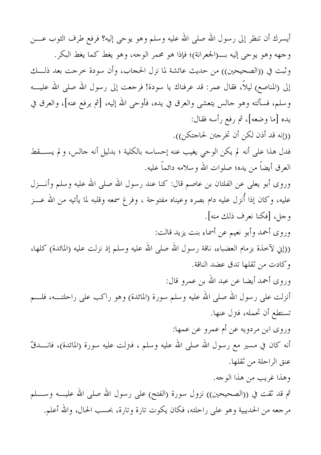أيسرك أن تنظر إلى رسول الله صلى الله عليه وسلم وهو يوحى إليه؟ فرفع طرف الثوب عــــن وثبت في ((الصحيحين)) من حديث عائشة لما نزل الحجاب، وأن سودة خرجت بعد ذلـــك إلى (المناصع) ليلاً، فقال عمر: قد عرفناك يا سودة! فرجعت إلى رسول الله صلى الله عليــــه وسلم، فسألته وهو حالس يتعشى والعرق في يده، فأوحى الله إليه، [ثم يرفع عنه]، والعرق في يده [ما وضعه]، ثم رفع رأسه فقال: ((إنه قد أذن لكن أن تخرجتن لحاجتكن)). فدل هذا على أنه لم يكن الوحي يغيب عنه إحساسه بالكلية ؛ بدليل أنه جالس، ولم يســـقط العرق أيضاً من يده؛ صلوات الله وسلامه دائماً عليه. وروى أبو يعلى عن الفلتان بن عاصم قال: كنا عند رسول الله صلى الله عليه وسلم وأنـــزل عليه، وكان إذا أُنزل عليه دام بصره وعيناه مفتوحة ، وفر غ سمعه وقلبه لما يأتيه من الله عـــز وجل، [فكنا نعرف ذلك منه]. وروى أحمد وأبو نعيم عن أسماء بنت يزيد قالت: ((إين لآخذة بزمام العضباء، ناقة رسول الله صلى الله عليه وسلم إذ نزلت عليه (المائدة) كلها، وكادت من ثقلها تدق عضد الناقة. وروى أحمد أيضا عن عبد الله بن عمرو قال: أنزلت على رسول الله صلى الله عليه وسلم سورة (المائدة) وهو راكب على راحلتـــه، فلــــم تستطع أن تحمله، فترل عنها. وروى ابن مردويه عن أم عمرو عن عمها: أنه كان في مسير مع رسول الله صلى الله عليه وسلم ، فترلت عليه سورة (المائدة)، فانــــدقّ عنق الراحلة من ثقلها. وهذا غريب من هذا الوجه. ثم قد ثقت في ((الصحيحين)) نزول سورة (الفتح) على رسول الله صلى الله عليــــه وســــلم مرجعه من الحديبية وهو على راحلته، فكان يكوت تارة وتارة، بحسب الحال، والله أعلم.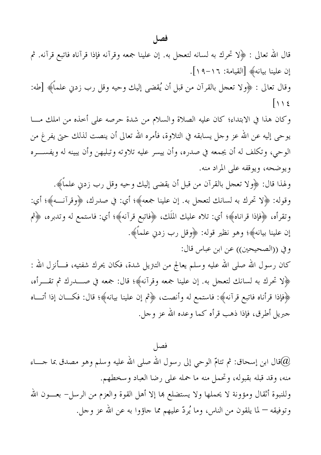فصل

قال الله تعالى : ﴿لا تحرك به لسانه لتعجل به. إن علينا جمعه وقرآنه فإذا قرآناه فاتبع قرآنه. ثم

إن علينا بيانه، [القيامة: ١٦-١٩]. وقال تعالى : ﴿ولا تعجل بالقرآن من قبل أن يُقضى إليك وحيه وقل رب زدني علماً﴾ [طه:  $\lceil \cdot \rangle$  { وكان هذا في الابتداء؛ كان عليه الصلاة والسلام من شدة حرصه على أحذه من املك مــا يوحي إليه عن الله عز وجل يسابقه في التلاوة، فأمره الله تعالى أن ينصت لذلك حتى يفر غ من الوحي، وتكلف له أن يجمعه في صدره، وأن ييسر عليه تلاوته وتبليهن وأن يبينه له ويفســـره ويوضحه، ويوقفه على المراد منه. ولهذا قال: ﴿ولا تعجل بالقرآن من قبل أن يقضي إليك وحيه وقل رب زدني علماً﴾. وقوله: ﴿لا تحرك به لسانك لتعجل به. إن علينا جمعه﴾؛ أي: في صدرك، ﴿وقرآنـــه﴾؛ أي: وتقرأه، ﴿فإذا قراناه﴾؛ أي: تلاه عليك المُلَك، ﴿فاتبع قرآنه﴾؛ أي: فاستمع له وتدبره، ﴿ثُم إن علينا بيانه﴾؛ وهو نظير قوله: ﴿وقل رب زدني علماً﴾. وفي ((الصحيحين)) عن ابن عباس قال: كان رسول الله صلى الله عليه وسلم يعالج من التتريل شدة، فكان يحرك شفتيه، فـــأنزل الله : ﴿لا تحرك به لسانك لتعجل به. إن علينا جمعه وقرآنه﴾؛ قال: جمعه في صــــدرك ثم تقــــرأه،

﴿فَإِذَا قَرْأَنَاهُ فَاتِبَعَ قَرْآنَهُ﴾: فاستمع له وأنصت، ﴿ثُمَّ إِنْ عَلَيْنَا بِيَانَهُ﴾؛ قال: فكـــان إذا أتـــاه جبريل أطرق، فإذا ذهب قرأه كما وعده الله عز وجل.

فصا قال ابن إسحاق: ثم تتامّ الوحي إلى رسول الله صلى الله عليه وسلم وهو مصدق بما جــــاء $@$ منه، وقد قبله بقبوله، وتحمل منه ما حمله على رضا العباد وسخطهم. وللنبوة أثقال ومؤونة لا يحملها ولا يستضلع ها إلا أهل القوة والعزم من الرسل– بعـــون الله وتوفيقه — لما يلقون من الناس، وما يُردّ عليهم مما جاؤوا به عن الله عز وجل.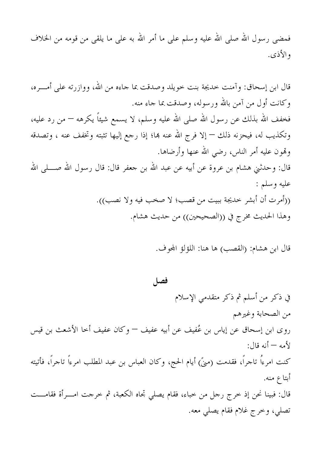فصل

في ذكر من أسلم ثم ذكر متقدمي الإسلام من الصحابة وغيرهم روى ابن إسحاق عن إياس بن عُفيف عن أبيه عفيف — وكان عفيف أخا الأشعث بن قيس لأمه — أنه قال: كنت امرءًا تاجرًا، فقدمت (منيً) أيام الحج، وكان العباس بن عبد المطلب امرءاً تاجراً، فأتيته أبتاع منه. قال: فبينا نحن إذ خرج رجل من خباء، فقام يصلي تجاه الكعبة، ثم خرجت امــــرأة فقامــــت تصليي، وخرج غلام فقام يصلي معه.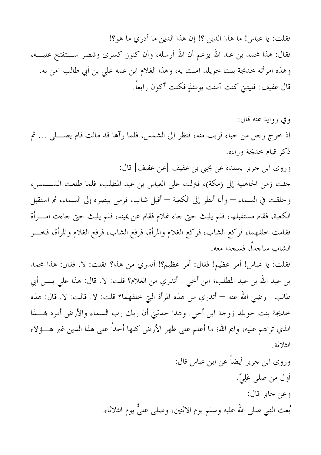فقلت: يا عباس! ما هذا الدين ؟! إن هذا الدين ما أدري ما هو؟! فقال: هذا محمد بن عبد الله يزعم أن الله أرسله، وأن كنوز كسرى وقيصر ســـتفتح عليـــه، وهذه امرأته خديجة بنت خويلد آمنت به، وهذا الغلام ابن عمه على بن أبي طالب آمن به. قال عفيف: فليتني كنت آمنت يومئذٍ فكنت أكون رابعاً.

وفي رواية عنه قال: إذ خرج رجل من خباء قريب منه، فنظر إلى الشمس، فلما رأها قد مالت قام يصــــلبي … ثم ذكر قيام خديجة وراءه.

وروى ابن جرير بسنده عن يجيى بن عفيف [عن عفيف] قال:

جئت زمن الجاهلية إلى (مكة)، فترلت على العباس بن عبد المطلب، فلما طلعت الشــــمس، وحلقت في السماء — وأنا أنظر إلى الكعبة — أقبل شاب، فرمي ببصره إلى السماء، ثم استقبل الكعبة، فقام مستقبلها، فلم يلبث حتى جاء غلام فقام عن يمينه، فلم يلبث حتى جاءت امـــرأة فقامت خلفهما، فركع الشاب، فركع الغلام والمرأة، فرفع الشاب، فرفع الغلام والمرأة، فخـــر الشاب ساجداً، فسجدا معه.

فقلت: يا عباس! أمر عظيم! فقال: أمر عظيم؟! أتدري من هذا؟ فقلت: لا. فقال: هذا محمد بن عبد الله بن عبد المطلب؛ ابن أخي . أتدري من الغلام؟ قلت: لا. قال: هذا على بــــن أبي طالب– رضي الله عنه — أتدري من هذه المرأة التي خلفهما؟ قلت: لا. قالت: لا. قال: هذه خديجة بنت خويلد زوجة ابن أخي. وهذا حدثني أن ربك رب السماء والأرض أمره بمسذا الذي تراهم عليه، وايم الله؛ ما أعلم على ظهر الأرض كلها أحداً على هذا الدين غير هـــؤلاء الثلاثة

> وروى ابن جرير أيضاً عن ابن عباس قال: أول من صلى عَلِيٌّ. وعن جابر قال: بُعث النبي صلى الله عليه وسلم يوم الاثنين، وصلى علىٌّ يوم الثلاثاء.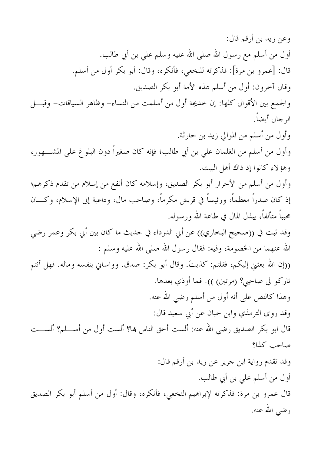وعن زيد بن أرقم قال: أول من أسلم مع رسول الله صلى الله عليه وسلم على بن أبي طالب. قال: [عمرو بن مرة]: فذكرته للنخعي، فأنكره، وقال: أبو بكر أول من أسلم. وقال آخرون: أول من أسلم هذه الأمة أبو بكر الصديق. والجمع بين الأقوال كلها: إن حديجة أول من أسلمت من النساء– وظاهر السياقات– وقبـــل الرجال أيضاً. وأول من أسلم من الموالي زيد بن حارثة. وأول من أسلم من الغلمان على بن أبي طالب؛ فإنه كان صغيراً دون البلوغ على المشــــهور، وهؤلاء كانوا إذ ذاك أهل البيت. وأول من أسلم من الأحرار أبو بكر الصديق، وإسلامه كان أنفع من إسلام من تقدم ذكرهم؛ إذ كان صدراً معظماً، ورئيساً في قريش مكرماً، وصاحب مال، وداعية إلى الإسلام، وكـــان محبباً متألفاً، يبذل المال في طاعة الله ورسوله. وقد ثبت في ((صحيح البخاري)) عن أبي الدرداء في حديث ما كان بين أبي بكر وعمر رضي الله عنهما من الخصومة، وفيه: فقال رسول الله صلى الله عليه وسلم : ((إن الله بعثني إليكم، فقلتم: كذبتَ. وقال أبو بكر: صدق. وواساني بنفسه وماله. فهل أنتم تاركو لي صاحبي؟ (مرتين) )). فما أوذي بعدها. وهذا كالنص على أنه أول من أسلم رضي الله عنه. وقد روى الترمذي وابن حبان عن أبي سعيد قال: قال ابو بكر الصديق رضي الله عنه: ألست أحق الناس هما؟ ألست أول من أســــلم؟ ألســــت صاحب كذا؟ وقد تقدم رواية ابن جرير عن زيد بن أرقم قال: أول من أسلم على بن أبي طالب. قال عمرو بن مرة: فذكرته لإبراهيم النخعي، فأنكره، وقال: أول من أسلم أبو بكر الصديق رضي الله عنه.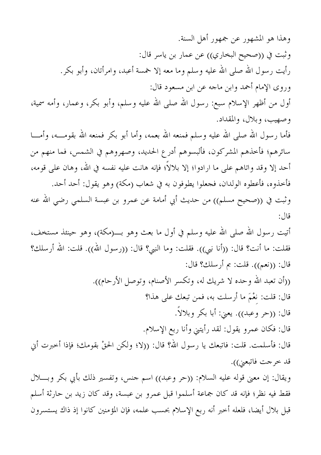وهذا هو المشهور عن جمهور أهل السنة. وثبت في ((صحيح البخاري)) عن عمار بن ياسر قال: رأيت رسول الله صلى الله عليه وسلم وما معه إلا خمسة أعبد، وامرأتان، وأبو بكر. وروى الإمام أحمد وابن ماجه عن ابن مسعود قال: أول من أظهر الإسلام سبع: رسول الله صلى الله عليه وسلم، وأبو بكر، وعمار، وأمه سمية، وصهيب، وبلال، والمقداد. فأما رسول الله صلى الله عليه وسلم فمنعه الله بعمه، وأما أبو بكر فمنعه الله بقومـــه، وأمـــا سائرهم؛ فأخذهم المشركون، فألبسوهم أدرع الحديد، وصهروهم في الشمس، فما منهم من أحد إلا وقد واتاهم على ما ارادوا؛ إلا بلالاً؛ فإنه هانت عليه نفسه في الله، وهان على قومه، فأخذوه، فأعطوه الولدان، فجعلوا يطوفون به في شعاب (مكة) وهو يقول: أحد أحد. وثبت في ((صحيح مسلم)) من حديث أبي أمامة عن عمرو بن عبسة السلمي رضي الله عنه قال: أتيت رسول الله صلى الله عليه وسلم في أول ما بعث وهو بــــ(مكة)، وهو حينئذ مستخف، فقلت: ما أنت؟ قال: ((أنا نبي)). فقلت: وما النبي؟ قال: ((رسول الله)). قلت: الله أرسلك؟ قال: ((نعم)). قلت: بم أرسلك؟ قال: ((أن تعبد الله وحده لا شريك له، وتكسر الأصنام، وتوصل الأرحام)). قال: قلت: نعْمَ ما أرسلت به، فمن تبعك على هذا؟ قال: ((حر وعبد)). يعني: أبا بكر وبلالاً. قال: فكان عمرو يقول: لقد رأيتني وأنا ربع الإسلام. قال: فأسلمت. قلت: فاتبعك يا رسول الله؟ قال: ((لا؛ ولكن الحقْ بقومك؛ فإذا أحبرت أين قد خرجت فاتبعني)). ويقال: إن معنى قوله عليه السلام: ((حر وعبد)) اسم جنس، وتفسير ذلك بأبي بكر وبـــلال فقط فيه نظر؛ فإنه قد كان جماعة أسلموا قبل عمرو بن عبسة، وقد كان زيد بن حارثة أسلم

قبل بلال أيضا، فلعله أخبر أنه ربع الإسلام بحسب علمه، فإن المؤمنين كانوا إذ ذاك يستسرون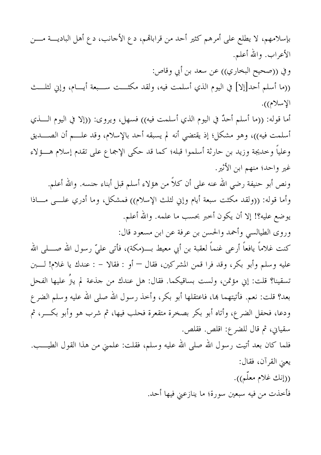بإسلامهم، لا يطلع على أمرهم كثير أحد من قرابالهم، دع الأحانب، دع أهل الباديــــة مــــن الأعراب. والله أعلم. وفي ((صحيح البخاري)) عن سعد بن أبي وقاص: ((ما أسلم أحد[إلا] في اليوم الذي أسلمت فيه، ولقد مكثـــت ســـبعة أيــــام، وإين لثلـــث الإسلام)). أما قوله: ((ما أسلم أحدٌ في اليوم الذي أسلمت فيه)) فسهل، ويروى: ((إلا في اليوم الــــذي أسلمت فيه))، وهو مشكل؛ إذ يقتضي أنه لم يسبقه أحد بالإسلام، وقد علـــم أن الصــــديق وعلياً وخديجة وزيد بن حارثة أسلموا قبله؛ كما قد حكي الإجماع على تقدم إسلام هـــؤلاء غير واحد؛ منهم ابن الأثير. ونص أبو حنيفة رضي الله عنه على أن كلاً من هؤلاء أسلم قبل أبناء جنسه. والله أعلم. وأما قوله: ((ولقد مكثت سبعة أيام وإين لثلث الإسلام)) فمشكل، وما أدري علـــى مـــاذا يوضع عليه؟! إلا أن يكون أخبر بحسب ما علمه. والله أعلم. وروى الطيالسي وأحمد والحسن بن عرفة عن ابن مسعود قال: كنت غلاماً يافعاً أرعى غنماً لعقبة بن أبي معيط بــــ(مكة)، فأتى عليّ رسول الله صـــــلى الله عليه وسلم وأبو بكر، وقد فرا قمن المشركين، فقال — أو : فقالا – : عندك يا غلام! لـــبن تسقينا؟ قلت: إني مؤتمن، ولست بساقيكما. فقال: هل عندك من جذعة لم يترَ عليها الفحل بعد؟ قلت: نعم. فأتيتهما بما، فاعتقلها أبو بكر، وأخذ رسول الله صلى الله عليه وسلم الضرع ودعا، فحفل الضرع، وأتاه أبو بكر بصخرة متقعرة فحلب فيها، ثم شرب هو وأبو بكـــر، ثم سقياني، ثم قال للضرع: اقلص. فقلص. فلما كان بعد أتيت رسول الله صلى الله عليه وسلم، فقلت: علمنى من هذا القول الطيـــب. يعني القرآن، فقال: ((إنك غلام معلّم)). فأخذت من فيه سبعين سورة؛ ما ينازعني فيها أحد.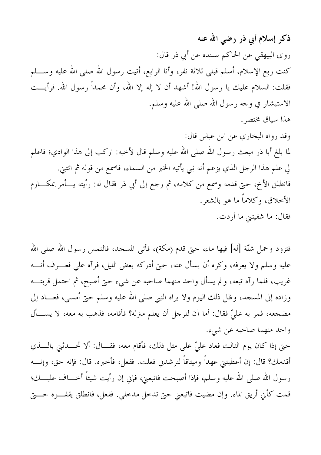ذكر إسلام أبي ذر رضى الله عنه روى البيهقى عن الحاكم بسنده عن أبي ذر قال: كنت ربع الإسلام، أسلم قبلي ثلاثة نفر، وأنا الرابع، أتيت رسول الله صلى الله عليه وســــلم فقلت: السلام عليك يا رسول الله! أشهد أن لا إله إلا الله، وأن محمداً رسول الله. فرأيـــت الاستبشار في وجه رسول الله صلى الله عليه وسلم. هذا سياق مختصر . وقد رواه البخاري عن ابن عباس قال: لما بلغ أبا ذر مبعث رسول الله صلى الله عليه وسلم قال لأخيه: اركب إلى هذا الوادي؛ فاعلم لى علم هذا الرجل الذي يزعم أنه نبي يأتيه الخبر من السماء، فاسمع من قوله ثم ائتني. فانطلق الأخ، حتى قدمه وسمع من كلامه، ثم رجع إلى أبي ذر فقال له: رأيته يــــأمر بمكــــارم الأخلاق، وكلاماً ما هو بالشعر.

فقال: ما شفيتني ما أردت.

فتزود وحمل شنَّة [له] فيها ماء، حتى قدم (مكة)، فأتى المسحد، فالتمس رسول الله صلى الله عليه وسلم ولا يعرفه، وكره أن يسأل عنه، حتى أدركه بعض الليل، فرآه على فعـــرف أنــــه غريب، فلما رآه تبعه، ولم يسأل واحد منهما صاحبه عن شيء حتى أصبح، ثم احتمل قربتـــه وزاده إلى المسحد، وظل ذلك اليوم ولا يراه النبي صلى الله عليه وسلم حتى أمسى، فعـــاد إلى مضجعه، فمر به عليّ فقال: أما آن للرجل أن يعلم مترله؟ فأقامه، فذهب به معه، لا يســـأل واحد منهما صاحبه عن شيء.

حتى إذا كان يوم الثالث فعاد عليَّ على مثل ذلك، فأقام معه، فقـــال: ألا تحـــدثني بالــــذي أقدمك؟ قال: إن أعطيتني عهداً وميثاقاً لترشدني فعلت. ففعل، فأخبره. قال: فإنه حق، وإنــــه رسول الله صلى الله عليه وسلم، فإذا أصبحت فاتبعني، فإني إن رأيت شيئاً أخـــاف عليـــك؛ قمت كأني أريق الماء. وإن مضيت فاتبعني حتى تدخل مدخلي. ففعل، فانطلق يقفـــوه حــــتي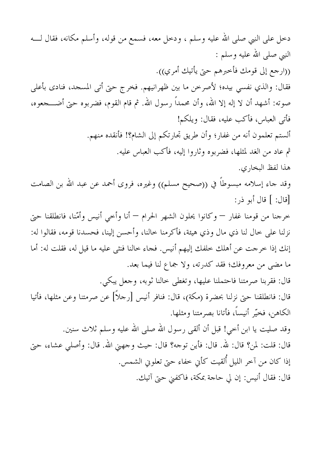دخل على النبي صلى الله عليه وسلم ، ودخل معه، فسمع من قوله، وأسلم مكانه، فقال لـــه النبي صلى الله عليه وسلم : ((ارجع إلى قومك فأخبرهم حتى يأتيك أمري)). فقال: والذي نفسي بيده؛ لأصرخن ما بين ظهرانيهم. فخرج حتى أتى المسحد، فنادى بأعلى صوته: أشهد أن لا إله إلا الله، وأن محمداً رسول الله. ثم قام القوم، فضربوه حتى أضــــــجعوه، فأتي العباس، فأكب عليه، فقال: ويلكم! ألستم تعلمون أنه من غفار؛ وأن طريق تحارتكم إلى الشام؟! فأنقده منهم. ثم عاد من الغد لمثلها، فضربوه وثاروا إليه، فأكب العباس عليه. هذا لفظ البخاري. وقد جاء إسلامه مبسوطاً في ((صحيح مسلم)) وغيره، فروى أحمد عن عبد الله بن الصامت [قال: ] قال أبو ذر: خرجنا من قومنا غفار — وكانوا يحلون الشهر الحرام — أنا وأخى أنيس وأمّنا، فانطلقنا حتى نزلنا على حال لنا ذي مال وذي هيئة، فأكرمنا حالنا، وأحسن إلينا، فحسدنا قومه، فقالوا له: إنك إذا خرجت عن أهلك خلفك إليهم أنيس. فحاء خالنا فنثى عليه ما قيل له، فقلت له: أما ما مضى من معروفك؛ فقد كدرته، ولا جماع لنا فيما بعد. قال: فقربنا صرمتنا فاحتملنا عليها، وتغطى خالنا ثوبه، وجعل يبكي. قال: فانطلقنا حتى نزلنا بحضرة (مكة)، قال: فنافر أنيس [رجلاً] عن صرمتنا وعن مثلها، فأتيا الكاهن، فخيّر أنيساً، فأتانا بصرمتنا ومثلها. وقد صليت يا ابن أخي! قبل أن ألقى رسول الله صلى الله عليه وسلم ثلاث سنين. قال: قلت: لمن؟ قال: لله. قال: فأين توجه؟ قال: حيث وجهيَ الله. قال: وأصلى عشاء، حيّ إذا كان من آخر الليل أُلقيت كأنى خفاء حتى تعلوني الشمس. قال: فقال أنيس: إن لي حاجة بمكة، فاكفني حتى آتيك.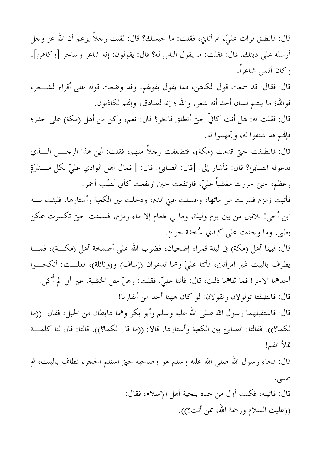قال: فانطلق فراث عليَّ، ثم أتاني، فقلت: ما حبسك؟ قال: لقيت رحلاً يزعم أن الله عز وجل أرسله على دينك. قال: فقلت: ما يقول الناس له؟ قال: يقولون: إنه شاعر وساحر [وكاهن]. وكان أنيس شاعراً.

قال: فقال: قد سمعت قول الكاهن، فما يقول بقولهم، وقد وضعت قوله على أقراء الشــــعر، فوالله؛ ما يلتئم لسان أحد أنه شعر، والله ؛ إنه لصادق، وإلهم لكاذبون.

قال: فقلت له: هل أنت كافيٍّ حتى أنطلق فانظر؟ قال: نعم، وكن من أهل (مكة) على حذر؛ فإلهم قد شنفوا له، وتجهموا له.

قال: فانطلقت حتى قدمت (مكة)، فتضعفت رجلاً منهم، فقلت: أين هذا الرجــــل الــــذي تدعونه الصابيع؟ قال: فأشار إلى. [قال: الصابيع. قال: ] فمال أهل الوادي علىّ بكل مـــدَرَةٍ وعظم، حتى خررت مغشياً عليّ، فارتفعت حين ارتفعت كأني نُصُب أحمر.

فأتيت زمزم فشربت من مائها، وغسلت عني الدم، ودخلت بين الكعبة وأستارها، فلبثت بـــه ابن أخي! ثلاثين من بين يوم وليلة، وما لي طعام إلا ماء زمزم، فسمنت حتى تكسرت عكن بطني، وما وجدت على كبدي سُخفة جو ع.

قال: فبينا أهل (مكة) في ليلة قمراء إضحيان، فضرب الله على أصمخة أهل (مكـــة)، فمــــا يطوف بالبيت غير امرأتين، فأتتا عليٍّ وهما تدعوان (إساف) و(ونائلة)، فقلــت: أنكحــوا أحدهما الآخر! فما ثناهما ذلك، قال: فأتتا عليَّ، فقلت: وهنَّ مثل الخشبة. غير أين لم أُكن. قال: فانطلقتا تولولان وتقولان: لو كان ههنا أحد من أنفارنا!

قال: فاستقبلهما رسول الله صلى الله عليه وسلم وأبو بكر وهما هابطان من الجبل، فقال: ((ما لكما؟)). فقالتا: الصابيئ بين الكعبة وأستارها. قالا: ((ما قال لكما؟)). قالتا: قال لنا كلمـــة تملأ الفم!

قال: فحاء رسول الله صلى الله عليه وسلم هو وصاحبه حتى استلم الححر، فطاف بالبيت، ثم صلى. قال: فاتيته، فكنت أول من حياه بتحية أهل الإسلام، فقال:

((عليك السلام ورحمة الله، ممن أنت؟)).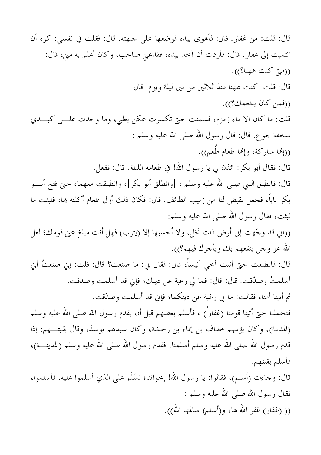قال: قلت: من غفار. قال: فأهوى بيده فوضعها على جبهته. قال: فقلت في نفسي: كره أن انتميت إلى غفارٍ. قال: فأردت أن آخذ بيده، فقدعني صاحبٍ، وكان أعلم به مني، قال: ((متى كنت ههنا؟)). قال: قلت: كنت ههنا منذ ثلاثين من بين ليلة ويوم. قال: ((فمن كان يطعمك؟)). قلت: ما كان إلا ماء زمزم، فسمنت حتى تكسرت عكن بطني، وما وجدت علـــى كبـــدي سخفة جو ع. قال: قال رسول الله صلى الله عليه وسلم : ((إِنَّهَا مُبَارِكَةَ، وإِنَّهَا طَعَامَ طُعَمَ)). قال: فقال أبو بكر: ائذن لي يا رسول الله! في طعامه الليلة. قال: ففعل. قال: فانطلق النبي صلى الله عليه وسلم ، [وانطلق أبو بكر]، وانطلقت معهما، حتى فتح أبـــو بكر باباً، فحعل يقبض لنا من زبيب الطائف. قال: فكان ذلك أول طعام أكلته بما، فلبثت ما لبثت، فقال رسول الله صلى الله عليه وسلم: ((إين قد وجَّهت إلى أرض ذات نخل، ولا أحسبها إلا (يثرب) فهل أنت مبلغ عني قومك؛ لعل الله عز وحل ينفعهم بك ويأحرك فيهم؟)). قال: فانطلقت حيٍّ أتيت أخي أنيساً، قال: فقال لي: ما صنعت؟ قال: قلت: إني صنعتُ أني أسلمتُ وصدّقت. قال: قال: فما لي رغبة عن دينك؛ فإني قد أسلمت وصدقت. ثم أتينا أمنا، فقالت: ما بي رغبة عن دينكما؛ فإين قد أسلمت وصدّقت. فتحملنا حتى أتينا قومنا (غفاراً) ، فأسلم بعضهم قبل أن يقدم رسول الله صلى الله عليه وسلم (المدينة)، وكان يؤمهم خفاف بن إيماء بن رحضة، وكان سيدهم يومئذ، وقال بقيتهم: إذا قدم رسول الله صلى الله عليه وسلم أسلمنا. فقدم رسول الله صلى الله عليه وسلم (المدينــــة)، فأسلم بقيتهم. قال: وجاءت (أسلم)، فقالوا: يا رسول الله! إخواننا؛ نسَلَّم على الذي أسلموا عليه. فأسلموا، فقال رسول الله صلى الله عليه وسلم : (( (غفار) غفر الله لها، و(أسلم) سالمها الله)).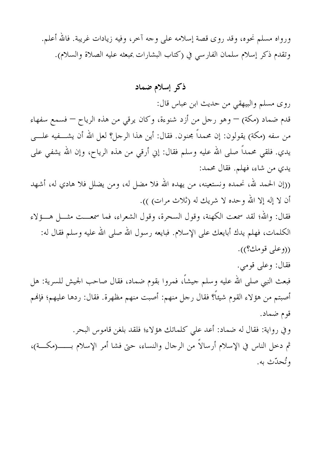ورواه مسلم نحوه، وقد روى قصة إسلامه على وجه آخر، وفيه زيادات غريبة. فالله أعلم. وتقدم ذكر إسلام سلمان الفارسي في (كتاب البشارات بمبعثه عليه الصلاة والسلام).

## ذكر إسلام ضماد

روي مسلم والبيهقي من حديث ابن عباس قال: قدم ضماد (مكة) — وهو رجل من أزد شنوءة، وكان يرقى من هذه الرياح — فسمع سفهاء من سفه (مكة) يقولون: إن محمداً مجنون. فقال: أين هذا الرجل؟ لعل الله أن يشـــفيه علــــي يدي. فلقى محمداً صلى الله عليه وسلم فقال: إني أرقى من هذه الرياح، وإن الله يشفى على يدي من شاء، فهلم. فقال محمد:

((إن الحمد لله، نحمده ونستعينه، من يهده الله فلا مضل له، ومن يضلل فلا هادي له، أشهد أن لا إله إلا الله وحده لا شريك له (ثلاث مرات) )).

فقال: والله؛ لقد سمعت الكهنة، وقول السحرة، وقول الشعراء، فما سمعـــت مثـــل هـــؤلاء الكلمات، فهلم يدك أبايعك على الإسلام. فبايعه رسول الله صلى الله عليه وسلم فقال له: ((وعلى قومك؟)).

فقال: وعلى قومي. فبعث النبي صلى الله عليه وسلم جيشاً، فمروا بقوم ضماد، فقال صاحب الجيش للسرية: هل أصبتم من هؤلاء القوم شيئاً؟ فقال رحل منهم: أصبت منهم مظهرة. فقال: ردها عليهم؛ فإنهم قوم ضماد.

وفي رواية: فقال له ضماد: أعد على كلماتك هؤلاء؛ فلقد بلغن قاموس البحر. و تُحدّث به.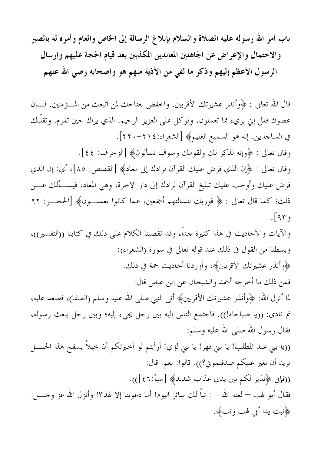باب أمر الله رسوله عليه الصلاة والسلام بإبلاغ الرسالة إلى الخاص والعام وأمره له بالصبر والاحتمال والإعراض عن الجاهلين المعاندين المكذبين بعد قيام الحجة عليهم وإرسال الرسول الأعظم إليهم وذكر ما لقي من الأذية منهم هو وأصحابه رضي الله عنهم

قال الله تعالى : ﴿وَأَنذُر عَشَيْرَتْكَ الأَقْرِبِينَ. واخفض جناحك لمن اتبعك من المـــؤمنين. فـــإن عصوك فقل إني بريء مما تعملون. وتوكل على العزيز الرحيم. الذي يراك حين تقوم. وتقلَّبك في الساحدين. إنه هو السميع العليم﴾ [الشعراء:١٢٤-٢٢٠]. وقال تعالى : ﴿وَإِنَّهُ لَذَكَرٍ لَكَ وَلَقُومَكَ وَسَوْفَ تَسْأَلُونَ﴾ [الزخرف: ٤٤]. وقال تعالى : ﴿إِنَّ الَّذِي فَرْضٍ عليكِ القرآن لرادكِ إلى معادِ﴾ [القصص: ٨٥]، أي: إن الذي فرض عليك وأوجب عليك تبليغ القرآن لرادك إلى دار الآخرة، وهي المعاد، فيســألك عــــن ذلك؛ كما قال تعالى : ﴿ فَوَرَبْكَ لَنَسَالَنَّهُمْ أَجْمَعِينَ، عَمَّا كَانُوا يَعْمَلْــونَ﴾ [الحجـــر: ٩٢  $\sqrt{95}$ وِالآيات وِالأحاديث في هذا كثيرة جداً، وقد تقصينا الكلام على ذلك في كتابنا ((التفسير))، وبسطنا من القول في ذلك عند قوله تعالى في سورة (الشعراء):

> ﴿وَأَنَّذَرَ عَشَيْرَتَكَ الْأَقْرِبِينَ﴾، وأوردنا أحاديث جمة في ذلك. فمن ذلك ما أخرجه أحمد والشيخان عن ابن عباس قال:

لما أنزل الله: ﴿وَأَنذُر عَشَيْرَتْكَ الأَقْرِبِينَ﴾ أتى النبي صلى الله عليه وسلم (الصفا)، فصعد عليه، ثم نادي: ((يا صباحاه!)). فاجتمع الناس إليه بين رجل يجيء إليه؛ وبين رجل يبعث رسوله، فقال رسول الله صلى الله عليه وسلم:

((يا بني عبد المطلب! يا بني فهر! يا بني لؤي! أرأيتم لو أخبرتكم أن خيلاً يسفح هذا الجبــــل تريد أن تغير عليكم صدقتموني؟)). قالوا: نعم. قال: ((فإني ﴿نذير لكم بين يدي عذاب شديد﴾ [سبأ:٤٦])). فقال أبو لهب — لعنه الله – : تباً لك سائر اليوم! أما دعوتنا إلا لهذا؟! وأنزل الله عز وجــــل: ﴿تِبْتِ يَدَا أَبِي لَهْبِ وَتَبَ﴾.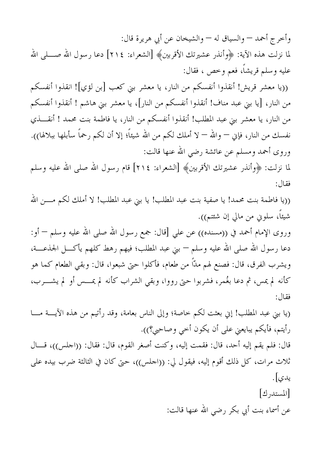وأخرج أحمد — والسياق له — والشيخان عن أبي هريرة قال: لما نزلت هذه الآية: ﴿وَأَنذُر عَشَيْرَتْكَ الأُقْرِبَينَ﴾ [الشعراء: ٢١٤] دعا رسول الله صـــــلمي الله عليه وسلم قريشاً، فعم وخص ، فقال:

((يا معشر قريش! أنقذوا أنفسكم من النار، يا معشر بني كعب [بن لؤي]! انقذوا أنفسكم من النار، [يا بني عبد مناف! أنقذوا أنفسكم من النار]، يا معشر بني هاشم ! أنقذوا أنفسكم من النار، يا معشر بني عبد المطلب! أنقذوا أنفسكم من النار، يا فاطمة بنت محمد ! أنقـــذي نفسك من النار، فإني — والله — لا أملك لكم من الله شيئاً؛ إلا أن لكم رحماً سأبلها ببلالها)). وروى أحمد ومسلم عن عائشة رضي الله عنها قالت:

لما نزلت: ﴿وَأَنذُر عَشَيْرَتكَ الأَقْرِبِينَ﴾ [الشعراء: ٢١٤] قام رسول الله صلى الله عليه وسلم فقال:

((يا فاطمة بنت محمد! يا صفية بنت عبد المطلب! يا بني عبد المطلب! لا أملك لكم مــــن الله شيئاً، سلوني من مالي إن شئتم)).

وروى الإمام أحمد في ((مسنده)) عن على [قال: جمع رسول الله صلى الله عليه وسلم — أو: دعا رسول الله صلى الله عليه وسلم — بني عبد المطلب؛ فيهم رهط كلهم يأكـــل الجذعــــة، ويشرب الفرق، قال: فصنع لهم مدَّأ من طعام، فأكلوا حتى شبعوا، قال: وبقى الطعام كما هو كأنه لم يمس، ثم دعا بغُمر، فشربوا حتى رووا، وبقى الشراب كأنه لم يمـــس أو لم يشـــرب، فقال:

(يا بني عبد المطلب! إني بعثت لكم خاصة؛ وإلى الناس بعامة، وقد رأتيم من هذه الآيـــة مـــا رأيتم، فأيكم يبايعني على أن يكون أخي وصاحبي؟)). قال: فلم يقم إليه أحد، قال: فقمت إليه، وكنت أصغر القوم، قال: فقال: ((اجلس))، قــال ثلاث مرات، كل ذلك أقوم إليه، فيقول لي: ((اجلس))، حتى كان في الثالثة ضرب بيده على يدي]. [المستدرك]

عن أسماء بنت أبي بكر رضي الله عنها قالت: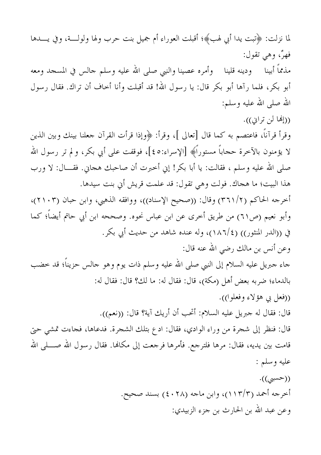لما نزلت: ﴿تبت يدا أبي لهب﴾؛ أقبلت العوراء أم جميل بنت حرب ولها ولولـــة، وفي يــــدها فهوٌ، وهي تقول: مذمماً أبينا ودينه قلينا وأمره عصينا والنبي صلى الله عليه وسلم جالس في المسحد ومعه أبو بكر، فلما رآها أبو بكر قال: يا رسول الله! قد أقبلت وأنا أخاف أن تراك. فقال رسول الله صلى الله عليه وسلم: ((إِنَّهَا لَن ترانِي)). وقرأ قرآنًا، فاعتصم به كما قال [تعالى ]، وقرأ: ﴿وإِذا قرأت القرآن جعلنا بينك وبين الذين لا يؤمنون بالآخرة حجاباً مستوراً﴾ [الإسراء:٤٥]، فوقفت على أبي بكر، و لم تر رسول الله صلى الله عليه وسلم ، فقالت: يا أبا بكر! إين أخبرت أن صاحبك هجاين. فقـــال: لا ورب هذا البيت؛ ما هجاك. فولت وهي تقول: قد علمت قريش أيي بنت سيدها. أخرجه الحاكم (٢٦١/٢) وقال: ((صحيح الإسناد))، ووافقه الذهبي، وابن حبان (٢١٠٣)، وأبو نعيم (ص٢١) من طريق أخرى عن ابن عباس نحوه. وصححه ابن أبي حاتم أيضاً؛ كما في ((الدر المنثور)) (١٨٦/٤)، وله عنده شاهد من حديث أبي بكر. وعن أنس بن مالك رضي الله عنه قال: جاء جبريل عليه السلام إلى النبي صلى الله عليه وسلم ذات يوم وهو جالس حزيناً؛ قد خضب بالدماء؛ ضربه بعض أهل (مكة)، قال: فقال له: ما لك؟ قال: فقال له: ((فعل بي هؤلاء وفعلوا)). قال: فقال له جبريل عليه السلام: أتحب أن أريك آية؟ قال: ((نعم)). قال: فنظر إلى شجرة من وراء الوادي، فقال: ادع بتلك الشجرة. فدعاها، فجاءت تمشى حتى قامت بين يديه، فقال: مرها فلترجع. فأمرها فرجعت إلى مكانها. فقال رسول الله صـــــلى الله عليه وسلم : ((حسبي)). أخرجه أحمد (١١٣/٣)، وابن ماجه (٤٠٢٨) بسند صحيح. وعن عبد الله بن الحارث بن جزء الزبيدي: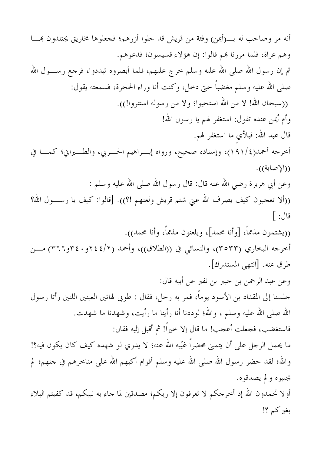وهم عراة، فلما مررنا بهم قالوا: إن هؤلاء قسيسون؛ فدعوهم. ثم إن رسول الله صلى الله عليه وسلم حرج عليهم، فلما أبصروه تبددوا، فرجع رســــول الله صلى الله عليه وسلم مغضباً حتى دخل، وكنت أنا وراء الحجرة، فسمعته يقول: ((سبحان الله! لا من الله استحيوا؛ ولا من رسوله استتروا!)). وأم أيمن عنده تقول: استغفر لهم يا رسول الله! قال عبد الله: فبلأي ما استغفر لهم. أخرجه أحمد(١٩١/٤)، وإسناده صحيح، ورواه إبـــراهيم الحــــربي، والطـــــبراني؛ كمـــــا في ((الإصابة)). وعن أبي هريرة رضي الله عنه قال: قال رسول الله صلى الله عليه وسلم : ((ألا تعجبون كيف يصرف الله عني شتم قريش ولعنهم !؟)). [قالوا: كيف يا رســـول الله؟ قال: ] ((يشتمون مذمماً، [وأنا محمد]، ويلعنون مذمماً، وأنا محمد)). أخرجه البخاري (٣٥٣٣)، والنسائي في ((الطلاق))، وأحمد (٢/٤٤٢و٢٤٠) مـــن طرق عنه. [انتهى المستدرك]. وعن عبد الرحمن بن جبير بن نفير عن أبيه قال: جلسنا إلى المقداد بن الأسود يوماً، فمر به رحل، فقال : طوبي لهاتين العينين اللتين رأتا رسول الله صلى الله عليه وسلم ، والله؛ لوددنا أنا رأينا ما رأيت، وشهدنا ما شهدت. فاستغضب، فجعلت أعجب! ما قال إلا خيراً! ثم أقبل إليه فقال: ما يحمل الرجل على أن يتميِّ محضراً غيِّبه الله عنه؛ لا يدري لو شهده كيف كان يكون فيه؟! والله؛ لقد حضر رسول الله صلى الله عليه وسلم أقوام أكبهم الله على مناخرهم في جنهم؛ لم يجيبوه ولم يصدقوه. أولا تحمدون الله إذ أخرجكم لا تعرفون إلا ربكم؛ مصدقين لما جاء به نبيكم، قد كفيتم البلاء بغيركم ؟!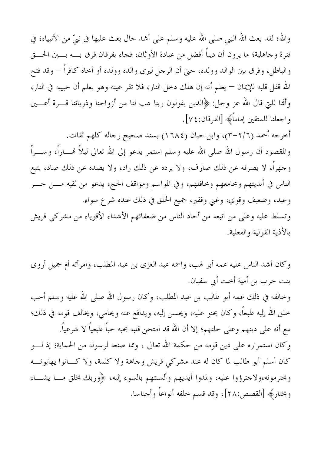والله؛ لقد بعث الله النبي صلى الله عليه وسلم على أشد حال بعث عليها في نبيٍّ من الأنبياء؛ في فترة وجاهلية؛ ما يرون أن ديناً أفضل من عبادة الأوثان، فحاء بفرقان فرق بــــه بــــين الحــــق والباطل، وفرق بين الوالد وولده، حتى أن الرحل ليرى والده وولده أو أخاه كافراً — وقد فتح الله قفل قلبه للإيمان — يعلم أنه إن هلك دخل النار، فلا تقر عينه وهو يعلم أن حبيبه في النار، وألها للتي قال الله عز وحل: ﴿الذين يقولون ربنا هب لنا من أزواجنا وذرياتنا قــــرة أعـــــين واجعلنا للمتقين إماماً﴾ [الفرقان:٤٧].

أخرجه أحمد (٢/٦–٣)، وابن حبان (١٦٨٤) بسند صحيح رجاله كلهم ثقات. والمقصود أن رسول الله صلى الله عليه وسلم استمر يدعو إلى الله تعالى ليلاً فمـــاراً، وســــراً وجهراً، لا يصرفه عن ذلك صارف، ولا يرده عن ذلك راد، ولا يصده عن ذلك صاد، يتبع الناس في أنديتهم ومجامعهم ومحافلهم، وفي المواسم ومواقف الحج، يدعو من لقيه مـــن حـــر وعبد، وضعيف وقوي، وغني وفقير، جميع الخلق في ذلك عنده شرع سواء. وتسلط عليه وعلى من اتبعه من أحاد الناس من ضعفائهم الأشداء الأقوياء من مشركي قريش بالأذية القولية والفعلية.

وكان أشد الناس عليه عمه أبو لهب، واسمه عبد العزى بن عبد المطلب، وامرأته أم جميل أروى بنت حرب بن أمية أخت أبي سفيان.

وخالفه في ذلك عمه أبو طالب بن عبد المطلب، وكان رسول الله صلى الله عليه وسلم أحب خلق الله إليه طبعاً، وكان يحنو عليه، ويحسن إليه، ويدافع عنه ويحامى، ويخالف قومه في ذلك؛ مع أنه على دينهم وعلى خلتهم؛ إلا أن الله قد امتحن قلبه بحبه حباً طبعياً لا شرعياً. وكان استمراره على دين قومه من حكمة الله تعالى ، ومما صنعه لرسوله من الحماية؛ إذ لـــو كان أسلم أبو طالب لما كان له عند مشركي قريش وجاهة ولا كلمة، ولا كــانوا يهابونـــه

ويحترمونه،ولاجترؤوا عليه، ولمدوا أيديهم وألسنتهم بالسوء إليه، ﴿وربك يخلق مــا يشــاء ويختارِ﴾ [القصص:٢٨]، وقد قسم خلفه أنواعاً وأجناسا.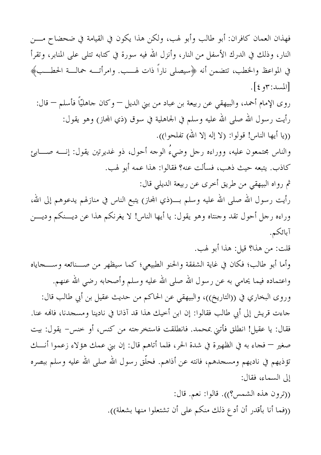فهذان العمان كافران: أبو طالب وأبو لهب، ولكن هذا يكون في القيامة في ضحضاح مــــن النار، وذلك في الدرك الأسفل من النار، وأنزل الله فيه سورة في كتابه تتلي على المنابر، وتقرأ في المواعظ والخطب، تتضمن أنه ﴿سيصلى ناراً ذات لهــب. وامرأتـــه حمالـــة الحطـــب﴾  $\lceil$ المسد:۳٫ }.

روى الإمام أحمد، والبيهقي عن ربيعة بن عباد من بني الديل — وكان جاهليّاً فأسلم — قال: رأيت رسول الله صلى الله عليه وسلم في الجاهلية في سوق (ذي المجاز) وهو يقول: ((يا أيها الناس! قولوا: (لا إله إلا الله) تفلحوا)). والناس مجتمعون عليه، ووراءه رجل وضيءُ الوجه أحول، ذو غديرتين يقول: إنــــه صــــابئ كاذب. يتبعه حيث ذهب، فسألت عنه؟ فقالوا: هذا عمه أبو لهب.

ثم رواه البيهقي من طريق أخرى عن ربيعة الديلي قال: رأيت رسول الله صلى الله عليه وسلم بــــ(ذي المجاز) يتبع الناس في منازلهم يدعوهم إلى الله، وراءه رجل أحول تقد وجنتاه وهو يقول: يا أيها الناس! لا يغرنكم هذا عن ديسنكم وديسن آبائكم.

قلت: من هذا؟ قيل: هذا أبو لهب.

وأما أبو طالب؛ فكان في غاية الشفقة والحنو الطبيعي؛ كما سيظهر من صــنائعه وســـجاياه واعتماده فيما يحامى به عن رسول الله صلى الله عليه وسلم وأصحابه رضى الله عنهم. وروى البخاري في ((التاريخ))، والبيهقي عن الحاكم من حديث عقيل بن أبي طالب قال: جاءت قريش إلى أبي طالب فقالوا: إن ابن أخيك هذا قد آذانا في نادينا ومسجدنا، فالهه عنا. فقال: يا عقيل! انطلق فأتني بمحمد. فانطلقت فاستخرجته من كنس، أو خنس– يقول: بيت صغير – فجاء به في الظهيرة في شدة الحر، فلما أتاهم قال: إن بني عمك هؤلاء زعموا أنـــك تؤذيهم في ناديهم ومسجدهم، فانته عن أذاهم. فحلَّق رسول الله صلى الله عليه وسلم ببصره إلى السماء، فقال:

> ((ترون هذه الشمس؟)). قالوا: نعم. قال: ((فما أنا بأقدر أن أدع ذلك منكم على أن تشتعلوا منها بشعلة)).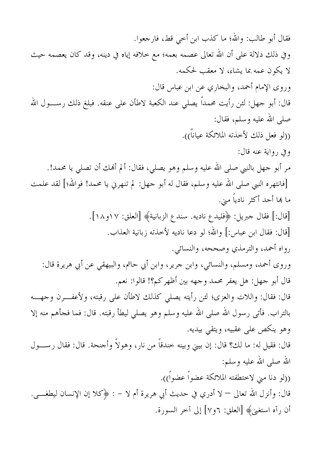فقال أبو طالب: والله؛ ما كذب ابن أخي قط، فارجعوا. وفي ذلك دلالة على أن الله تعالى عصمه بعمه؛ مع خلافه إياه في دينه، وقد كان يعصمه حيث لا يكون عمه بما يشاء، لا معقب لحكمه. وروى الإمام أحمد، والبخاري عن ابن عباس قال: قال: أبو جهل: لئن رأيت محمداً يصلى عند الكعبة لاطأن على عنقه. فبلغ ذلك رســــول الله صلى الله عليه وسلم، فقال: ((لو فعل ذلك لأحذته الملائكة عياناً)). وفي رواية عنه قال: مر أبو جهل بالنبي صلى الله عليه وسلم وهو يصلي، فقال: ألم أهْك أن تصلي يا محمد!. [فانتهره النبي صلى الله عليه وسلم، فقال له أبو جهل: لم تنهرني يا محمد! فوالله؛] لقد علمت ما بما أحد أكثر نادياً مني. [قال:] فقال جبريل: ﴿فليدع ناديه. سندع الزبانية﴾ [العلق: ١٧و١٨]. [قال: فقال ابن عباس:] والله؛ لو دعا ناديه لأخذته زبانية العذاب. رواه أحمد، والترمذي وصححه، والنسائي. وروى أحمد، ومسلم، والنسائي، وابن جرير، وابن أبي حاتم، والبيهقي عن أبي هريرة قال: قال أبو جهل: هل يعفر محمد وجهه بين أظهركم؟! قالوا: نعم. قال: فقال: واللات والعزى؛ لئن رأيته يصلى كذلك لاطأن على رقبته، ولأعفـــرن وجهــــه بالتراب. فأتبي رسول الله صلى الله عليه وسلم وهو يصلى ليطأ رقبته. قال: فما فجأهم منه إلا وهو ينكص على عقبيه، ويتقى بيديه. قال: فقيل له: ما لك؟ قال: إن بيبي وبينه خندقاً من نار، وهولاً وأجنحة. قال: فقال رســول الله صلبي الله عليه وسلم: ((لو دنا مني لاختطفته الملائكة عضواً عضواً)). قال: وأنزل الله تعالى — لا أدري في حديث أبي هريرة أم لا – : ﴿كلا إن الإنسان ليطغـــي. أن رآه استغني﴾ [العلق: ٦و٧] إلى آخر السورة.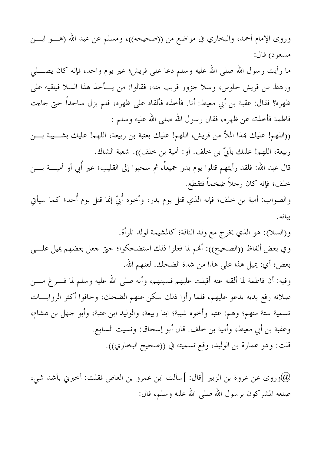وروى الإمام أحمد، والبخاري في مواضع من ((صحيحه))، ومسلم عن عبد الله (هــــو ابــــن مسعود) قال:

ما رأيت رسول الله صلى الله عليه وسلم دعا على قريش؛ غير يوم واحد، فإنه كان يصــــلى ورهط من قريش جلوس، وسلا جزور قريب منه، فقالوا: من يـــأخذ هذا السلا فيلقيه على ظهره؟ فقال: عقبة بن أبي معيط: أنا. فأخذه فألقاه على ظهره، فلم يزل ساجداً حتى جاءت فاطمة فأخذته عن ظهره، فقال رسول الله صلى الله عليه وسلم :

((اللهم! عليك هذا الملأ من قريش، اللهم! عليك بعتبة بن ربيعة، اللهم! عليك بشــــيبة بــــن ربيعة، اللهم! عليك بأيَّ بن حلف. أو: أمية بن حلف)). شعبة الشاك.

قال عبد الله: فلقد رأيتهم قتلوا يوم بدر جميعاً، ثم سحبوا إلى القليب؛ غير أُبي أو أميــــة بــــن خلف؛ فإنه كان رجلاً ضخماً فتقطع.

والصواب: أمية بن خلف؛ فإنه الذي قتل يوم بدر، وأخوه أُبيّ إنما قتل يوم أُحد؛ كما سيأتى ىيانە.

و(السلا): هو الذي يخرج مع ولد الناقة؛ كالمشيمة لولد المرأة. وفي بعض ألفاظ ((الصحيح)): أَهْم لما فعلوا ذلك استضحكوا؛ حتى جعل بعضهم يميل علـــي بعض؛ أي: يميل هذا على هذا من شدة الضحك. لعنهم الله.

وفيه: أن فاطمة لما ألقته عنه أقبلت عليهم فسبتهم، وأنه صلى الله عليه وسلم لما فـــرغ مــــن صلاته رفع يديه يدعو عليهم، فلما رأوا ذلك سكن عنهم الضحك، وخافوا أكثر الروايـــات تسمية ستة منهم؛ وهم: عتبة وأخوه شيبة؛ ابنا ربيعة، والوليد ابن عتبة، وأبو جهل بن هشام، وعقبة بن أبي معيط، وأمية بن خلف. قال أبو إسحاق: ونسيت السابع. قلت: وهو عمارة بن الوليد، وقع تسميته في ((صحيح البخاري)).

وروى عن عروة بن الزبير [قال: ]سألت ابن عمرو بن العاص فقلت: أخبرني بأشد شيء $@$ صنعه المشركون برسول الله صلى الله عليه وسلم، قال: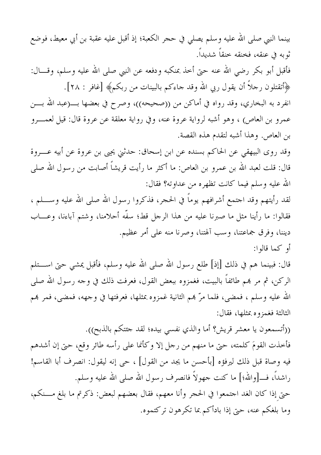بينما النبي صلى الله عليه وسلم يصلى في حجر الكعبة؛ إذ أقبل عليه عقبة بن أبي معيط، فوضع تْوبِه في عنقه، فخنقه خنقاً شديداً.

فأقبل أبو بكر رضي الله عنه حتى أخذ بمنكبه ودفعه عن النبي صلى الله عليه وسلم، وقـــال: ﴿أَتَقْتُلُونَ رَجْلاً أَنْ يَقُولُ رَبِّي اللهِ وَقَدْ جَاءِكُمْ بِالْبِينَاتِ مَنْ رَبِّكُمْ﴾ [غافر : ٢٨]. انفرد به البخاري، وقد رواه في أماكن من ((صحيحه))، وصرح في بعضها بــــ(عبد الله بـــــن عمرو بن العاص) ، وهو أشبه لرواية عروة عنه، وفي رواية معلقة عن عروة قال: قيل لعمـــرو بن العاص. وهذا أشبه لتقدم هذه القصة.

وقد روى البيهقي عن الحاكم بسنده عن ابن إسحاق: حدثني يجيي بن عروة عن أبيه عـــروة قال: قلت لعبد الله بن عمرو بن العاص: ما أكثر ما رأيت قريشاً أصابت من رسول الله صلى الله عليه وسلم فيما كانت تظهره من عداوته؟ فقال:

لقد رأيتهم وقد اجتمع أشرافهم يوماً في الحجر، فذكروا رسول الله صلى الله عليه وســــلم ، فقالوا: ما رأينا مثل ما صبرنا عليه من هذا الرجل قط؛ سفَّه أحلامنا، وشتم آباءنا، وعــــاب ديننا، وفرق جماعتنا، وسب ألهتنا، وصرنا منه على أمر عظيم.

أو كما قالوا:

قال: فبينما هـم في ذلك [إذ] طلع رسول الله صلى الله عليه وسلم، فأقبل يمشى حتى اســــتلم الركن، ثم مر بهم طائفاً بالبيت، فغمزوه ببعض القول، فعرفت ذلك في وجه رسول الله صلى الله عليه وسلم ، فمضى، فلما مرَّ هِم الثانية غمزوه بمثلها، فعرفتها في وجهه، فمضى، فمر هِم الثالثة فغمزوه بمثلها، فقال:

((أتسمعون يا معشر قريش؟ أما والذي نفسي بيده؛ لقد حثتكم بالذبح)). فأخذت القومَ كلمته، حتى ما منهم من رجل إلا وكأنما على رأسه طائر وقع، حتى إن أشدهم فيه وصاة قبل ذلك ليرفؤه [بأحسن ما يجد من القول] ، حي إنه ليقول: انصرف أبا القاسم! راشداً، فـ1والله؛] ما كنت جهولاً فانصرف رسول الله صلى الله عليه وسلم. حتى إذا كان الغد اجتمعوا في الحجر وأنا معهم، فقال بعضهم لبعض: ذكرتم ما بلغ مـــنكم، وما بلغكم عنه، حتى إذا بادأكم بما تكرهون تركتموه.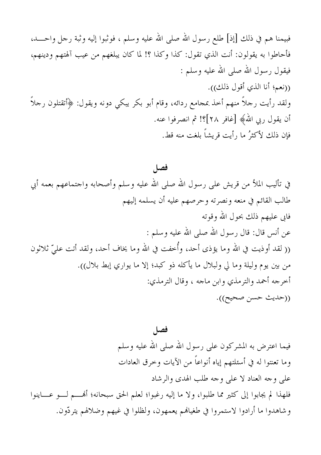فبيمنا هم في ذلك [إذ] طلع رسول الله صلى الله عليه وسلم ، فوثبوا إليه وثبة رجل واحـــد، فأحاطوا به يقولون: أنت الذي تقول: كذا وكذا ؟! لما كان يبلغهم من عيب آلهتهم ودينهم، فيقول رسول الله صلى الله عليه وسلم : ((نعم؛ أنا الذي أقول ذلك)). ولقد رأيت رجلاً منهم أخذ بمحامع ردائه، وقام أبو بكر يبكي دونه ويقول: ﴿أَتقْتُلُونَ رَجْلاً ۚ أن يقول ربي اللهْ﴾ [غافر ٢٨]؟! ثم انصرفوا عنه. فإن ذلك لأكثرُ ما رأيت قريشاً بلغت منه قط.

فصا في تأليب الملأ من قريش على رسول الله صلى الله عليه وسلم وأصحابه واجتماعهم بعمه أبي طالب القائم في منعه ونصرته وحرصهم عليه أن يسلمه إليهم فابي عليهم ذلك بحول الله وقوته عن أنس قال: قال رسول الله صلى الله عليه وسلم : (( لقد أوذيت في الله وما يؤذى أحد، وأُخفت في الله وما يخاف أحد، ولقد أتت على ّ ثلاثون من بين يوم وليلة وما لي ولبلال ما يأكله ذو كبد؛ إلا ما يواري إبط بلال)). أخرجه أحمد والترمذي وابن ماجه ، وقال الترمذي: ((حديث حسن صحيح)).

## فصل

فيما اعترض به المشركون على رسول الله صلى الله عليه وسلم وما تعنتوا له في أسئلتهم إياه أنواعاً من الآيات وخرق العادات على وجه العناد لا على وجه طلب الهدى والرشاد فلهذا لم يجابوا إلى كثير مما طلبوا، ولا ما إليه رغبوا؛ لعلم الحق سبحانه؛ أُلهـــم لـــو عـــاينوا وشاهدوا ما أرادوا لاستمروا في طغيالهم يعمهون، ولظلوا في غيهم وضلالهم يتردّون.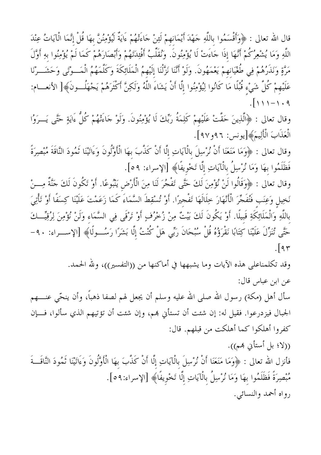قال الله تعالى : ﴿وَأَقْسَمُوا بِاللَّهِ جَهْدَ أَيْمَانِهِمْ لَئِنْ جَاءَتْهُمْ ءَايَةٌ لَيُؤْمِنُنَّ بهَا قُلْ إِنَّمَا الْآيَاتُ عِنْدَ اللَّهِ وَمَا يُشْعِرُكُمْ أَنَّهَا إِذَا جَاءَتْ لَا يُؤْمِنُونَ. وَنُقَلِّبُ أَفْئِدَتَهُمْ وَأَبْصَارَهُمْ كَمَا لَمْ يُؤْمِنُوا بهِ أَوَّلَ مَرَّةٍ وَنَذَرُهُمْ فِي طُغْيَانِهِمْ يَعْمَهُونَ. وَلَوْ أَنَّنَا نَرَّلْنَا إِلَيْهِمُ الْمَلَائِكَةَ وَكَلَّمَهُمُ الْمَسوْتَى وَحَشَــرْنَا عَلَيْهِمْ كُلَّ شَيْءٍ قُبُلًا مَا كَانُوا لِيُؤْمِنُوا إِلَّا أَنْ يَشَاءَ اللَّهُ وَلَكِنَّ أَكْثَرَهُمْ يَجْهَلُــونَ﴾[ الأنعـــام:  $\sqrt{111} - 1.9$ 

وقال تعالى : ﴿الَّذِينَ حَقَّتْ عَلَيْهِمْ كَلِمَةُ رَبِّكَ لَا يُؤْمِنُونَ. وَلَوْ جَاءَتْهُمْ كُلُّ ءَايَةٍ حَتَّى يَــرَوُا الْعَذَابَ الْأَلِيمَ﴾[يونس: ٩٦و٩٧].

وقال تعالى : ﴿وَمَا مَنَعَنَا أَنْ نُرْسِلَ بِالْآيَاتِ إِلَّا أَنْ كَذَّبَ بِهَا الْأَوَّلُونَ وَءَاتَيْنَا تَمُودَ النَّاقَةَ مُبْصِرَةً فَظَلَمُوا بِهَا وَمَا نُرْسِلُ بِالْآيَاتِ إِلَّا تَخْوِيفًا﴾ [الإسراء: ٥٩].

وقال تعالى : ﴿وَقَالُوا لَنْ نُؤْمِنَ لَكَ حَتَّى تَفْحُرَ لَنَا مِنَ الْأَرْضِ يَنْبُوعًا. أَوْ تَكُونَ لَكَ جَنَّةٌ مِـــنْ نَحِيلٍ وَعِنَبٍ فَتُفَجَّرَ الْأَنْهَارَ خِلَالَهَا تَفْحِيرًا. أَوْ تُسْقِطَ السَّمَاءَ كَمَا زَعَمْتَ عَلَيْنَا كِسَفًا أَوْ تَأْتِيَ باللَّهِ وَالْمَلَائِكَةِ قَبِيلًا. أَوْ يَكُونَ لَكَ بَيْتٌ مِنْ زُخْرُفٍ أَوْ تَرْقَى فِي السَّمَاء وَلَنْ نُؤْمِنَ لِرُقِيِّــكَ حَتَّى تُنَزِّلَ عَلَيْنَا كِتَابًا نَقْرَؤُهُ قُلْ سُبْحَانَ رَبِّي هَلْ كُنْتُ إِلَّا بَشَرًا رَسُــولًا﴾ [الإســـراء: ٩٠- $\sqrt{95}$ 

> وقد تكلمناعلى هذه الآيات وما يشبهها في أماكنها من ((التفسير))، ولله الحمد. عن ابن عباس قال:

سأل أهل (مكة) رسول الله صلى الله عليه وسلم أن يجعل لهم لصفا ذهباً، وأن ينحَّى عنــــهم الجبال فيزدرعوا. فقيل له: إن شئت أن تستأني بهم، وإن شئت أن تؤتيهم الذي سألوا، فـــإن كفروا أهلكوا كما أهلكت من قبلهم. قال:

((لا؛ بل أستأني بهم)). فأنزل الله تعالى : ﴿وَمَا مَنَعَنَا أَنْ نُرْسِلَ بِالْآيَاتِ إِلَّا أَنْ كَذَّبَ بِهَا الْأَوَّلُونَ وَءَاتَيْنَا تَمُودَ النَّاقَـــةَ مُبْصِرَةً فَظَلَمُوا بهَا وَمَا نُرْسِلُ بِالْآيَاتِ إِلَّا تَخْوِيفًا﴾ [الإسراء:٩٥]. رواه أحمد والنسائبي.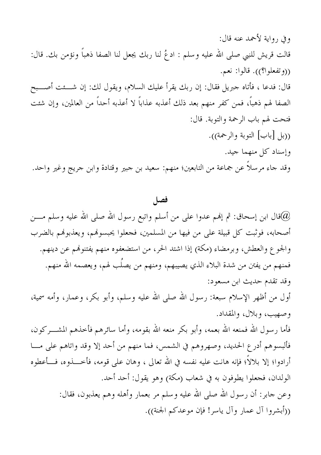وفي رواية لأحمد عنه قال: قالت قريش للنبي صلى الله عليه وسلم : اد عُ لنا ربك يجعل لنا الصفا ذهباً ونؤمن بك. قال: ((وتفعلوا؟)). قالوا: نعم. قال: فدعا ، فأتاه جبريل فقال: إن ربك يقرأ عليك السلام، ويقول لك: إن شــــئت أصـــــبح الصفا لهم ذهباً، فمن كفر منهم بعد ذلك أعذبه عذاباً لا أعذبه أحداً من العالمين، وإن شئت فتحت لهم باب الرحمة والتوبة. قال: ((بل [باب] التوبة والرحمة)). وإسناد كل منهما جيد. وقد جاءِ مرسلاً عن جماعة من التابعين؛ منهم: سعيد بن جبير وقتادة وابن جريج وغير واحد.

## فصل

قال ابن إسحاق: ثم إلهم عدوا على من أسلم واتبع رسول الله صلى الله عليه وسلم مـــن $\bm{\varpi}$ أصحابه، فوثبت كل قبيلة على من فيها من المسلمين، فجعلوا يحبسوهُم، ويعذبوهُم بالضرب والجوع والعطش، وبرمضاء (مكة) إذا اشتد الحر، من استضعفوه منهم يفتنوهُم عن دينهم. فمنهم من يفتن من شدة البلاء الذي يصيبهم، ومنهم من يصلُب لهم، ويعصمه الله منهم. وقد تقدم حديث ابن مسعود: أول من أظهر الإسلام سبعة: رسول الله صلى الله عليه وسلم، وأبو بكر، وعمار، وأمه سمية، وصهيب، وبلال، والمقداد. فأما رسول الله فمنعه الله بعمه، وأبو بكر منعه الله بقومه، وأما سائرهم فأخذهم المشــــركون، فألبسوهم أدرع الحديد، وصهروهم في الشمس، فما منهم من أحد إلا وقد واتاهم على مـــا أرادوا؛ إلا بلالاً؛ فإنه هانت عليه نفسه في الله تعالى ، وهان على قومه، فأخــــذوه، فـــأعطوه الولدان، فجعلوا يطوفون به في شعاب (مكة) وهو يقول: أحد أحد. وعن جابر: أن رسول الله صلى الله عليه وسلم مر بعمار وأهله وهم يعذبون، فقال:

((أبشروا آل عمار وآل ياسر! فإن موعدكم الجنة)).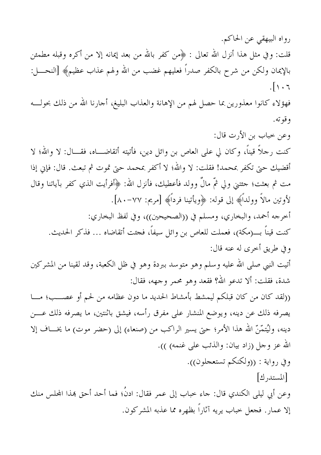رواه البيهقي عن الحاكم. قلت: وفي مثل هذا أنزل الله تعالى : ﴿من كفر بالله من بعد إيمانه إلا من أكره وقبله مطمئن بالإيمان ولكن من شرح بالكفر صدراً فعليهم غضب من الله ولهم عذاب عظيم﴾ [النحــــل:  $\sqrt{111}$ فهؤلاء كانوا معذورين بما حصل لهم من الإهانة والعذاب البليغ، أجارنا الله من ذلك بحولــــه و قو ته .

وعن خباب بن الأرت قال: كنت رجلاً قيناً، وكان لي علي العاص بن وائل دين، فأتيته أتقاضـــاه، فقـــال: لا والله؛ لا أقضيك حتى تكفر بمحمد! فقلت: لا والله؛ لا أكفر بمحمد حتى تموت ثم تبعث. قال: فإني إذا مت ثم بعثت؛ حثتني ولي ثمَّ مالٌ وولد فأعطيك، فأنزل الله: ﴿أَفرأيت الذي كفر بآياتنا وقال لأوتين مالاً وولداً﴾ إلى قوله: ﴿ويأتينا فرداً﴾ [مريم: ٧٧–٨٠]. أخرجه أحمد، والبخاري، ومسلم في ((الصحيحين))، وفي لفظ البخاري: كنت قيناً بــــ(مكة)، فعملت للعاص بن وائل سيفاً، فجئت أتقاضاه … فذكر الحديث. وفي طريق أخرى له عنه قال: أتيت النبي صلى الله عليه وسلم وهو متوسد ببردة وهو في ظل الكعبة، وقد لقينا من المشركين شدة، فقلت: ألا تدعو الله؟ فقعد وهو محمر وجهه، فقال: ((لقد كان من كان قبلكم ليمشط بأمشاط الحديد ما دون عظامه من لحم أو عصـــب؛ مـــا يصرفه ذلك عن دينه، ويوضع المنشار على مفرق رأسه، فيشق باثنتين، ما يصرفه ذلك عــــن دينه، وليُتمَّنَّ الله هذا الأمر؛ حتى يسير الراكب من (صنعاء) إلى (حضر موت) ما يخـــاف إلا الله عز وجل (زاد بيان: والذئب على غنمه) )). وفي رواية : ((ولكنكم تستعجلون)). [المستدرك] وعن أبي ليلي الكندي قال: جاء خباب إلى عمر فقال: ادنُ؛ فما أحد أحق بهذا المجلس منك إلا عمارٍ. فجعل خباب يريه آثاراً بظهره مما عذبه المشركون.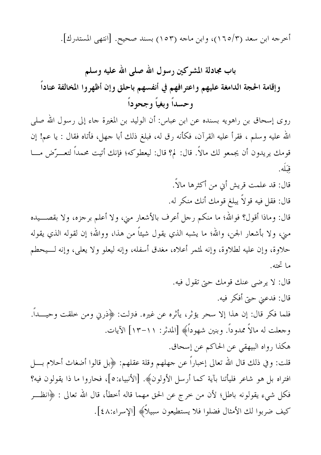أخرجه ابن سعد (١٦٥/٣)، وابن ماجه (١٥٣) بسند صحيح. [انتهى المستدرك].

باب مجادلة المشركين رسول الله صلى الله عليه وسلم

وإقامة الحجة الدامغة عليهم واعترافهم في أنفسهم باحلق وإن أظهروا المخالفة عناداً وحسداً وبغياً وجحوداً

روى إسحاق بن راهويه بسنده عن ابن عباس: أن الوليد بن المغيرة جاء إلى رسول الله صلى الله عليه وسلم ، فقرأ عليه القرآن، فكأنه رق له، فبلغ ذلك أبا جهل، فأتاه فقال : يا عم! إن قومك يريدون أن يجمعو لك مالاً. قال: لم؟ قال: ليعطوكه؛ فإنك أتيت محمداً لتعــــرّض مــــا قبَلُه.

قال: قد علمت قريش أين من أكثرها مالاً.

قال: فقل فيه قولاً يبلغ قومك أنك منكر له.

قال: وماذا أقول؟ فوالله؛ ما منكم رجل أعرف بالأشعار مني، ولا أعلم برجزه، ولا بقصــــيده مني، ولا بأشعار الجن، والله؛ ما يشبه الذي يقول شيئاً من هذا، ووالله؛ إن لقوله الذي يقوله حلاوة، وإن عليه لطلاوة، وإنه لمثمر أعلاه، مغدق أسفله، وإنه ليعلو ولا يعلي، وإنه لـــيحطم ما تحته.

> قال: لا يرضى عنك قومك حتى تقول فيه. قال: فدعني حتى أفكر فيه.

فلما فكر قال: إن هذا إلا سحر يؤثر، يأثره عن غيره. فترلت: ﴿ذرني ومن خلقت وحيــــداً. وجعلت له مالاً ممدوداً. وبنين شهوداً﴾ [المدثر: ١١–١٢] الآيات. هكذا رواه البيهقي عن الحاكم عن إسحاق.

قلت: وفي ذلك قال الله تعالى إخباراً عن جهلهم وقلة عقلهم: ﴿بِل قالوا أضغاث أحلام بــــل افتراه بل هو شاعر فليأتنا بآية كما أرسل الأولون﴾. [الأنبياء:٥]، فحاروا ما ذا يقولون فيه؟ فكل شيء يقولونه باطل؛ لأن من خرج عن الحق مهما قاله أخطأ، قال الله تعالى : ﴿انظـــر كيف ضربوا لك الأمثال فضلوا فلا يستطيعون سبيلاً﴾ [الإسراء:٤٨].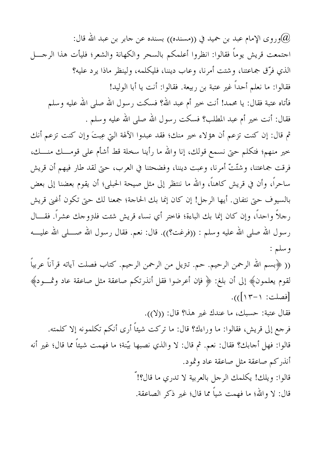وروى الإمام عبد بن حميد في ((مسنده)) بسنده عن حابر بن عبد الله قال: $@$ اجتمعت قريش يوماً فقالوا: انظروا أعلمكم بالسحر والكهانة والشعر؛ فليأت هذا الرجــــل الذي فرّق جماعتنا، وشتت أمرنا، وعاب ديننا، فليكلمه، ولينظر ماذا يرد عليه؟ فقالوا: ما نعلم أحداً غير عتبة بن ربيعة. فقالوا: أنت يا أبا الوليد! فأتاه عتبة فقال: يا محمد! أنت خير أم عبد الله؟ فسكت رسول الله صلى الله عليه وسلم فقال: أنت خير أم عبد المطلب؟ فسكت رسول الله صلى الله عليه وسلم . ثم قال: إن كنت تزعم أن هؤلاء خير منك؛ فقد عبدوا الآلهة التي عِبتَ وإن كنت تزعم أنك خير منهم؛ فتكلَّم حتى نسمع قولك، إنا والله ما رأينا سخلة قط أشأم على قومـــك منـــك، فرقت جماعتنا، وشتّتّ أمرنا، وعبت ديننا، وفضحتنا في العرب، حتى لقد طار فيهم أن قريش ساحرًا، وأن في قريش كاهناً، والله ما ننتظر إلى مثل صيحة الحبلي؛ أن يقوم بعضنا إلى بعض بالسيوف حتى نتفاين. أيها الرجل! إن كان إنما بك الحاجة؛ جمعنا لك حتى تكون أغني قريش رجلاً واحداً، وإن كان إنما بك الباءة؛ فاختر أي نساء قريش شئت فلتروجك عشراً. فقـــال رسول الله صلى الله عليه وسلم : ((فرغت؟)). قال: نعم. فقال رسول الله صــــلى الله عليــــه وسلين: (( ﴿بِسِمِ الله الرحمنِ الرحيمِ. حم. تتزيل من الرحمنِ الرحيمِ. كتابٍ فصلت آياته قرآناً عربياً ۖ لقوم يعلمون﴾ إلى أن بلغ: ﴿ فإن أعرضوا فقل أنذرتكم صاعقة مثل صاعقة عاد وثمـــود﴾ [فصلت: ١-١٣)). فقال عتبة: حسبك، ما عندك غير هذا؟ قال: ((لا)). فرجع إلى قريش، فقالوا: ما وراءك؟ قال: ما تركت شيئاً أرى أنكم تكلمونه إلا كلمته. قالوا: فهل أجابك؟ فقال: نعم. ثم قال: لا والذي نصبها بيّنة؛ ما فهمت شيئاً مما قال؛ غير أنه أنذركم صاعقة مثل صاعقة عاد وثمود. قالوا: ويلك! يكلمك الرجل بالعربية لا تدري ما قال؟!" قال: لا والله؛ ما فهمت شياً مما قال؛ غير ذكر الصاعقة.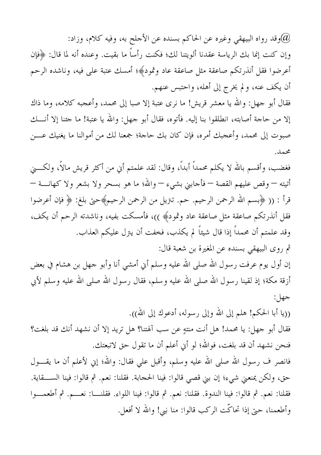وقد رواه البيهقي وغيره عن الحاكم بسنده عن الأجلح به، وفيه كلام، وزاد: $@$ وإن كنت إنما بك الرياسة عقدنا ألويتنا لك؛ فكنت رأساً ما بقيت. وعنده أنه لما قال: ﴿فَإِن أعرضوا فقل أنذرتكم صاعقة مثل صاعقة عاد وثمود﴾؛ أمسك عتبة على فيه، وناشده الرحم أن يكف عنه، ولم يخرج إلى أهله، واحتبس عنهم.

فقال أبو جهل: والله يا معشر قريش! ما نرى عتبة إلا صبا إلى محمد، وأعجبه كلامه، وما ذاك إلا من حاجة أصابته، انطلقوا بنا إليه. فأتوه، فقال أبو جهل: والله يا عتبة! ما جئنا إلا أنـــك صبوت إلى محمد، وأعجبك أمره، فإن كان بك حاجة؛ جمعنا لك من أموالنا ما يغنيك عــــن محمد

فغضب، وأقسم بالله لا يكلم محمداً أبداً، وقال: لقد علمتم أني من أكثر قريش مالاً، ولكــــني أتيته — وقص عليهم القصة — فأجابني بشيء — والله؛ ما هو بسحر ولا بشعر ولا كهانــــة — قرأ : (( ﴿بِسِم الله الرحمن الرحيم. حم. تتزيل من الرحمن الرحيم﴾حتي بلغ: ﴿ فإن أعرضوا فقل أنذرتكم صاعقة مثل صاعقة عاد وثمود﴾ ))، فأمسكت بفيه، وناشدته الرحم أن يكف، وقد علمتم أن محمداً إذا قال شيئاً لم يكذب، فخفت أن يترل عليكم العذاب.

ثم روى البيهقى بسنده عن المغيرة بن شعبة قال: إن أول يوم عرفت رسول الله صلى الله عليه وسلم أبي أمشى أنا وأبو جهل بن هشام في بعض أزقة مكة؛ إذ لقينا رسول الله صلى الله عليه وسلم، فقال رسول الله صلى الله عليه وسلم لأبي  $:$   $\leftrightarrow$ 

((يا أبا الحكم! هلم إلى الله وإلى رسوله، أدعوك إلى الله)).

فقال أبو جهل: يا محمد! هل أنت منتهٍ عن سب آلهتنا؟ هل تريد إلا أن نشهد أنك قد بلغت؟ فنحن نشهد أن قد بلغت، فوالله؛ لو أين أعلم أن ما تقول حق لاتبعتك.

فانصر ف رسول الله صلى الله عليه وسلم، وأقبل على فقال: والله؛ إني لأعلم أن ما يقـــول حق، ولكن يمنعني شيء؛ إن بني قصي قالوا: فينا الحجابة. فقلنا: نعم. ثم قالوا: فينا الســـقاية. فقلنا: نعم. ثم قالوا: فينا الندوة. فقلنا: نعم. ثم قالوا: فينا اللواء. فقلنـــا: نعـــم. ثم أطعمـــوا وأطعمنا، حتى إذا تحاكَّت الركب قالوا: منا نبي! والله لا أفعل.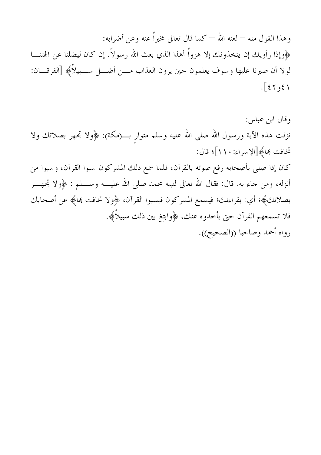وهذا القول منه — لعنه الله — كما قال تعالى مخبراً عنه وعن أضرابه: ﴿وَإِذَا رَأُويكِ إِن يتخذونكِ إِلا هزواً أهذا الذي بعث الله رسولاً. إن كان ليضلنا عن آلهتنــــا لولا أن صبرنا عليها وسوف يعلمون حين يرون العذاب مـــن أضــــل ســـبيلاً﴾ [الفرقــــان:  $\sqrt{25}$ 

وقال ابن عباس: نزلت هذه الآية ورسول الله صلى الله عليه وسلم متوارِ بــــ(مكة): ﴿ولا تجهر بصلاتك ولا تخافت بمائچ[الإسراء: ١١]؛ قال: كان إذا صلى بأصحابه رفع صوته بالقرآن، فلما سمع ذلك المشركون سبوا القرآن، وسبوا من أنزله، ومن جاء به. قال: فقال الله تعالى لنبيه محمد صلى الله عليـــه وســــلم : ﴿ولا تجهـــر بصلاتك﴾؛ أي: بقراءتك؛ فيسمع المشركون فيسبوا القرآن، ﴿ولا تخافت بما﴾ عن أصحابك فلا تسمعهم القرآن حتى يأخذوه عنك، ﴿وابتغ بين ذلك سبيلاً﴾. رواه أحمد وصاحبا ((الصحيح)).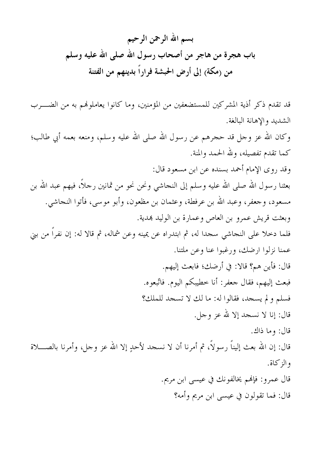قد تقدم ذكر أذية المشركين للمستضعفين من المؤمنين، وما كانوا يعاملونهم به من الضــــرب الشديد والإهانة البالغة.

وكان الله عز وجل قد حجرهم عن رسول الله صلى الله عليه وسلم، ومنعه بعمه أبي طالب؛ كما تقدم تفصيله، ولله الحمد والمنة.

وقد روى الإمام أحمد بسنده عن ابن مسعود قال: بعثنا رسول الله صلى الله عليه وسلم إلى النجاشي ونحن نحو من ثمانين رحلاً، فيهم عبد الله بن مسعود، وجعفر، وعبد الله بن عرفطة، وعثمان بن مظعون، وأبو موسى، فأتوا النجاشي. وبعثت قريش عمرو بن العاص وعمارة بن الوليد بهدية. فلما دخلا على النجاشي سحدًا له، ثم ابتدراه عن يمينه وعن شماله، ثم قالا له: إن نفراً من بني عمنا نزلوا ارضك، ورغبوا عنا وعن ملتنا. قال: فأين هم؟ قالا: في أرضك؛ فابعث إليهم. فبعث إليهم، فقال جعفر: أنا خطيبكم اليوم. فاتَّبعوه.

فسلم ولم يسجد، فقالوا له: ما لك لا تسجد للملك؟ قال: إنا لا نسجد إلا لله عز وجل.

قال: وما ذاك. قال: إن الله بعث إليناً رسولاً، ثم أمرنا أن لا نسجد لأحدٍ إلا الله عز وجل، وأمرنا بالصـــــلاة والزكاة. قال عمرو: فإلهم يخالفونك في عيسى ابن مريم.

قال: فما تقولون في عيسى ابن مريم وأمه؟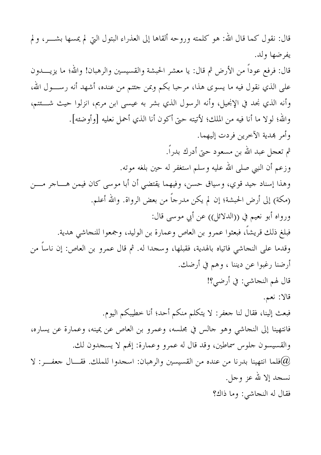قال: نقول كما قال الله: هو كلمته وروحه ألقاها إلى العذراء البتول التي لم يمسها بشــــر، و لم يفرضها ولد.

قال: فرفع عوداً من الأرض ثم قال: يا معشر الحبشة والقسيسين والرهبان! والله؛ ما يزيـــــدون على الذي نقول فيه ما يسوى هذا، مرحبا بكم وبمن جئتم من عنده، أشهد أنه رســــول الله، وأنه الذي نجد في الإنجيل، وأنه الرسول الذي بشر به عيسى ابن مريم، انزلوا حيث شــــئتم، والله؛ لولا ما أنا فيه من الملك؛ لأتيته حتى أكون أنا الذي أحمل نعليه [وأوضئه].

وأمر بمدية الآحرين فردت إليهما. ثم تعجل عبد الله بن مسعود حتى أدرك بدراً. وزعم أن النبي صلى الله عليه وسلم استغفر له حين بلغه موته.

وهذا إسناد جيد قوي، وسياق حسن، وفيهما يقتضي أن أبا موسى كان فيمن هـــاجر مــــن (مكة) إلى أرض الحبشة؛ إن لم يكن مدرجاً من بعض الرواة. والله أعلم. ورواه أبو نعيم في ((الدلائل)) عن أبي موسى قال:

فبلغ ذلك قريشاً، فبعثوا عمرو بن العاص وعمارة بن الوليد، وجمعوا للنجاشي هدية. وقِدما على النجاشي فاتياه بالهدية، فقبلها، وسجدا له. ثم قال عمرو بن العاص: إن ناساً من أرضنا رغبوا عن ديننا ، وهم في أرضك. قال لهم النجاشي: في أرضي؟!

قالا: نعم.

فبعث إلينا، فقال لنا جعفر: لا يتكلم منكم أحد؛ أنا خطيبكم اليوم. فانتهينا إلى النجاشي وهو جالس في مجلسه، وعمرو بن العاص عن يمينه، وعمارة عن يساره، والقسيسون جلوس سماطين، وقد قال له عمرو وعمارة: إلهم لا يسحدون لك. فلما انتهينا بدرنا من عنده من القسيسين والرهبان: اسجدوا للملك. فقــال جعفــر : لا $@$ نسجد إلا لله عز وجل.

فقال له النجاشي: وما ذاك؟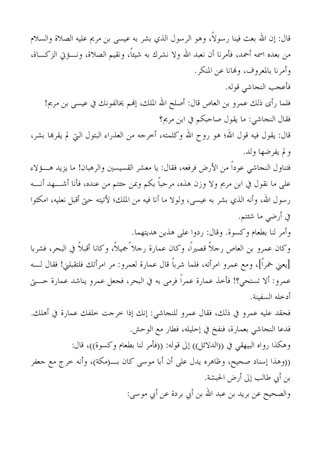قال: إن الله بعث فينا رسولاً، وهو الرسول الذي بشر به عيسى بن مريم عليه الصلاة والسلام من بعده اسمه أحمد، فأمرنا أن نعبد الله ولا نشرك به شيئاً، ونقيم الصلاة، ونـــؤتي الزكــــاة، وأمرنا بالمعروف، ولهانا عن المنكر. فأعجب النجاشي قوله. فلما رأى ذلك عمرو بن العاص قال: أصلح الله الملك، إلهم يخالفونك في عيسى بن مريم! فقال النجاشي: ما يقول صاحبكم في ابن مريم؟ قال: يقول فيه قول الله؛ هو روح الله وكلمته، أخرجه من العذراء البتول التي لم يقرها بشر، ولم يفرضها ولد. فتناول النجاشي عوداً من الأرض فرفعه، فقال: يا معشر القسيسين والرهبان! ما يزيد هـــؤلاء على ما نقول في ابن مريم ولا وزن هذه، مرحباً بكم وبمن جئتم من عنده، فأنا أشــــهد أنــــه رسول الله، وأنه الذي بشر به عيسى، ولولا ما أنا فيه من الملك؛ لأتيته حتى أقبل نعليه، امكثوا في أرضي ما شئتم. وأمر لنا بطعام وكسوة. وقال: ردوا على هذين هديتهما. وكان عمرو بن العاص رجلاً قصيراً، وكان عمارة رحلاً جميلاً، وكانا أقبلاً في البحر، فشربا [يعني خمراً]، ومع عمرو امرأته، فلما شرباً قال عمارة لعمرو: مر امرأتك فلتقبلني! فقال لـــه عمرو: ألا تستحي؟! فأخذ عمارة عمراً فرمي به في البحر، فجعل عمرو يناشد عمارة حـــــيّ أدخله السفىنة. فحقد عليه عمرو في ذلك، فقال عمرو للنجاشي: إنك إذا خرجت خلفك عمارة في أهلك. فدعا النحاشي بعمارة، فنفخ في إحليله، فطار مع الوحش. وهكذا رواه البيهقي في ((الدلائل)) إلى قوله: ((فأمر لنا بطعام وكسوة))، قال: ((وهذا إسناد صحيح، وظاهره يدل على أن أبا موسى كان بـــ(مكة)، وأنه خرج مع جعفر بن أبي طالب إلى أرض الحبشة. والصحيح عن بريد بن عبد الله بن أبي بردة عن أبي موسى: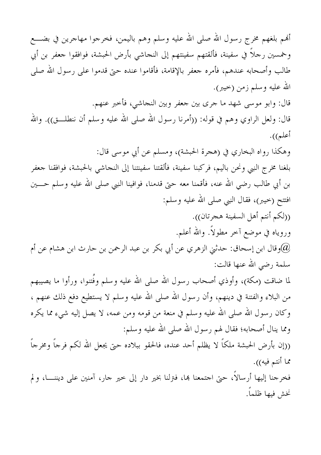ألهم بلغهم مخرج رسول الله صلى الله عليه وسلم وهم باليمن، فخرجوا مهاجرين في بضــــع وخمسين رجلاً في سفينة، فألقتهم سفينتهم إلى النجاشي بأرض الحبشة، فوافقوا جعفر بن أبي طالب وأصحابه عندهم، فأمره جعفر بالإقامة، فأقاموا عنده حتى قدموا على رسول الله صلى الله عليه وسلم زمن (خيبر). قال: وابو موسى شهد ما جرى بين جعفر وبين النجاشي، فأخبر عنهم. قال: ولعل الراوي وهم في قوله: ((أمرنا رسول الله صلى الله عليه وسلم أن ننطلـــق)). والله أعلم)). وهكذا رواه البخاري في (هجرة الحبشة)، ومسلم عن أبي موسى قال: بلغنا مخرج النبي ونحن باليم، فركبنا سفينة، فألقتنا سفينتنا إلى النحاشي بالحبشة، فوافقنا جعفر بن أبي طالب رضي الله عنه، فأقمنا معه حتى قدمنا، فوافينا النبي صلى الله عليه وسلم حــــين افتتح (خيبر)، فقال النبي صلى الله عليه وسلم: ((لكم أنتم أهل السفينة هجرتان)). وروياه في موضع أخر مطولاً. والله أعلم. وقال ابن إسحاق: حدثني الزهري عن أبي بكر بن عبد الرحمن بن حارث ابن هشام عن أم $@$ سلمة رضي الله عنها قالت: لما ضاقت (مكة)، وأوذي أصحاب رسول الله صلى الله عليه وسلم وفُتنوا، ورأوا ما يصيبهم من البلاء والفتنة في دينهم، وأن رسول الله صلى الله عليه وسلم لا يستطيع دفع ذلك عنهم ، وكان رسول الله صلى الله عليه وسلم في منعة من قومه ومن عمه، لا يصل إليه شيء مما يكره ومما ينال أصحابه؛ فقال لهم رسول الله صلى الله عليه وسلم: ((إن بأرض الحبشة ملكاً لا يظلم أحد عنده، فالحقو ببلاده حتى يجعل الله لكم فرجاً ومخرجاً مما أنتم فيه)). فخرجنا إليها أرسالاً، حتى اجتمعنا بما، فترلنا بخير دار إلى خير جار، آمنين على ديننــــا، و لم نخش فيها ظلماً.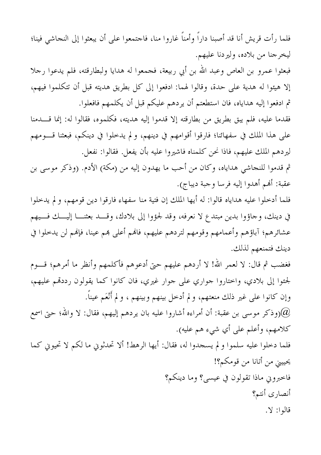فلما رأت قريش أنا قد أصبنا داراً وأمناً غاروا منا، فاجتمعوا على أن يبعثوا إلى النجاشي فينا؛ ليخرجنا من بلاده، وليردنا عليهم.

فبعثوا عمرو بن العاص وعبد الله بن أبي ربيعة، فجمعوا له هدايا ولبطارقته، فلم يدعوا رجلا إلا هيئوا له هدية على حدة، وقالوا لهما: ادفعوا إلى كل بطريق هديته قبل أن تتكلموا فيهم، ثم ادفعوا إليه هداياه، فان استطعتم أن يردهم عليكم قبل أن يكلمهم فافعلوا.

فقدما عليه، فلم يبق بطريق من بطارقته إلا قدموا إليه هديته، فكلموه، فقالوا له: إنما قـــدمنا على هذا الملك في سفهائنا؛ فارقوا أقوامهم في دينهم، ولم يدخلوا في دينكم، فبعثنا قـــومهم ليردهـم الملك عليهـم، فاذا نحن كلمناه فاشيروا عليه بأن يفعل. فقالوا: نفعل.

ثم قدموا للنجاشي هداياه، وكان من أحب ما يهدون إليه من (مكة) الأدم. (وذكر موسى بن عقبة: أَلهم أهدوا إليه فرسا وجبة ديباج).

فلما أدخلوا عليه هداياه قالوا: له أيها الملك إن فتية منا سفهاء فارقوا دين قومهم، و لم يدخلوا في دينك، وجاؤوا بدين مبتدع لا نعرفه، وقد لجؤوا إلى بلادك، وقـــد بعثنـــا إليـــك فـــيهم عشائرهم؛ آباؤهم وأعمامهم وقومهم لتردهم عليهم، فالهم أعلى هِم عينا، فإلهم لن يدخلوا في دينك فتمنعهم لذلك.

فغضب ثم قال: لا لعمر الله! لا أردهم عليهم حتى أدعوهم فأكلمهم وأنظر ما أمرهم؛ قـــوم لجئوا إلى بلادي، واختاروا جواري على جوار غيري، فان كانوا كما يقولون رددقم عليهم، وإن كانوا على غير ذلك منعتهم، و لم أدخل بينهم وبينهم ، و لم أَنْعَم عيناً. وذكر موسى بن عقبة: أن أمراءه أشاروا عليه بان يردهم إليهم، فقال: لا والله؛ حتى اسمع) $@$ كلامهم، وأعلم على أي شيء هم عليه). فلما دخلوا عليه سلموا ولم يسجدوا له، فقال: أيها الرهط! ألا تحدثوني ما لكم لا تحيوني كما يحييني من أتانا من قومكم؟! فاخبروين ماذا تقولون في عيسى؟ وما دينكم؟ أنصاري أنتم؟ قالوا: لا.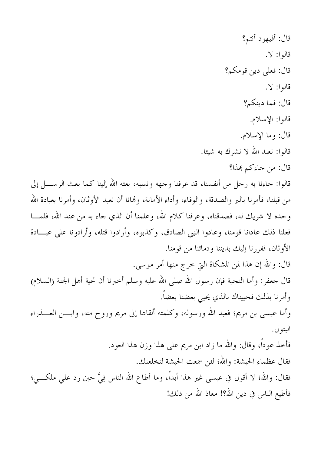قال: أفيهود أنتم؟ قالوا: لا. قال: فعلي دين قومكم؟ قالوا: لا. قال: فما دينكم؟ قالوا: الإسلام. قال: وما الإسلام. قالوا: نعبد الله لا نشرك به شيئا. قال: من جاءِكم بِمذا؟ قالوا: جاءنا به رجل من أنفسنا، قد عرفنا وجهه ونسبه، بعثه الله إلينا كما بعث الرســــل إلى من قبلنا، فأمرنا بالبر والصدقة، والوفاء، وأداء الأمانة، ولهانا أن نعبد الأوثان، وأمرنا بعبادة الله وحده لا شريك له، فصدقناه، وعرفنا كلام الله، وعلمنا أن الذي جاء به من عند الله، فلمـــا فعلنا ذلك عادانا قومنا، وعادوا النبي الصادق، وكذبوه، وأرادوا قتله، وأرادونا على عبـــادة الأوثان، ففررنا إليك بديننا ودمائنا من قومنا. قال: والله إن هذا لمن المشكاة التي خرج منها أمر موسى. قال جعفر: وأما التحية فإن رسول الله صلى الله عليه وسلم أخبرنا أن تحية أهل الجنة (السلام) وأمرنا بذلك فحييناك بالذي يحيى بعضنا بعضاً. وأما عيسى بن مريم؛ فعبد الله ورسوله، وكلمته ألقاها إلى مريم وروح منه، وابـــن العــــذراء البتول. فأخذ عودًا، وقال: والله ما زاد ابن مريم على هذا وزن هذا العود. فقال عظماء الحبشة: والله؛ لئن سمعت الحبشة لتحلعنك. فقال: والله؛ لا أقول في عيسى غير هذا أبداً، وما أطاع الله الناس فِيَّ حين رد على ملكـــي؛ فأطيع الناس في دين الله؟! معاذ الله من ذلك!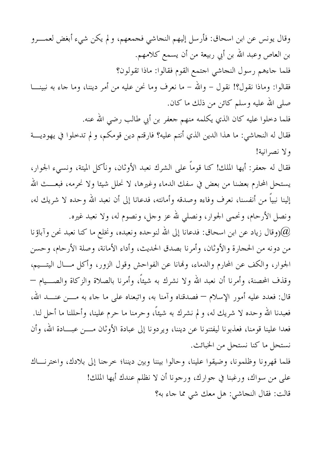وقال يونس عن ابن اسحاق: فأرسل إليهم النجاشي فجمعهم، و لم يكن شيء أبغض لعمـــرو بن العاص وعبد الله بن أبي ربيعة من أن يسمع كلامهم. فلما جاءهم رسول النجاشي اجتمع القوم فقالوا: ماذا تقولون؟ فقالوا: وماذا نقول؟! نقول – والله – ما نعرف وما نحن عليه من أمر ديننا، وما جاء به نبينــــا صلى الله عليه وسلم كائن من ذلك ما كان. فلما دخلوا عليه كان الذي يكلمه منهم جعفر بن أبي طالب رضي الله عنه. فقال له النجاشي: ما هذا الدين الذي أنتم عليه؟ فارقتم دين قومكم، و لم تدخلوا في يهوديـــة ولا نصرانية! فقال له جعفر: أيها الملك! كنا قوماً على الشرك نعبد الأوثان، ونأكل الميتة، ونسىء الجوار، يستحل المحارم بعضنا من بعض في سفك الدماء وغيرها، لا نحلل شيئا ولا نحرمه، فبعـــث الله إلينا نبياً من أنفسنا، نعرف وفاءه وصدقه وأمانته، فدعانا إلى أن نعبد الله وحده لا شريك له، ونصل الأرحام، ونحمى الجوار، ونصلى لله عز وجل، ونصوم له، ولا نعبد غيره. وقال زياد عن ابن اسحاق: فدعانا إلى الله لنوحده ونعبده، ونخلع ما كنا نعبد نحن وآباؤنا) $@$ من دونه من الحجارة والأوثان، وأمرنا بصدق الحديث، وأداء الأمانة، وصلة الأرحام، وحسن الجوار، والكف عن المحارم والدماء، وفمانا عن الفواحش وقول الزور، وأكل مسال اليتسيم، وقذف المحصنة، وأمرنا أن نعبد الله ولا نشرك به شيئاً، وأمرنا بالصلاة والزكاة والصـــيام — قال: فعدد عليه أمور الإسلام — فصدقناه وآمنا به، واتبعناه على ما جاء به مــــن عنــــد الله، فعبدنا الله وحده لا شريك له، و لم نشرك به شيئاً، وحرمنا ما حرم علينا، وأحللنا ما أحل لنا. فعدا علينا قومنا، فعذبونا ليفتنونا عن ديننا، ويردونا إلى عبادة الأوثان مــــن عبــــادة الله، وأن نستحل ما كنا نستحل من الخبائث.

فلما قهرونا وظلمونا، وضيقوا علينا، وحالوا بيننا وبين ديننا؛ خرجنا إلى بلادك، واخترنــاك على من سواك، ورغبنا في جوارك، ورجونا أن لا نظلم عندك أيها الملك! قالت: فقال النجاشي: هل معك شي مما جاء به؟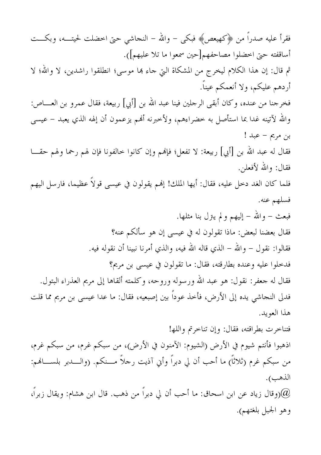فقرأ عليه صدراً من ﴿كهيعص﴾ فبكي – والله – النحاشي حتى اخضلت لحيتـــه، وبكـــت أساقفته حتى اخضلوا مصاحفهم[حين سمعوا ما تلا عليهم]). ثم قال: إن هذا الكلام ليخرج من المشكاة التي جاء بما موسى؛ انطلقوا راشدين، لا والله؛ لا أردهم عليكم، ولا أنعمكم عيناً. فخرجنا من عنده، وكان أبقى الرجلين فينا عبد الله بن [أبي] ربيعة، فقال عمرو بن العــــاص: والله لآتينه غدا بما استأصل به خضراءهم، ولأخبرنه أُفمم يزعمون أن إلهه الذي يعبد – عيسى بن مريم – عبد ! فقال له عبد الله بن [أبي] ربيعة: لا تفعل؛ فإنهم وإن كانوا خالفونا فإن لهم رحما ولهم حقـــا فقال: والله لأفعلن. فلما كان الغد دخل عليه، فقال: أيها الملك! إلهم يقولون في عيسى قولاً عظيما، فارسل اليهم فسلهم عنه. فبعث – والله – إليهم و لم يترل بنا مثلها. فقال بعضنا لبعض: ماذا تقولون له في عيسى إن هو سألكم عنه؟ فقالوا: نقول – والله – الذي قاله الله فيه، والذي أمرنا نبينا أن نقوله فيه. فدخلوا عليه وعنده بطارقته، فقال: ما تقولون في عيسى بن مريم؟ فقال له جعفر: نقول: هو عبد الله ورسوله وروحه، وكلمته ألقاها إلى مريم العذراء البتول. فدلي النجاشي يده إلى الأرض، فأخذ عوداً بين إصبعيه، فقال: ما عدا عيسى بن مريم مما قلت هذا العويد. فتناخرت بطراقته، فقال: وإن تناخرتم والله! اذهبوا فأنتم شيوم في الأرض (الشيوم: الآمنون في الأرض)، من سبكم غرم، من سبكم غرم، من سبكم غرم (ثلاثًا) ما أحب أن لي دبراً وأيٰ آذيت رحلاً مـــنكم. (والــــدبر بلســــالهم: الذهب). وقال زياد عن ابن اسحاق: ما أحب أن لي دبراً من ذهب. قال ابن هشام: ويقال زبراً، $@$ وهو الجبل بلغتهم).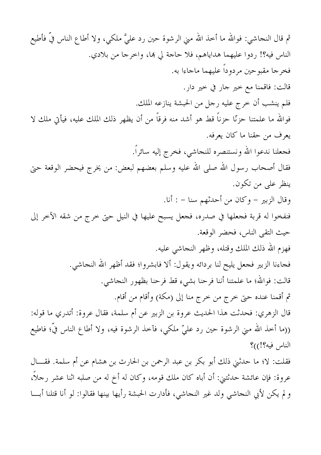ثم قال النجاشي: فوالله ما أخذ الله مني الرشوة حين رد عليَّ ملكي، ولا أطاع الناس فيَّ فأطيع الناس فيه؟! ردوا عليهما هداياهم، فلا حاجة لي بما، واخرجا من بلادي. فخرجا مقبوحين مردوداً عليهما ماجاءا به. قالت: فاقمنا مع خير جار في خير دار. فلم ينشب أن خرج عليه رحل من الحبشة ينازعه الملك. فوالله ما علمتنا حزنّا حزنًا قط هو أشد منه فرقاً من أن يظهر ذلك الملك عليه، فيأتي ملك لا يعرف من حقنا ما كان يعرفه. فجعلنا ندعوا الله ونستنصره للنجاشي، فخرج إليه سائراً. فقال أصحاب رسول الله صلى الله عليه وسلم بعضهم لبعض: من يخرج فيحضر الوقعة حتى ينظر على من تكون. وقال الزبير – وكان من أحدثهم سنا – : أنا. فنفخوا له قربة فجعلها في صدره، فجعل يسبح عليها في النيل حتى خرج من شقه الآخر إلى حيث التقى الناس، فحضر الوقعة. فهزم الله ذلك الملك وقتله، وظهر النجاشي عليه. فحاءنا الزبير فحعل يليح لنا بردائه ويقول: ألا فابشروا؛ فقد أظهر الله النحاشي. قالت: فوالله؛ ما علمتنا أننا فرحنا بشيء قط فرحنا بظهور النجاشي. ثم أقمنا عنده حتى خرج من خرج منا إلى (مكة) وأقام من أقام. قال الزهري: فحدثت هذا الحديث عروة بن الزبير عن أم سلمة، فقال عروة: أتدري ما قوله: ((ما أخذ الله مني الرشوة حين رد عليّ ملكي، فآخذ الرشوة فيه، ولا أطاع الناس فيٌّ؛ فاطيع الناس فيه؟!))؟ فقلت: لا؛ ما حدثني ذلك أبو بكر بن عبد الرحمن بن الحارث بن هشام عن أم سلمة. فقــال

عروة: فإن عائشة حدثتني: أن أباه كان ملك قومه، وكان له أخ له من صلبه اثنا عشر رحلاً، ولم يكن لأبي النجاشي ولد غير النجاشي، فأدارت الحبشة رأيها بينها فقالوا: لو أنا قتلنا أبسا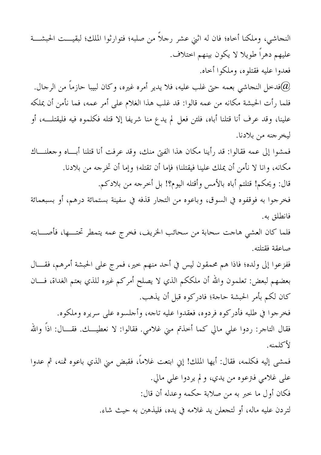النجاشي، وملكنا أخاه؛ فان له اثني عشر رحلاً من صلبه؛ فتوارثوا الملك؛ لبقيـــت الحبشـــة عليهم دهراً طويلا لا يكون بينهم اختلاف. فعدوا عليه فقتلوه، وملكوا أخاه. فدخل النجاشي بعمه حتى غلب عليه، فلا يدير أمره غيره، وكان لبيبا حازماً من الرجال. $@$ فلما رأت الحبشة مكانه من عمه قالوا: قد غلب هذا الغلام على أمر عمه، فما نأمن أن يملكه علينا، وقد عرف أنا قتلنا أباه، فلئن فعل لم يدع منا شريفا إلا قتله فكلموه فيه فليقتلـــه، أو ليخرجنه من بلادنا. فمشوا إلى عمه فقالوا: قد رأينا مكان هذا الفتي منك، وقد عرفت أنا قتلنا أبساه وجعلنـــاك مكانه، وانا لا نأمن أن يملك علينا فيقتلنا؛ فإما أن تقتله؛ وإما أن تخرجه من بلادنا. قال: ويحكم! قتلتم أباه بالأمس وأقتله اليوم؟! بل أخرجه من بلادكم. فخرجوا به فوقفوه في السوق، وباعوه من التجار قذفه في سفينة بستمائة درهم، أو بسبعمائة فانطلق به. فلما كان العشي هاجت سحابة من سحائب الخريف، فخرج عمه يتمطر تحتـــها، فأصــــابته صاعقة فقتلته. ففزعوا إلى ولده؛ فاذا هم محمقون ليس في أحد منهم خير، فمرج على الحبشة أمرهم، فقـــال بعضهم لبعض: تعلمون والله أن ملككم الذي لا يصلح أمركم غيره للذي بعتم الغداة، فـــان كان لكم بأمر الحبشة حاجة؛ فادركوه قبل أن يذهب. فخرجوا في طلبه فأدركوه فردوه، فعقدوا عليه تاجه، وأجلسوه على سريره وملكوه. فقال التاجر: ردوا على مالي كما أخذتم منى غلامى. فقالوا: لا نعطيـــك. فقــــال: اذاً والله لأكلمنه. فمشى إليه فكلمه، فقال: أيها الملك! إنى ابتعت غلاماً، فقبض منى الذي باعوه ثمنه، ثم عدوا علي غلامي فترعوه من يدي، و لم يردوا على مالي. فكان أول ما خبر به من صلابة حكمه وعدله أن قال: لتردن عليه ماله، أو لتجعلن يد غلامه في يده، فليذهبن به حيث شاء.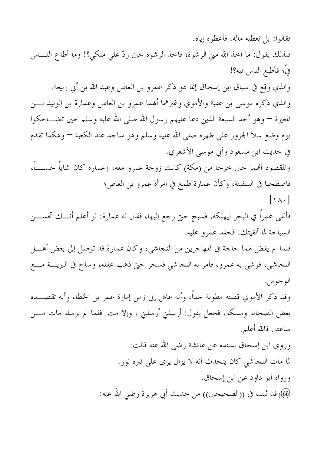فقالوا: بل نعطيه ماله. فأعطوه إياه. فلذلك يقول: ما أخذ الله مني الرشوة؛ فآخذ الرشوة حين ردّ على ملكي؟! وما أطاع النــــاس فيَّ؛ فأطيع الناس فيه؟! والذي وقع في سياق ابن إسحاق إنما هو ذكر عمرو بن العاص وعبد الله بن أبي ربيعة. والذي ذكره موسى بن عقبة والأموي وغيرهما أفمما عمرو بن العاص وعمارة بن الوليد بـــن المغيرة — وهو أحد السبعة الذين دعا عليهم رسول الله صلى الله عليه وسلم حين تضــــاحكوا يوم وضع سلا الجزور على ظهره صلى الله عليه وسلم وهو ساجد عند الكعبة — وهكذا تقدم في حديث ابن مسعود وأبي موسى الأشعري. والمقصود ألهما حين خرجا من (مكة) كانت زوجة عمرو معه، وعمارة كان شاباً حســـناً، فاصطحبا في السفينة، وكأن عمارة طمع في امرأة عمرو بن العاص؛  $[\lambda \lambda \cdot]$ فألقى عمراً في البحر ليهلكه، فسبح حتى رجع إليها، فقال له عمارة: لو أعلم أنـــك تحســـن السباحة لما ألقيتك. فحقد عمرو عليه. فلما لم يقض لهما حاجة في المهاجرين من النجاشي، وكان عمارة قد توصل إلى بعض أهــــل النجاشي، فوشي به عمرو، فأمر به النجاشي فسحر حتى ذهب عقله، وساح في البريسة مــــع الو جو ش. وقد ذكر الأموي قصته مطولة جداً، وأنه عاش إلى زمن إمارة عمر بن الخطا، وأنه تقصــــده بعض الصحابة ومسكه، فجعل يقول: أرسلني أرسلني ، وإلا مت. فلما لم يرسله مات مـــن ساعته. فالله أعلم. وروى ابن إسحاق بسنده عن عائشة رضى الله عنه قالت: لما مات النجاشي كان يتحدث أنه لا يزال يرى على قبره نور. ورواه أبو داود عن ابن إسحاق. وقد ثبت في ((الصحيحين)) من حديث أبي هريرة رضي الله عنه: $@$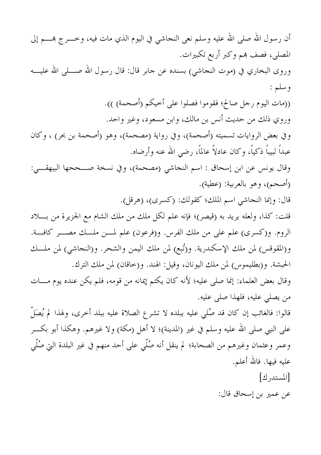أن رسول الله صلى الله عليه وسلم نعى النجاشي في اليوم الذي مات فيه، وخــــرج همــــم إلى المصلي، فصف بهم وكبر أربع تكبيرات. وروى البخاري في (موت النحاشي) بسنده عن جابر قال: قال رسول الله صــــلى الله عليــــه وسلم : ((مات اليوم رجل صالح؛ فقوموا فصلوا على أخيكم (أصحمة) )). وروي ذلك من حديث أنس بن مالك، وابن مسعود، وغير واحد. وفي بعض الروايات تسميته (أصحمة)، وفي رواية (مصحمة)، وهو (أصحمة بن بحر) ، وكان عبداً لبيباً ذكياً، وكان عادلاً عالماً، رضى الله عنه وأرضاه. وقال يونس عن ابن إسحاق : اسم النجاشي (مصحمة)، وفي نسخة صـــححها البيهقـــي: (أصحم)، وهو بالعربية: (عطية). قال: وإنما النجاشي اسم الملك؛ كقولك: (كسرى)، (هرقل). قلت: كذا، ولعله يريد به (قيصر)؛ فإنه علم لكل ملك من ملك الشام مع الجزيرة من بــــلاد الروم. و(كسرى) علم على من ملك الفرس. و(فرعون) علم لمـــن ملـــك مصـــر كافـــة. و(المقوقس) لمن ملك الإسكندرية. و(تُبع) لمن ملك اليمن والشحر. و(النجاشي) لمن ملـــك الحبشة. و(بطليموس) لمن ملك اليونان، وقيل: الهند. و(خاقان) لمن ملك الترك. وقال بعض العلماء: إنما صلى عليه؛ لأنه كان يكتم إيمانه من قومه، فلم يكن عنده يوم مـــات من يصلى عليه، فلهذا صلى عليه. قالوا: فالغائب إن كان قد صُلى عليه ببلده لا تشرع الصلاة عليه ببلد أخرى، ولهذا لم يُصَلُّ على النبي صلى الله عليه وسلم في غير (المدينة)؛ لا أهل (مكة) ولا غيرهم. وهكذا أبو بكـــر وعمر وعثمان وغيرهم من الصحابة؛ لم ينقل أنه صُلَّى على أحد منهم في غير البلدة التي صُلَّى عليه فيها. فالله أعلم. [المستدرك] عن عمير بن إسحاق قال: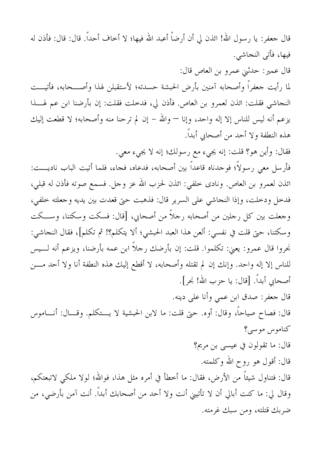قال جعفر: يا رسول الله! ائذن لي أن أرضاً أعبد الله فيها؛ لا أخاف أحداً. قال: قال: فأذن له فيها، فأتبى النجاشي. قال عمير: حدثني عمرو بن العاص قال: لما رأيت جعفراً وأصحابه آمنين بأرض الحبشة حسدته؛ لأستقبلن لهذا وأصـــحابه، فأتيـــت النجاشي فقلت: ائذن لعمرو بن العاص. فأذن لي، فدخلت فقلت: إن بأرضنا ابن عم لهــــذا يزعم أنه ليس للناس إلا إله واحد، وإنا — والله – إن لم ترحنا منه وأصحابه؛ لا قطعت إليك هذه النطفة ولا أحد من أصحابي أبداً. فقال: وأين هو؟ قلت: إنه يجيء مع رسولك؛ إنه لا يجيء معي. فأرسل معي رسولاً؛ فوجدناه قاعداً بين أصحابه، فدعاه، فجاء، فلما أتيت الباب ناديـــت: ائذن لعمرو بن العاص. ونادي خلفي: ائذن لحزب الله عز وجل. فسمع صوته فأذن له قبلي، فدخل ودخلت، وإذا النجاشي على السرير قال: فذهبت حتى قعدت بين يديه وجعلته خلفي، وجعلت بين كل رجلين من أصحابه رجلاً من أصحابي، [قال: فسكت وسكتنا، وســكت وسكتنا، حتى قلت في نفسي: ألعن هذا العبد الحبشي؛ ألا يتكلم؟! ثم تكلم]، فقال النحاشي: نِحروا قال عمرو: يعني: تكلموا. قلت: إن بأرضك رحلاً ابن عمه بأرضنا، ويزعم أنه لـــيس للناس إلا إله واحد. وإنك إن لم تقتله وأصحابه، لا أقطع إليك هذه النطفة أنا ولا أحد مــــن أصحابي أبداً. [قال: يا حزب الله! نجر]. قال جعفر: صدق ابن عمي وأنا على دينه. قال: فصاح صياحاً، وقال: أوه. حتى قلت: ما لابن الحبشية لا يـــتكلم. وقـــال: أنــــاموس کناموس موسى؟ قال: ما تقولون في عيسى بن مريم؟ قال: أقول هو روح الله وكلمته. قال: فتناول شيئاً من الأرض، فقال: ما أخطأ في أمره مثل هذا، فوالله؛ لولا ملكي لاتبعتكم، وقال لي: ما كنت أبالي أن لا تأتيني أنت ولا أحد من أصحابك أبداً. أنت آمن بأرضي، من ضربك قتلته، ومن سبك غرمته.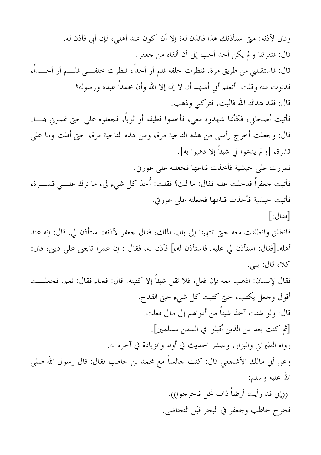وقال لآذنه: متى استأذنك هذا فائذن له؛ إلا أن أكون عند أهلي، فإن أبي فأذن له. قال: فتفرقنا و لم يكن أحد أحب إلى أن ألقاه من جعفر. قال: فاستقبلني من طريق مرة. فنظرت خلفه فلم أر أحداً، فنظرت خلفـــي فلــــم أر أحـــــداً، فدنوت منه وقلت: أتعلم أين أشهد أن لا إله إلا الله وأن محمداً عبده ورسوله؟ قال: فقد هداك الله فاثبت، فتركني وذهب. فأتيت أصحابي، فكأنما شهدوه معي، فأخذوا قطيفة أو ثوباً، فجعلوه على حتى غموني بمســا. قال: وجعلت أخرج رأسي من هذه الناحية مرة، ومن هذه الناحية مرة، حتى أفلت وما على قشرة، [و لم يدعوا لي شيئاً إلا ذهبوا به]. فمررت على حبشية فأخذت قناعها فحعلته على عورتي. فأتيت جعفراً فدخلت عليه فقال: ما لك؟ فقلت: أُخذ كل شيء لي، ما ترك علـــي قشــــرة، فأتيت حبشية فأخذت قناعها فجعلته على عورتي. [فقال:] فانطلق وانطلقت معه حتى انتهينا إلى باب الملك، فقال جعفر لآذنه: استأذن لي. قال: إنه عند أهله.[فقال: استأذن لي عليه. فاستأذن له،] فأذن له، فقال : إن عمراً تابعني على ديني، قال: كلا، قال: بلي. فقال لإنسان: اذهب معه فإن فعلَّ؛ فلا تقلَّ شيئاً إلا كتبته. قال: فجاء فقال: نعم. فجعلـــت أقول وجعل يكتب، حتى كتبت كل شيء حتى القدح. قال: ولو شئت أخذ شيئاً من أموالهم إلى مالي فعلت. [ثم كنت بعد من الذين أقبلوا في السفن مسلمين]. رواه الطبراني والبزار، وصدر الحديث في أوله والزيادة في آخره له. وعن أبي مالك الأشجعي قال: كنت جالساً مع محمد بن حاطب فقال: قال رسول الله صلى الله عليه وسلم: ((إين قد رأيت أرضاً ذات نخل فاخرجوا)). فخرج حاطب وجعفر في البحر قبَل النجاشي.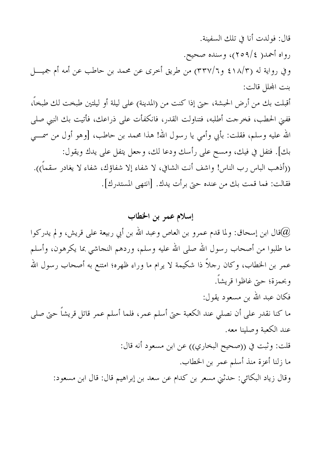قال: فولدت أنا في تلك السفينة. رواه أحمد( ٢٥٩/٤)، وسنده صحيح. وفي رواية له (٤١٨/٣) و٣٣٧/٦) من طريق أخرى عن محمد بن حاطب عن أمه أم جميــــل بنت المحلل قالت: أقبلت بك من أرض الحبشة، حتى إذا كنت من (المدينة) على ليلة أو ليلتين طبخت لك طبخاً، ففين الحطب، فخرجت أطلبه، فتناولت القدر، فانكفأت على ذراعك، فأتيت بك النبي صلى الله عليه وسلم، فقلت: بأبي وأمي يا رسول الله! هذا محمد بن حاطب، [وهو أول من سمــــي بك]. فتفل في فيك، ومسح على رأسك ودعا لك، وجعل يتفل على يدك ويقول: ((أذهب الباس رب الناس! واشف أنت الشافي، لا شفاء إلا شفاؤك، شفاء لا يغادر سقماً)). فقالت: فما قمت بك من عنده حتى برأت يدك. [انتهى المستدرك].

## إسلام عمر بن الخطاب

قال ابن إسحاق: ولما قدم عمرو بن العاص وعبد الله بن أبي ربيعة على قريش، و لم يدركوا $@$ ما طلبوا من أصحاب رسول الله صلى الله عليه وسلم، وردهم النحاشي بما يكرهون، وأسلم عمر بن الخطاب، وكان رجلاً ذا شكيمة لا يرام ما وراء ظهره؛ امتنع به أصحاب رسول الله وبحمزة؛ حتى غاظوا قريشاً. فكان عبد الله بن مسعود يقول: ما كنا نقدر على أن نصلي عند الكعبة حتى أسلم عمر، فلما أسلم عمر قاتل قريشاً حتى صلى عند الكعبة وصلينا معه. قلت: وثبت في ((صحيح البخاري)) عن ابن مسعود أنه قال: ما زلنا أعزة منذ أسلم عمر بن الخطاب. وقال زياد البكائي: حدثني مسعر بن كدام عن سعد بن إبراهيم قال: قال ابن مسعود: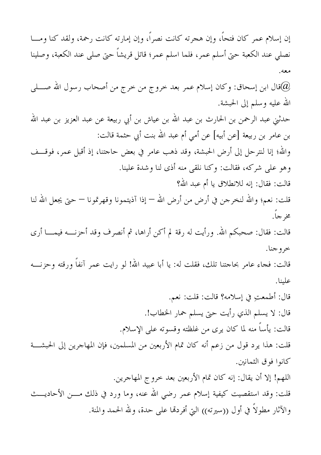إن إسلام عمر كان فتحاً، وإن هجرته كانت نصراً، وإن إمارته كانت رحمة، ولقد كنا ومـــا نصلي عند الكعبة حتى أسلم عمر، فلما اسلم عمر؛ قاتل قريشاً حتى صلى عند الكعبة، وصلينا معه. قال ابن إسحاق: وكان إسلام عمر بعد خروج من خرج من أصحاب رسول الله صــــلى $@$ الله عليه وسلم إلى الحبشة. حدثني عبد الرحمن بن الحارث بن عبد الله بن عياش بن أبي ربيعة عن عبد العزيز بن عبد الله بن عامر بن ربيعة [عن أبيه] عن أمي أم عبد الله بنت أبي حثمة قالت: والله؛ إنا لنترحل إلى أرض الحبشة، وقد ذهب عامر في بعض حاجتنا، إذ أقبل عمر، فوقــف وهو على شركه، فقالت: وكنا نلقى منه أذى لنا وشدة علينا. قالت: فقال: إنه للانطلاق يا أم عبد الله؟ قلت: نعم؛ والله لنخرجن في أرض من أرض الله — إذا آذيتمونا وقهرتمونا — حتى يجعل الله لنا مخر جاً. قالت: فقال: صحبكم الله. ورأيت له رقة لم أكن أراها، ثم أنصرف وقد أحزنــــه فيمــــا أرى خرو جنا. قالت: فحاء عامر بحاجتنا تلك، فقلت له: يا أبا عبيد الله! لو رايت عمر آنفاً ورقته وحزنــــه علىنا. قال: أطمعتٍ في إسلامه؟ قالت: قلت: نعم. قال: لا يسلم الذي رأيت حتى يسلم حمار الخطاب!. قالت: يأساً منه لما كان يرى من غلظته وقسوته على الإسلام. قلت: هذا يرد قول من زعم أنه كان تمام الأربعين من المسلمين، فإن المهاجرين إلى الحبشـــة كانوا فوق الثمانين. اللهم! إلا أن يقال: إنه كان تمام الأربعين بعد خروج المهاجرين. قلت: وقد استقصيت كيفية إسلام عمر رضي الله عنه، وما ورد في ذلك مـــن الأحاديـــث والآثار مطولاً في أول ((سيرته)) التي أفردها على حدة، ولله الحمد والمنة.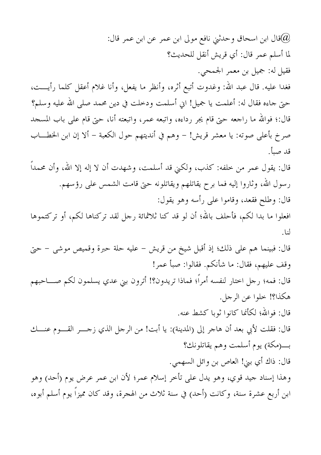قال ابن اسحاق وحدثني نافع مولي ابن عمر عن ابن عمر قال: $@$ لما أسلم عمر قال: أي قريش أنقل للحديث؟ فقيل له: جميل بن معمر الجمحي. فغدا عليه. قال عبد الله: وغدوت أتبع أثره، وأنظر ما يفعل، وأنا غلام أعقل كلما رأيـــت، حتى جاءه فقال له: أعلمت يا جميل! ابن أسلمت ودخلت في دين محمد صلى الله عليه وسلم؟ قال:؛ فوالله ما راجعه حتى قام يجر رداءه، واتبعه عمر، واتبعته أنا، حتى قام على باب المسحد صرخ بأعلى صوته: يا معشر قريش! – وهم في أنديتهم حول الكعبة – ألا إن ابن الخطـــاب قد صبأ. قال: يقول عمر من خلفه: كذب، ولكني قد أسلمت، وشهدت أن لا إله إلا الله، وأن محمداً رسول الله، وثاروا إليه فما برح يقاتلهم ويقاتلونه حتى قامت الشمس على رؤسهم. قال: وطلح فقعد، وقاموا على رأسه وهو يقول: افعلوا ما بدا لكم، فأحلف بالله؛ أن لو قد كنا ثلاثمائة رجل لقد تركناها لكم، أو تركتموها لنا. قال: فبينما هم على ذلك؛ إذ أقبل شيخ من قريش – عليه حلة حبرة وقميص موشى – حتى وقف عليهم، فقال: ما شأنكم. فقالوا: صبأ عمر! قال: فمه؛ رجل اختار لنفسه أمراً؛ فماذا تريدون؟! أترون بني عدي يسلمون لكم صــــاحبهم هكذا؟! خلوا عن الرجل. قال: فوالله؛ لكأنما كانوا ثوبا كشط عنه. قال: فقلت لأبي بعد أن هاجر إلى (المدينة): يا أبت! من الرجل الذي زحــــر القــــوم عنــــك قال: ذاك أي بني! العاص بن وائل السهمي. وهذا إسناد جيد قوي، وهو يدل على تأخر إسلام عمر؛ لأن ابن عمر عرض يوم (أحد) وهو ابن أربع عشرة سنة، وكانت (أحد) في سنة ثلاث من الهجرة، وقد كان مميزاً يوم أسلم أبوه،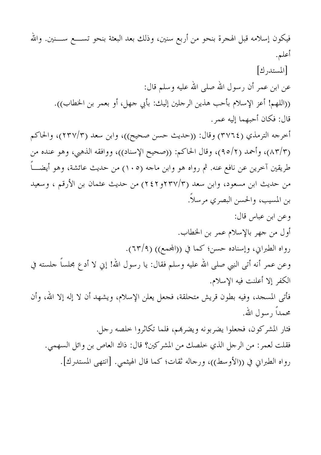فيكون إسلامه قبل الهجرة بنحو من أربع سنين، وذلك بعد البعثة بنحو تســــع ســــنين. والله أعلم. [المستدرك] عن ابن عمر أن رسول الله صلى الله عليه وسلم قال: ((اللهم! أعز الإسلام بأحب هذين الرحلين إليك: بأبي حهل، أو بعمر بن الخطاب)). قال: فكان أحبهما إليه عمر. أخرجه الترمذي (٣٧٦٤) وقال: ((حديث حسن صحيح))، وابن سعد (٢٣٧/٣)، والحاكم (٨٣/٣)، وأحمد (٩٥/٢)، وقال الحاكم: ((صحيح الإسناد))، ووافقه الذهبي، وهو عنده من طريقين آخرين عن نافع عنه. ثم رواه هو وابن ماجه (١٠٥) من حديث عائشة، وهو أيضــــاً من حديث ابن مسعود، وابن سعد (٢٢٣٧/٣و٢٤٢) من حديث عثمان بن الأرقم ، وسعيد بن المسيب، والحسن البصري مرسلاً. وعن ابن عباس قال: أول من جهر بالإسلام عمر بن الخطاب. رواه الطبراني، وإسناده حسن؛ كما في ((المحمع)) (٦٣/٩). وعن عمر أنه أتى النبي صلى الله عليه وسلم فقال: يا رسول الله! إني لا أدع مجلساً جلسته في الكفر إلا أعلنت فيه الإسلام. فأتبي المسجد، وفيه بطون قريش متحلقة، فجعل يعلن الإسلام، ويشهد أن لا إله إلا الله، وأن محمداً رسول الله. فثار المشركون، فحعلوا يضربونه ويضربهم، فلما تكاثروا خلصه رجل. فقلت لعمر : من الرجل الذي خلصك من المشركين؟ قال: ذاك العاص بن وائل السهمي. رواه الطبراني في ((الأوسط))، ورجاله ثقات؛ كما قال الهيثمي. [انتهى المستدرك].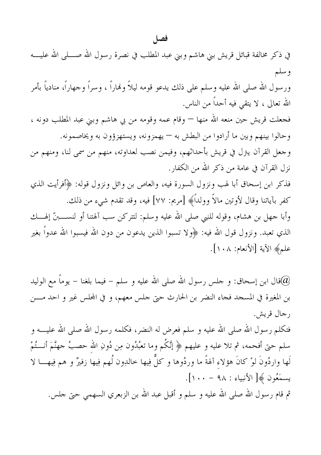في ذكر مخالفة قبائل قريش بنى هاشم وبنى عبد المطلب في نصرة رسول الله صـــــلى الله عليـــــه وسلم ورسول الله صلى الله عليه وسلم على ذلك يدعو قومه ليلاً وفماراً ، وسراً وجهاراً، منادياً بأمر الله تعالى ، لا يتقى فيه أحداً من الناس. فحعلت قريش حين منعه الله منها — وقام عمه وقومه من بي هاشم وبني عبد المطلب دونه ، وحالوا بينهم وبين ما أرادوا من البطش به — يهمزونه، ويستهزؤون به ويخاصمونه. وجعل القرآن يترل في قريش بأحداثهم، وفيمن نصب لعداوته، منهم من سمي لنا، ومنهم من نزل القرآن في عامة من ذكر الله من الكفار. فذكر ابن إسحاق أبا لهب ونزول السورة فيه، والعاص بن وائل ونزول قوله: ﴿أَفَرَأَيتَ الذي كفر بآياتنا وقال لأوتين مالاً وولداً﴾ [مريم: ٧٧] فيه، وقد تقدم شيء من ذلك. وأبا جهل بن هشام، وقوله للنبي صلى الله عليه وسلم: لتتركن سب آلهتنا أو لنســــبنّ إلهــــك الذي تعبد. ونزول قول الله فيه: ﴿وَلا تسبوا الذين يدعون من دون الله فيسبوا الله عدواً بغير علم﴾ الآية [الأنعام: ١٠٨].

قال ابن إسحاق: و جلس رسول الله صلى الله عليه و سلم – فيما بلغنا – يوماً مع الوليد $@$ بن المغيرة في المسجد فجاء النضر بن الحارث حتى جلس معهم، و في المحلس غير و احد مــــن رجال قريش.

فتكلم رسول الله صلى الله عليه و سلم فعرض له النضر، فكلمه رسول الله صلى الله عليــــه و سلم حتى أفحمه، ثم تلا عليه و عليهم ﴿ إِنَّكُمْ وما تعْبُدُون مِن دُونِ الله حصبُ جهنَّمَ أنـــتُمْ لَها واردُونَ لوْ كانَ هؤلاء آلهةً ما وردُوها و كلٌّ فِيها خالدِون لُهم فِيها زفيرٌ و هم فِيهِـــا لا يسمَعُونَ ﴾[ الأنبياء : ٩٨ – ١٠٠]. ثم قام رسول الله صلى الله عليه و سلم و أقبل عبد الله بن الزبعري السهمي حتى حلس.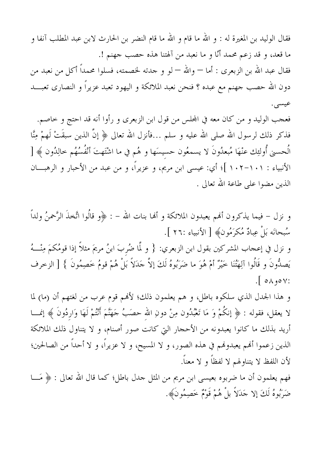فقال الوليد بن المغيرة له : و الله ما قام و الله ما قام النضر بن الحارث لابن عبد المطلب آنفا و ما قعد، و قد زعم محمد أنَّا و ما نعبد من آلهتنا هذه حصب جهنم !. فقال عبد الله بن الزبعرى : أما — والله — لو و جدته لخصمته، فسلوا محمداً أكل من نعبد من دون الله حصب جهنم مع عبده ؟ فنحن نعبد الملائكة و اليهود تعبد عزيراً و النصارى تعبـــد عيسى.

فعجب الوليد و من كان معه في المجلس من قول ابن الزبعري و رأوا أنه قد احتج و خاصم. فذكر ذلك لرسول الله صلى الله عليه و سلم …فأنزل الله تعالى ﴿ إِنَّ الذين سبقَتْ لَهمْ مِنَّا الُحسني أُولئِك عنْهَا مُبعدُونَ لا يسمعُون حسيسَها و هُم في ما اشْتَهتَ أنْفُسُهُم خالِدُون ﴾ [ الأنبياء : ١٠١–١٠٢ ]؛ أي: عيسى ابن مريم، و عزيراً، و من عبد من الأحبار و الرهبـــان الذين مضوا على طاعة الله تعالى .

و نزل – فيما يذكرون ألهم يعبدون الملائكة و ألها بنات الله – : ﴿و قالُوا اتَّخذَ الرَّحمنُ ولداً سُبحانَه بَلْ عِبادٌ مُكرَمُونٍ﴾ [ الأنبياء :٢٦ ].

و نزل في إعجاب المشركين بقول ابن الزبعري: { و لَّما ضُربَ ابنُ مريمَ مثلاً إذا قومُكمَ مِنْـــهُ يَصلُّونَ و قَالُوا آلِهَتُنَا خَيْرٌ أَمْ هُوَ ما ضَرَبُوهُ لَكَ إِلاَّ جَدَلاً بَلْ هُمْ قومُ خَصِمُونَ } [ الزخرف  $\sqrt{\circ\lambda\,0}$   $\vee$  :

و هذا الجدل الذي سلكوه باطل، و هم يعلمون ذلك؛ لأُهْم قوم عرب من لغتهم أن (ما) لما لا يعقل، فقوله : ﴿ إِنكُمْ وَ مَا تَعْبُدُون مِنْ دونِ الله حصَبُ جَهَنَّمَ أَنْتُمْ لَهَا وَاردُونَ ﴾ إنمـــا أريد بذلك ما كانوا يعبدونه من الأحجار التي كانت صور أصنام، و لا يتناول ذلك الملائكة الذين زعموا أُفم يعبدوفمم في هذه الصور، و لا المسيح، و لا عزيراً، و لا أحداً من الصالحين؛ لأن اللفظ لا يتناولهم لا لفظاً و لا معناً.

فهم يعلمون أن ما ضربوه بعيسى ابن مريم من المثل جدل باطل؛ كما قال الله تعالى : ﴿ مَـــا ضَرَبُوهُ لَكَ إِلا جَدَلاً بِلْ هُمْ قَوْمٌ خَصِمُونَ﴾.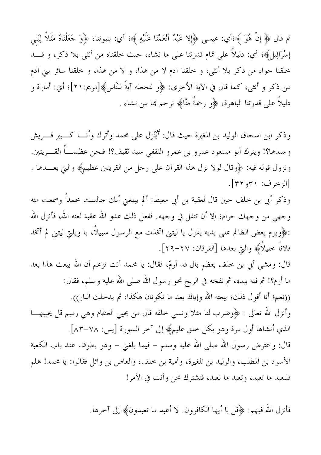ثم قال ﴿ إِنْ هُوَ ﴾؛أي: عيسى ﴿إِلا عَبْدٌ أَنْعَمْنَا عَلَيْهِ ﴾؛ أي: بنبوتنا، ﴿وَ حَعَلْنَاهُ مَثَلاً لِبَني إِسْرَائِيلٍ﴾؛ أي: دليلاً على تمام قدرتنا على ما نشاء، حيث خلقناه من أنثى بلا ذكر، و قــــد خلقنا حواء من ذكر بلا أنثى، و خلقنا آدم لا من هذا، و لا من هذا، و خلقنا سائر بني آدم من ذكر و أنثى، كما قال في الآية الأخرى: ﴿و لنجعله آيةً للنَّاسِ﴾[مريم:٢١]؛ أي: أمارة و دليلاً على قدرتنا الباهرة، ﴿و رحمةً منَّا﴾ نرحم ها من نشاء .

وذكر ابن اسحاق الوليد بن المغيرة حيث قال: أَيُنْزَل على محمد وأترك وأنـــا كـــبير قـــريش وسيدها؟! ويترك أبو مسعود عمرو بن عمرو الثقفي سيد ثقيف؟! فنحن عظيمــــاً القــــريتين. ونزول قوله فيه: ﴿وقال لولا نزل هذا القرآن على رجلٍ من القريتين عظيم﴾ والتي بعــــدها . [الزخرف: ٣١و ٣٢].

وذكر أبي بن خلف حين قال لعقبة بن أبي معيط: ألم يبلغني أنك جالست محمداً وسمعت منه وجهي من وجهك حرام؛ إلا أن تتفلَّ في وجهه. ففعل ذلك عدو الله عقبة لعنه الله، فأنزل الله :﴿ويوم يعض الظالم على يديه يقول يا ليتني اتخذت مع الرسول سبيلاً، يا ويلتي ليتني لم أتخذ فلاناً خليلاً﴾ والتي بعدها [الفرقان: ٢٧–٢٩].

قال: ومشى أبي بن خلف بعظم بال قد أرمّ، فقال: يا محمد أنت تزعم أن الله يبعث هذا بعد ما أرم؟! ثم فته بيده، ثم نفخه في الريح نحو رسول الله صلى الله عليه وسلم، فقال: ((نعم؛ أنا أقول ذلك؛ يبعثه الله وإياك بعد ما تكونان هكذا، ثم يدخلك النار)). وأنزل الله تعالى : ﴿وضرب لنا مثلاً ونسى خلقه قال من يحيى العظام وهي رميم قل يحييهـــا الذي أنشاها أول مرة وهو بكل خلق عليم﴾ إلى آخر السورة [يس: ٧٨–٨٣]. قال: واعترض رسول الله صلى الله عليه وسلم – فيما بلغني – وهو يطوف عند باب الكعبة الأسود بن المطلب، والوليد بن المغيرة، وأمية بن خلف، والعاص بن وائل فقالوا: يا محمد! هلم فلنعبد ما تعبد، وتعبد ما نعبد، فنشترك نحن وأنت في الأمر!

فأنزل الله فيهم: ﴿قُل يا أيها الكافرون. لا أعبد ما تعبدون﴾ إلى آخرها.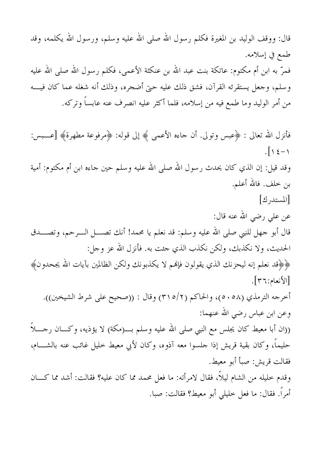قال: ووقف الوليد بن المغيرة فكلم رسول الله صلى الله عليه وسلم، ورسول الله يكلمه، وقد طمع في إسلامه. فمرَّ به ابن أم مكتوم: عاتكة بنت عبد الله بن عنكثة الأعمى، فكلم رسول الله صلى الله عليه وسلم، وجعل يستقرئه القرآن، فشق ذلك عليه حتى أضحره، وذلك أنه شغله عما كان فيــــه من أمر الوليد وما طمع فيه من إسلامه، فلما أكثر عليه انصرف عنه عابساً وتركه. فأنزل الله تعالى : ﴿عبس وتولى. أن جاءه الأعمى ﴾ إلى قوله: ﴿مرفوعة مطهرة﴾ [عــــبس:  $\sqrt{12}$ 

وقد قيل: إن الذي كان يحدث رسول الله صلى الله عليه وسلم حين جاءه ابن أم مكتوم: أمية بن خلف. فالله أعلم.

[المستدرك]

عن على رضي الله عنه قال: قال أبو جهل للنبي صلى الله عليه وسلم: قد نعلم يا محمد! أنك تصـــل الـــرحم، وتصــــدق الحديث، ولا نكذبك، ولكن نكذب الذي جئت به. فأنزل الله عز وجل:

﴿﴿قَامَ نَعْلَمُ إِنَّهُ لِيَحْزِنْكَ الَّذِي يَقُولُونَ فَإِنَّهُمْ لَا يَكْذِّبُونَكَ وَلَكَنَّ الظالمين بآيات الله يجحدون﴾ [الأنعام:٢٦].

أخرجه الترمذي (٥٠٥٨)، والحاكم (٣١٥/٢) وقال : ((صحيح على شرط الشيخين)). وعن ابن عباس رضي الله عنهما:

((ان أبا معيط كان يجلس مع النبي صلى الله عليه وسلم بـــ(مكة) لا يؤذيه، وكــــان رجــــلاً حليماً، وكان بقية قريش إذا جلسوا معه آذوه، وكان لأبي معيط خليل غائب عنه بالشــــام، فقالت قريش: صبأ أبو معيط.

وقدم خليله من الشام ليلاً، فقال لامرأته: ما فعل محمد مما كان عليه؟ فقالت: أشد مما كـــان أمراً. فقال: ما فعل خليلي أبو معيط؟ فقالت: صبا.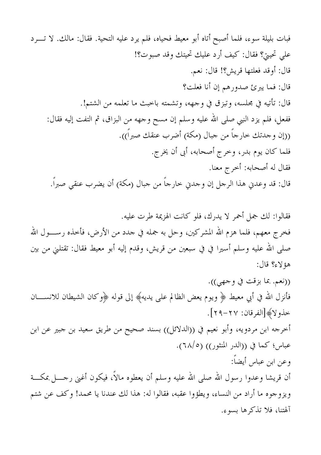فبات بليلة سوء، فلما أصبح أتاه أبو معيط فحياه، فلم يرد عليه التحية. فقال: مالك. لا تــــرد على تحييٌّ؟ فقال: كيف أرد عليك تحيتك وقد صبوت؟! قال: أوقد فعلتها قريش؟! قال: نعم. قال: فما يبرئ صدورهم إن أنا فعلت؟ قال: تأتيه في مجلسه، وتبزق في وجهه، وتشمته باخبث ما تعلمه من الشتم!. ففعل، فلم يزد النبي صلى الله عليه وسلم إن مسح وجهه من البزاق، ثم التفت إليه فقال: ((إن وجدتك خارجاً من جبال (مكة) أضرب عنقك صبراً)). فلما كان يوم بدر، وخرج أصحابه، أبي أن يخرج. فقال له أصحابه: أخرج معنا. قال: قد وعدني هذا الرجل إن وجدني خارجاً من جبال (مكة) أن يضرب عنقي صبراً.

فقالوا: لك جمل أحمر لا يدرك، فلو كانت الهزيمة طرت عليه. فخرج معهم، فلما هزم الله المشركين، وحل به جمله في جدد من الأرض، فأخذه رســــول الله صلى الله عليه وسلم أسيرا في في سبعين من قريش، وقدم إليه أبو معيط فقال: تقتلني من بين هؤلاءِ؟ قال:

((نعم. بما بزقت في وحمى)). فأنزل الله في أبي معيط ﴿ ويوم يعض الظالم على يديه﴾ إلى قوله ﴿وكان الشيطان للانســـان خذولاً﴾[الفرقان: ٢٧–٢٩]. أخرجه ابن مردويه، وأبو نعيم في ((الدلائل)) بسند صحيح من طريق سعيد بن جبير عن ابن عباس؛ كما في ((الدر المنثور)) (٢٨/٥). وعن ابن عباس أيضاً: أن قريشا وعدوا رسول الله صلى الله عليه وسلم أن يعطوه مالاً، فيكون أغنى رجــــل بمكــــة ويزوجوه ما أراد من النساء، ويطؤوا عقبه، فقالوا له: هذا لك عندنا يا محمد! وكف عن شتم آلهتنا، فلا تذكرها بسوءٍ.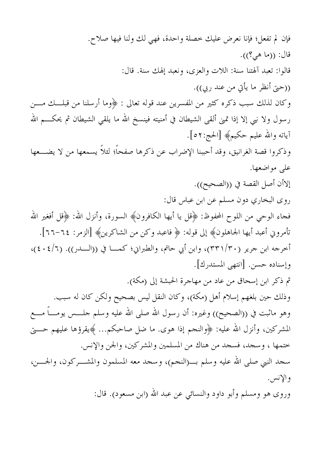فإن لم تفعل؛ فإنا نعرض عليك خصلة واحدة، فهي لك ولنا فيها صلاح. قال: ((ما هي؟)). قالوا: تعبد ألهتنا سنة: اللات والعزى، ونعبد إلهك سنة. قال: ((حتى أنظر ما يأتي من عند ربي)). وكان لذلك سبب ذكره كثير من المفسرين عند قوله تعالى : ﴿وَمَّا أَرْسَلْنَا مِنْ قَبْلَــْكَ مَـــْنِ رسول ولا نبي إلا إذا تمني ألقي الشيطان في أمنيته فينسخ الله ما يلقي الشيطان ثم يحكــــم الله آياته والله عليم حكيم﴾ [الحج:٥٢]. وذكروا قصة الغرانيق، وقد أحببنا الإضراب عن ذكرها صفحاً؛ لئلاً يسمعها من لا يضـــعها علي مواضعها. إلاأن أصل القصة في ((الصحيح)). روى البخاري دون مسلم عن ابن عباس قال: فحاء الوحي من اللوح المحفوظ: ﴿قُل يا أيها الكافرون﴾ السورة، وأنزل الله: ﴿قُلْ أَفَغَيْرِ الله تأمروني أعبد أيها الجاهلون﴾ إلى قوله: ﴿ فاعبد وكن من الشاكرين﴾ [الزمر: ٢٤–٢٦]. أخرجه ابن جرير (٣٢١/٣٠)، وابن أبي حاتم، والطبراني؛ كمـــا في ((الــــدر)). (٤٠٤/٦)، وإسناده حسن. [انتهى المستدرك]. ثم ذكر ابن إسحاق من عاد من مهاجرة الحبشة إلى (مكة). وذلك حين بلغهم إسلام أهل (مكة)، وكان النقل ليس بصحيح ولكن كان له سبب. وهو ماثبت في ((الصحيح)) وغيره: أن رسول الله صلى الله عليه وسلم جلـــس يومــــاً مــــع المشركين، وأنزل الله عليه: ﴿والنحم إذا هوى. ما ضل صاحبكم... ﴾يقرؤها عليهم حــــتي ختمها ، وسجد، فسحد من هناك من المسلمين والمشركين، والجن والإنس. سجد النبي صلى الله عليه وسلم بـــ(النجم)، وسجد معه المسلمون والمشـــركون، والجــــن، والإنس. وروى هو ومسلم وأبو داود والنسائي عن عبد الله (ابن مسعود). قال: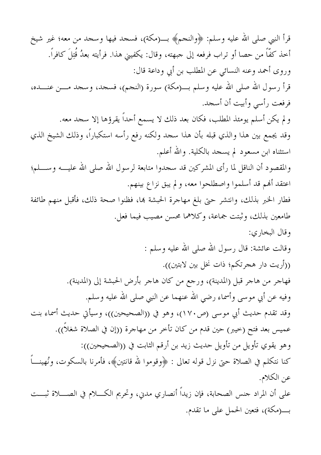قرأ النبي صلى الله عليه وسلم: ﴿والنَّحِمِ﴾ بــــ(مكة)، فسجد فيها وسجد من معه؛ غير شيخ أخذ كفًّا من حصا أو تراب فرفعه إلى جبهته، وقال: يكفيني هذا. فرأيته بعدُ قُتِلَ كافراً. وروى أحمد وعنه النسائي عن المطلب بن أبي وداعة قال: قرأ رسول الله صلى الله عليه وسلم بــــ(مكة) سورة (النجم)، فسجد، وسجد مــــن عنــــده، فرفعت رأسي وأبيت أن أسجد. و لم يكن أسلم يومئذ المطلب، فكان بعد ذلك لا يسمع أحداً يقرؤها إلا سجد معه. وقد يجمع بين هذا والذي قبله بأن هذا سحد ولكنه رفع رأسه استكباراً، وذلك الشيخ الذي استثناه ابن مسعود لم يسحد بالكلية. والله أعلم. والمقصود أن الناقل لما رأى المشركين قد سجدوا متابعة لرسول الله صلى الله عليــــه وســــلم؛ اعتقد أُهُم قد أسلموا واصطلحوا معه، و لم يبق نزاع بينهم. فطار الخبر بذلك، وانتشر حتى بلغ مهاجرة الحبشة بما، فظنوا صحة ذلك، فأقبل منهم طائفة طامعين بذلك، وثبتت جماعة، وكلاهما محسن مصيب فيما فعل. وقال البخاري: وقالت عائشة: قال رسول الله صلى الله عليه وسلم : ((أريت دار هجرتكم؛ ذات نخل بين لابتين)). فهاجر من هاجر قبل (المدينة)، ورجع من كان هاجر بأرض الحبشة إلى (المدينة). وفيه عن أبي موسى وأسماء رضي الله عنهما عن النبي صلى الله عليه وسلم. وقد تقدم حديث أبي موسى (ص١٧٠)، وهو في ((الصحيحين))، وسيأتي حديث أسماء بنت عميس بعد فتح (خيبر) حين قدم من كان تأخر من مهاجرة ((إن في الصلاة شغلاً)). وهو يقوي تأويل من تأويل حديث زيد بن أرقم الثابت في ((الصحيحين)): كنا نتكلم في الصلاة حتى نزل قوله تعالى : ﴿وقوموا لله قانتين﴾، فأمرنا بالسكوت، ونُهينــــاً عن الكلام. على أن المراد جنس الصحابة، فإن زيداً أنصاري مدنى، وتحريم الكــــلام في الصـــــلاة ثبــــت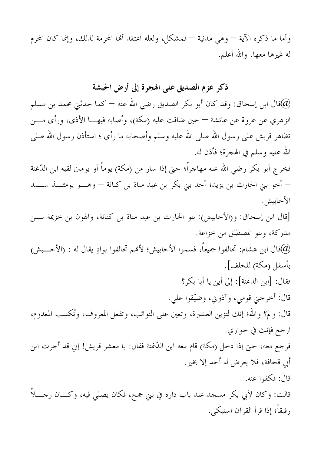وأما ما ذكره الآية — وهي مدنية — فمشكل، ولعله اعتقد ألها المحرمة لذلك، وإنما كان المحرم له غيرها معها. والله أعلم.

## ذكر عزم الصديق على الهجرة إلى أرض الحبشة

قال ابن إسحاق: وقد كان أبو بكر الصديق رضي الله عنه — كما حدثني محمد بن مسلم $@$ الزهري عن عروة عن عائشة — حين ضاقت عليه (مكة)، وأصابه فيهـــا الأذي، ورأى مــــن تظاهر قریش علی رسول الله صلی الله علیه وسلم وأصحابه ما رأی ؛ استأذن رسول الله صلی الله عليه وسلم في الهجرة؛ فأذن له. فخرج أبو بكر رضي الله عنه مهاجراً؛ حتى إذا سار من (مكة) يوماً أو يومين لقيه ابن الدّغنة — أخو بني الحارث بن يزيد؛ أحد بني بكر بن عبد مناة بن كنانة — وهــــو يومئــــذ ســــيد

[قال ابن إسحاق: و(الأحابيش): بنو الحارث بن عبد مناة بن كنانة، والهون بن خزيمة بـــن مدركة، وبنو المصطلق من خزاعة.

الأحابيش.

قال ابن هشام: تحالفوا جميعاً، فسموا الأحابيش؛ لألهم تحالفوا بوادٍ يقال له : (الأحـــبش) $\widehat{a}$ بأسفل (مكة) للحلف].

فقال: [ابن الدغنة]: إلى أين يا أبا بكر؟ قال: أخرجني قومي، وآذوني، وضيّقوا على. قال: و لم؟ والله؛ إنك لتزين العشيرة، وتعين على النوائب، وتفعل المعروف، وتُكسب المعدوم، ارجع فإنك في جواري.

فرجع معه، حتى إذا دخل (مكة) قام معه ابن الدَّغنة فقال: يا معشر قريش! إني قد أجرت ابن أبي قحافة، فلا يعرض له أحد إلا بخير.

قال: فكفوا عنه. قالت: وكان لأبي بكر مسجد عند باب داره في بني جمح، فكان يصلي فيه، وكـــان رجــــلاً رقيقاً؛ إذا قرأ القرآن استبكي.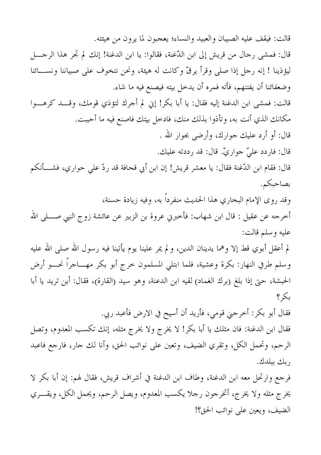قالت: فيقف عليه الصبيان والعبيد والنساء؛ يعجبون لما يرون من هيئته. قال: فمشى رجال من قريش إلى ابن الدُّغنة، فقالوا: يا ابن الدغنة! إنك لم تجر هذا الرجــــل ليؤذينا ! إنه رجل إذا صلى وقرأ يرقُّ وكانت له هيئة، ونحن نتخوف على صبياننا ونســـائنا وضعفائنا أن يفتنهم، فأته فمره أن يدخل بيته فيصنع فيه ما شاء. قالت: فمشى ابن الدغنة إليه فقال: يا أبا بكر! إين لم أجرك لتؤذي قومك، وقـــد كرهـــوا مكانك الذي أنت به، وتأذوا بذلك منك، فادخل بيتك فاصنع فيه ما أحببت. قال: أو أرد عليك جوارك، وأرضى بجوار الله . قال: فاردد عليّ جواريّ. قال: قد رددته عليك. قال: فقام ابن الدَّغنة فقال: يا معشر قريش! إن ابن أبي قحافة قد ردَّ على حواري، فشــــأنكم بصاحبكم. وقد روى الإمام البخاري هذا الحديث منفرداً به، وفيه زيادة حسنة، أخرجه عن عقيل : قال ابن شهاب: فأخبرني عروة بن الزبير عن عائشة زوج النبي صــــلى الله عليه وسلم قالت: لم أعقل أبوي قط إلا وهما يدينان الدين، و لم يمر علينا يوم يأتينا فيه رسول الله صلى الله عليه وسلم طرفي النهار: بكرة وعشية، فلما ابتلى المسلمون خرج أبو بكر مهـــاجراً نحــــو أرض الحبشة، حتى إذا بلغ (برك الغماد) لقيه ابن الدعنة، وهو سيد (القارة)، فقال: أين تريد يا أبا  $\zeta$ فقال أبو بكر: أخرجني قومي، فأريد أن أسيح في الارض فأعبد ربي. فقال ابن الدغنة: فان مثلك يا أبا بكر! لا يخرج ولا يخرج مثله، إنك تكسب المعدوم، وتصل الرحم، وتحمل الكل، وتقري الضيف، وتعين على نوائب الحق، وأنا لك جار، فارجع فاعبد ربك ببلدك. فرجع وارتحل معه ابن الدغنة، وطاف ابن الدغنة في أشراف قريش، فقال لهم: إن أبا بكر لا يخرج مثله ولا يخرج، أتخرجون رجلا يكسب المعدوم، ويصل الرحم، ويحمل الكل، ويقــــري

الضيف، ويعين على نوائب الحق؟!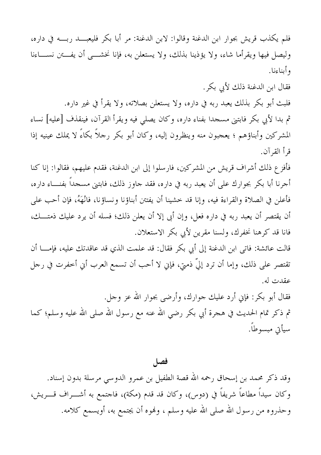فلم يكذب قريش بجوار ابن الدغنة وقالوا: لابن الدغنة: مر أبا بكر فليعبـــد ربــــه في داره، وليصل فيها ويقرأما شاء، ولا يؤذينا بذلك، ولا يستعلن به، فإنا نخشـــي أن يفـــتن نســــاءنا وأبناءنا.

فقال ابن الدغنة ذلك لأبي بكر.

فلبث أبو بكر بذلك يعبد ربه في داره، ولا يستعلن بصلاته، ولا يقرأ في غير داره. ثم بدا لأبي بكر فابتني مسجدا بفناء داره، وكان يصلي فيه ويقرأ القرآن، فينقذف [عليه] نساء المشركين وأبناؤهم ؛ يعجبون منه وينظرون إليه، وكان أبو بكر رحلاً بكاءً لا يملك عينيه إذا قرأ القرآن.

فأفزع ذلك أشراف قريش من المشركين، فارسلوا إلى ابن الدغنة، فقدم عليهم، فقالوا: إنا كنا أجرنا أبا بكر بجوارك على أن يعبد ربه في داره، فقد جاوز ذلك، فابتني مسجداً بفنــــاء داره، فأعلن في الصلاة والقراءة فيه، وإنا قد خشينا أن يفتتن أبناؤنا ونساؤنا، فانْهَهُ، فإن أحب على أن يقتصر أن يعبد ربه في داره فعل، وإن أبي إلا أن يعلن ذلك؛ فسله أن يرد عليك ذمتـــك، فانا قد كرهنا نخفرك، ولسنا مقرين لأبي بكر الاستعلان.

قالت عائشة: فاتى ابن الدغنة إلى أبي بكر فقال: قد علمت الذي قد عاقدتك عليه، فإمـــا أن تقتصر على ذلك، وإما أن ترد إليَّ ذمتي، فإني لا أحب أن تسمع العرب أبي أخفرت في رحل عقدت له.

فقال أبو بكر: فإين أرد عليك جوارك، وأرضى بجوار الله عز وجل. ثم ذكر تمام الحديث في هـجرة أبي بكر رضي الله عنه مع رسول الله صلى الله عليه وسلم؛ كما سيأتي مبسوطاً.

فصل

وقد ذكر محمد بن إسحاق رحمه الله قصة الطفيل بن عمرو الدوسي مرسلة بدون إسناد. وكان سيداً مطاعاً شريفاً في (دوس)، وكان قد قدم (مكة)، فاجتمع به أشــــراف قــــريش، وحذروه من رسول الله صلى الله عليه وسلم ، ونموه أن يجتمع به، أويسمع كلامه.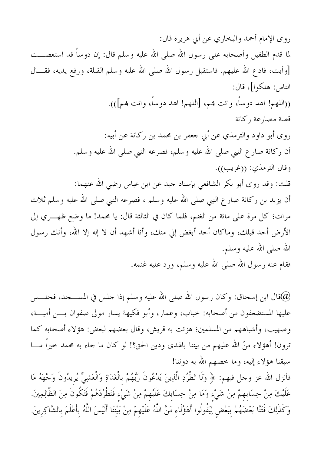روى الإمام أحمد والبخاري عن أبي هريرة قال: لما قدم الطفيل وأصحابه على رسول الله صلى الله عليه وسلم قال: إن دوساً قد استعصـــت [وأبت، فادع الله عليهم. فاستقبل رسول الله صلى الله عليه وسلم القبلة، ورفع يديه، فقـــال الناس: هلكوا]، قال: ((اللهم! اهد دوساً، وائت بهم، [اللهم! اهد دوساً، وائت بهم])). قصة مصارعة ركانة روى أبو داود والترمذي عن أبي جعفر بن محمد بن ركانة عن أبيه: أن ركانة صار ع النبي صلى الله عليه وسلم، فصرعه النبي صلى الله عليه وسلم. وقال الترمذي: ((غريب)). قلت: وقد روى أبو بكر الشافعي بإسناد جيد عن ابن عباس رضى الله عنهما: أن يزيد بن ركانة صار ع النبي صلى الله عليه وسلم ، فصرعه النبي صلى الله عليه وسلم ثلاث مرات؛ كل مرة على مائة من الغنم، فلما كان في الثالثة قال: يا محمد! ما وضع ظهـــري إلى الأرض أحد قبلك، وماكان أحد أبغض إلى منك، وأنا أشهد أن لا إله إلا الله، وأنك رسول الله صلى الله عليه وسلم. فقام عنه رسول الله صلى الله عليه وسلم، ورد عليه غنمه.

قال ابن إسحاق: وكان رسول الله صلى الله عليه وسلم إذا جلس في المســـجد، فجلـــس $@$ عليها المستضعفون من أصحابه: خباب، وعمار، وأبو فكيهة يسار مولى صفوان بـــن أميـــة، وصهيب، وأشباههم من المسلمين؛ هزئت به قريش، وقال بعضهم لبعض: هؤلاء أصحابه كما ترون! أهؤلاء منَّ الله عليهم من بيننا بالهدى ودين الحق؟! لو كان ما جاء به محمد خيراً مــــا سبقنا هؤلاء إليه، وما خصهم الله به دوننا! فأنزل الله عز وجل فيهم: ﴿ وَلَا تَطْرُدِ الَّذِينَ يَدْعُونَ رَبَّهُمْ بِالْغَدَاةِ وَالْعَشِيِّ يُريدُونَ وَجْهَهُ مَا عَلَيْكَ مِنْ حِسَابِهِمْ مِنْ شَيْءٍ وَمَا مِنْ حِسَابِكَ عَلَيْهِمْ مِنْ شَيْءٍ فَتَطْرُدَهُمْ فَتَكُونَ مِنَ الظَّالِمِينَ. وَكَذَلِكَ فَتَنَّا بَعْضَهُمْ بِبَعْضٍ لِيَقُولُوا أَهَؤُلَاءِ مَنَّ اللَّهُ عَلَيْهِمْ مِنْ بَيْننَا أَلَيْسَ اللَّهُ بِأَعْلَمَ بِالشَّاكِرِينَ.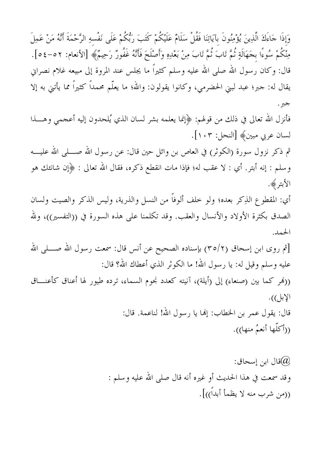وَإِذَا جَاءَكَ الَّذِينَ يُؤْمِنُونَ بِآيَاتِنَا فَقُلْ سَلَامٌ عَلَيْكُمْ كَتَبَ رَبُّكُمْ عَلَى نَفْسهِ الرَّحْمَةَ أَنَّهُ مَنْ عَمِلَ مِنْكُمْ سُوءًا بجَهَالَةٍ ثُمَّ تَابَ ثُمَّ تَابَ مِنْ بَعْدِهِ وَأَصْلَحَ فَأَنَّهُ غَفُورٌ رَحِيمٌ﴾ [الأنعام: ٥٢-٥٤]. قال: وكان رسول الله صلى الله عليه وسلم كثيراً ما يجلس عند المروة إلى مبيعه غلام نصرانى يقال له: جبر؛ عبد لبني الحضرمي، وكانوا يقولون: والله؛ ما يعلّم محمداً كثيراً مما يأتني به إلا جبر , فأنزل الله تعالى في ذلك من قولهم: ﴿إِنَّمَا يَعْلَمُهُ بِشْرِ لِسَانِ الَّذِي يُلْحَدُونَ إِلَيْهِ أَعْجَمَى وهَـــذا لسان عربي مبين﴾ [النحل: ١٠٣]. ثم ذكر نزول سورة (الكوثر) في العاص بن وائل حين قال: عن رسول الله صـــــلى الله عليـــــه وسلم : إنه أبتر. أي : لا عقب له؛ فإذا مات انقطع ذكره، فقال الله تعالى : ﴿إِن شَانئَكَ هُو الأبتر﴾. أي: المقطوع الذِكر بعده؛ ولو خلف ألوفاً من النسل والذرية، وليس الذكر والصيت ولسان الصدق بكثرة الأولاد والأنسال والعقب. وقد تكلمنا على هذه السورة في ((التفسير))، ولله الحمد. [ثم روى ابن إسحاق (٢٥/٢) بإسناده الصحيح عن أنس قال: سمعت رسول الله صــــلى الله عليه وسلم وقيل له: يا رسول الله! ما الكوثر الذي أعطاك الله؟ قال: ((هُر كما بين (صنعاء) إلى (أيلة)، آنيته كعدد نجوم السماء، ترده طيور لها أعناق كأعنـــاق

الإبل)). قال: يقول عمر بن الخطاب: إلها يا رسول الله! لناعمة. قال: ((أَكلُّهَا أَنعمُ منها)).

> قال ابن إسحاق: $\widehat{a}$ وقد سمعت في هذا الحديث أو غيره أنه قال صلى الله عليه وسلم : ((من شرب منه لا يظمأ أبداً))].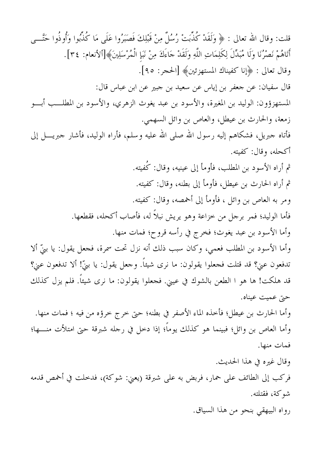قلت: وقال الله تعالى : ﴿ وَلَقَدْ كُذِّبَتْ رُسُلٌ مِنْ قَبْلِكَ فَصَبَرُوا عَلَى مَا كُذِّبُوا وَأُوذُوا حَتَّــى أَتَاهُمْ نَصْرُنَا وَلَا مُبَدِّلَ لِكَلِمَاتِ اللَّهِ وَلَقَدْ جَاءَكَ مِنْ نَبَإِ الْمُرْسَلِينَ﴾[ألأنعام: ٣٤]. وقال تعالى : ﴿إِنَّا كَفِّينَاكَ الْمُسْتَهْزِئِينَ﴾ [الحجر: ٩٥]. قال سفيان: عن جعفر بن إياس عن سعيد بن جبير عن ابن عباس قال: المستهزؤون: الوليد بن المغيرة، والأسود بن عبد يغوث الزهري، والأسود بن المطلــب أبـــو زمعة، والحارث بن عيطل، والعاص بن وائل السهمي. فأتاه جبريل، فشكاهم إليه رسول الله صلى الله عليه وسلم، فأراه الوليد، فأشار جبريــــل إلى أكحله، وقال: كفيته. ثم أراه الأسود بن المطلب، فأومأ إلى عينيه، وقال: كُفيته. ثم أراه الحارث بن عيطل، فأومأ إلى بطنه، وقال: كفيته. ومر به العاص بن وائل ، فأومأ إلى أخمصه، وقال: كفيته. فأما الوليد؛ فمر برجل من خزاعة وهو يريش نبلاً له، فأصاب أكحله، فقطعها. وأما الأسود بن عبد يغوث؛ فخرج في رأسه قروح؛ فمات منها. وأما الأسود بن المطلب فعمي، وكان سبب ذلك أنه نزل تحت سمرة، فحعل يقول: يا بنِّ ألا تدفعون عني؟ قد قتلت فجعلوا يقولون: ما نرى شيئاً. وجعل يقول: يا بنِّ! ألا تدفعون عني؟ قد هلكت! ها هو ا الطعن بالشوك في عيني. فحعلوا يقولون: ما نرى شيئاً. فلم يزل كذلك حتى عميت عيناه. وأما الحارث بن عيطل؛ فأخذه الماء الأصفر في بطنه؛ حتى خرج خرؤه من فيه ؛ فمات منها. وأما العاص بن وائل؛ فبينما هو كذلك يوماً؛ إذا دخل في رجله شبرقة حتى امتلأت منــــها؛ فمات منها. وقال غيره في هذا الحديث. فركب إلى الطائف على حمار، فربض به على شبرقة (يعني: شوكة)، فدخلت في أخمص قدمه شوكة، فقتلته.

رواه البيهقي بنحو من هذا السياق.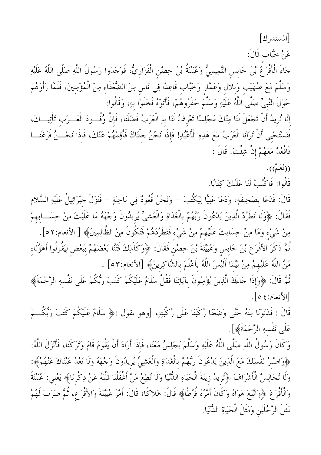[المستدرك] عَنْ خَبَّابٍ قَالَ: جَاءَ الْأَقْرَعُ بْنُ حَابِسِ التَّمِيمِيُّ وَعُيَيْنَةُ بْنُ حِصْنِ الْفَزَارِيُّ، فَوَجَدَوا رَسُولَ اللَّهِ صَلَّى اللَّهُ عَلَيْهِ وَسَلَّمَ مَعَ صُهَيْبٍ وَبِلالٍ وَعَمَّارٍ وَخَبَّابٍ قَاعِدًا فِي نَاسٍ مِنْ الضُّعَفَاءِ مِنْ الْمُؤْمِنِينَ، فَلَمَّا رَأَوْهُمْ حَوْلَ النَّبيِّ صَلَّى اللَّهُ عَلَيْهِ وَسَلَّمَ حَقَرُوهُمْ، فَأَتَوْهُ فَخَلَوْا بهِ، وَقَالُوا: إِنَّا نُرِيدُ أَنْ تَجْعَلَ لَنَا مِنْكَ مَجْلِسًا تَعْرِفُ لَنَا بِهِ الْعَرَبُ فَضْلَنَا، فَإِنَّ وُفُــودَ الْعَــرَب تَأْتِيــكَ، فَنَسْتَحْيِي أَنْ تَرَانَا الْعَرَبُ مَعَ هَذِهِ الْأَعْبُدِ! فَإِذَا نَحْنُ جئْنَاكَ فَأَقِمْهُمْ عَنْكَ، فَإِذَا نَحْـــنُ فَرَغْنَـــا فَاقْعُدْ مَعَهُمْ إِنْ شِئْتَ. قَالَ :

 $((\dot{\tilde{\boldsymbol{v}}})$ .

قَالُوا: فَاكْتُبْ لَنَا عَلَيْكَ كِتَابًا.

قَالَ: فَدَعَا بِصَحِيفَةٍ، وَدَعَا عَلِيًّا لِيَكْتُبَ – وَنَحْنُ قُعُودٌ فِي نَاحِيَةٍ – فَنَزَلَ جبْرَائِيلُ عَلَيْهِ السَّلام فَقَالَ: ﴿وَلَا تَطْرُدْ الَّذِينَ يَدْعُونَ رَبَّهُمْ بِالْغَدَاةِ وَالْعَشِيِّ يُرِيدُونَ وَجْهَهُ مَا عَلَيْكَ مِنْ حِسَـــابِهِمْ مِنْ شَيْءٍ وَمَا مِنْ حِسَابِكَ عَلَيْهِمْ مِنْ شَيْءٍ فَتَطْرُدَهُمْ فَتَكُونَ مِنْ الظَّالِمِينَ﴾ [ الأنعام:٥٢ ]. تُمَّ ذَكَرَ الأقْرَعَ بْنَ حَابس وَعُيَيْنَةَ بْنَ حِصْنٍ فَقَالَ: ﴿وَكَذَلِكَ فَتَنَّا بَعْضَهُمْ ببَعْض لِيَقُولُوا أَهَؤُلَاء مَنَّ اللَّهُ عَلَيْهِمْ مِنْ بَيْنَنَا أَلَيْسَ اللَّهُ بِأَعْلَمَ بِالشَّاكِرِينَ﴾ [الأنعام:٥٣ ] .

ثُمَّ قَالَ: ﴿وَإِذَا جَاءَكَ الَّذِينَ يُؤْمِنُونَ بِآيَاتِنَا فَقُلْ سَلَامٌ عَلَيْكُمْ كَتَبَ رَبُّكُمْ عَلَى نَفْسهِ الرَّحْمَةَ﴾ [الأنعام: ٤ ٥ ].

قَالَ : فَدَنَوْنَا مِنْهُ حَتَّى وَضَعْنَا رُكَبَنَا عَلَى رُكْبَتِهِ، [وهو يقول :﴿ سَلَامٌ عَلَيْكُمْ كَتَبَ رَبُّكُــمْ عَلَى نَفْسهِ الرَّحْمَةَ﴾].

وَكَانَ رَسُولُ اللَّهِ صَلَّى اللَّهُ عَلَيْهِ وَسَلَّمَ يَجْلِسُ مَعَنَا، فَإِذَا أَرَادَ أَنْ يَقُومَ قَامَ وَتَرَكَنَا، فَأَنْزَلَ اللَّهُ: ﴿وَاصْبِرْ نَفْسَكَ مَعَ الَّذِينَ يَدْعُونَ رَبَّهُمْ بِالْغَدَاةِ وَالْعَشِيِّ يُرِيدُونَ وَجْهَهُ وَلَا تَعْدُ عَيْنَاكَ عَنْهُمْ﴾: وَلَا تُجَالِسْ الْأَشْرَافَ ﴿تُرِيدُ زِينَةَ الْحَيَاةِ الدُّنْيَا وَلَا تُطِعْ مَنْ أَغْفَلْنَا قَلْبَهُ عَنْ ذِكْرنَا﴾ يَعْني: عُيَيْنَةَ وَالْأَقْرَعَ ﴿وَاتَّبَعَ هَوَاهُ وَكَانَ أَمْرُهُ فُرُطَّا﴾ قَالَ: هَلاكًا؛ قَالَ: أَمْرُ عُيَيْنَةَ وَالأَقْرَع، ثُمَّ ضَرَبَ لَهُمْ مَثَلَ الرَّجُلَيْن وَمَثَلَ الْحَيَاةِ الدُّنْيَا.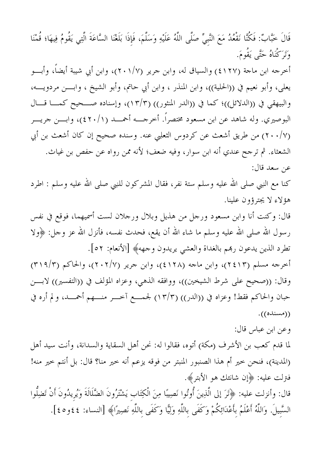قَالَ خَبَّابٌ: فَكُنَّا نَقْعُدُ مَعَ النَّبِيِّ صَلَّى اللَّهُ عَلَيْهِ وَسَلَّمَ، فَإِذَا بَلَغْنَا السَّاعَةَ الَّتِي يَقُومُ فِيهَا؛ قُمْنَا وَتَرَكْنَاهُ حَتَّى يَقُومَ.

أخرجه ابن ماجة (٤١٢٧) والسياق له، وابن جرير (٢٠١/٧)، وابن أبي شيبة أيضاً، وأبـــو يعلي، وأبو نعيم في ((الحلية))، وابن المنذر ، وابن أبي حاتم، وأبو الشيخ ، وابـــن مردويــــه، والبيهقي في ((الدلائل))؛ كما في ((الدر المنثور)) (١٣/٣)، وإسناده صـــحيح كمـــا قـــال البوصيري. وله شاهد عن ابن مسعود مختصراً. أخرجــــه أحمــــد (١/٢٠٤)، وابــــن جريــــر (٢٠٠/٧) من طريق أشعث عن كردوس الثعلبي عنه. وسنده صحيح إن كان أشعث بن أبي الشعثاء. ثم ترجح عندي أنه ابن سوار، وفيه ضعف؛ لأنه ممن رواه عن حفص بن غياث. عن سعد قال:

كنا مع النبي صلى الله عليه وسلم ستة نفر، فقال المشركون للنبي صلى الله عليه وسلم : اطرد هؤلاء لا يجترؤون علينا.

قال: وكنت أنا وابن مسعود ورجل من هذيل وبلال ورجلان لست أسميهما، فوقع في نفس رسول الله صلى الله عليه وسلم ما شاء الله أن يقع، فحدث نفسه، فأنزل الله عز وجل: ﴿ولا تطرد الذين يدعون رهم بالغداة والعشى يريدون وجهه، [الأنعام: ٥٢].

أخرجه مسلم (٢٤١٣)، وابن ماجه (٤١٢٨)، وابن جرير (٢٠٢/٧)، والحاكم (٣١٩/٣) وقال: ((صحيح على شرط الشيخين))، ووافقه الذهبي، وعزاه المؤلف في ((التفسير)) لابسن حبان والحاكم فقط! وعزاه في ((الدر)) (١٣/٣) لجمـــع أخـــر منــــهم أحمـــد، و لم أره في  $\cdot ((\circ \downarrow \downarrow \downarrow \downarrow))$ 

وعن ابن عباس قال:

لما قدم كعب بن الأشرف (مكة) أتوه، فقالوا له: نحن أهل السقاية والسدانة، وأنت سيد أهل (المدينة)، فنحن خير أم هذا الصنبور المنبتر من فوقه يزعم أنه خير منا؟ قال: بل أنتم خير منه! فترلت عليه: ﴿إِنَّ شَانئِكَ هُوَ الأَبْتَرِ﴾. قال: وأنزلت عليه: ﴿تَرَ إِلَى الَّذِينَ أُوتُوا نَصِيبًا مِنَ الْكِتَابِ يَشْتَرُونَ الضَّلَالَةَ وَيُريدُونَ أَنْ تَضِلُّوا السَّبيلَ. وَاللَّهُ أَعْلَمُ بأَعْدَائِكُمْ وَكَفَى باللَّهِ وَلِيًّا وَكَفَى باللَّهِ نَصِيرًا﴾ [النساء: ٤٤و٥٥].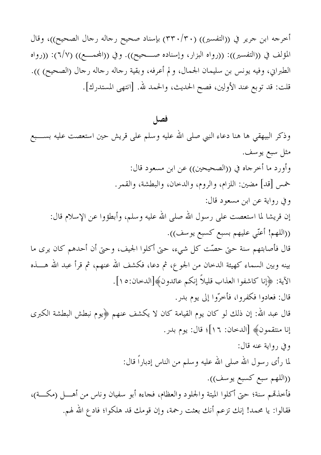أخرجه ابن جرير في ((التفسير)) (٣٢٠/٣٠) بإسناد صحيح رجاله رجال الصحيح))، وقال المؤلف في ((التفسير)): ((رواه البزار، وإسناده صـــحيح)). وفي ((المحمـــع)) (٦/٧): ((رواه الطبراني، وفيه يونس بن سليمان الجمال، و لم أعرفه، وبقية رجاله رجاله رجال (الصحيح) )). قلت: قد توبع عند الأولين، فصح الحديث، والحمد لله. [انتهى المستدرك].

## فصل

وذكر البيهقى ها هنا دعاء النبى صلى الله عليه وسلم على قريش حين استعصت عليه بســــبع مثل سبع يوسف. وأورد ما أخرجاه في ((الصحيحين)) عن ابن مسعود قال: خمس [قد] مضين: اللزام، والروم، والدخان، والبطشة، والقمر. وفي رواية عن ابن مسعود قال: إن قريشا لما استعصت على رسول الله صلى الله عليه وسلم، وأبطؤوا عن الإسلام قال: ((اللهم! أعنّي عليهم بسبع كسبع يوسف)). قال فأصابتهم سنة حتى حصّت كل شيء، حتى أكلوا الجيف، وحتى أن أحدهم كان يرى ما بينه وبين السماء كهيئة الدخان من الجوع، ثم دعا، فكشف الله عنهم، ثم قرأ عبد الله هــــذه الآية: ﴿إِنَّا كَاشْفُوا الْعَذَابِ قَلِيلاً إِنكُمْ عَائِدُونَ﴾[الدخان:٥١]. قال: فعادوا فكفروا، فأحرُّوا إلى يوم بدرٍ. قال عبد الله: إن ذلك لو كان يوم القيامة كان لا يكشف عنهم ﴿يوم نبطش البطشة الكبرى إنا منتقمون﴾ [الدخان: ١٦]؛ قال: يوم بدر. وفي رواية عنه قال: لما رأى رسول الله صلى الله عليه وسلم من الناس إدباراً قال: ((اللهم سبع كسبع يوسف)). فأخذتهم سنة؛ حتى أكلوا الميتة والجلود والعظام، فحاءه أبو سفيان وناس من أهـــل (مكـــة)، فقالوا: يا محمد! إنك تزعم أنك بعثت رحمة، وإن قومك قد هلكوا؛ فاد ع الله لهم.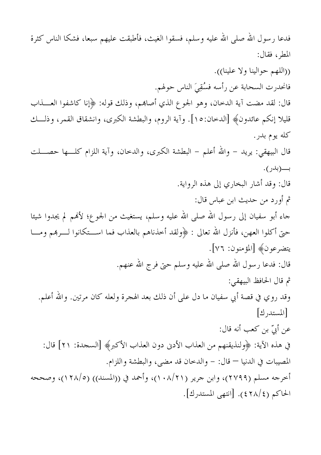فدعا رسول الله صلى الله عليه وسلم، فسقوا الغيث، فأطبقت عليهم سبعا، فشكا الناس كثرة المطر، فقال: ((اللهم حوالينا ولا علينا)). فانحدرت السحابة عن رأسه فسُقِيَ الناس حولهم. قال: لقد مضت آية الدخان، وهو الجوع الذي أصاهم، وذلك قوله: ﴿إِنَّا كَاشْفُوا الْعَـــذَابِ قليلا إنكم عائدون﴾ [الدخان:١٥]. وآية الروم، والبطشة الكبرى، وانشقاق القمر، وذلــك كله يوم بدر. قال البيهقي: يريد – والله أعلم – البطشة الكبرى، والدخان، وآية اللزام كلـــها حصــــلت ب(بدر). قال: وقد أشار البخاري إلى هذه الرواية. ثم أورد من حديث ابن عباس قال: جاء أبو سفيان إلى رسول الله صلى الله عليه وسلم، يستغيث من الجوع؛ لأفمم لم يجدوا شيئا حتى أكلوا العهن، فأنزل الله تعالى : ﴿ولَّقد أخذناهم بالعذاب فما اســـتكانوا لــــرهم ومــــا يتضرعون﴾ [المؤمنون: ٧٦]. قال: فدعا رسول الله صلى الله عليه وسلم حتى فرج الله عنهم. ثم قال الحافظ البيهقي: وقد روي في قصة أبي سفيان ما دل على أن ذلك بعد الهجرة ولعله كان مرتين. والله أعلم. [المستدرك] عن أبيّ بن كعب أنه قال: في هذه الآية: ﴿ولنذيقنهم من العذاب الأدنى دون العذاب الأكبر﴾ [السجدة: ٢١] قال: المصيبات في الدنيا — قال: – والدخان قد مضي، والبطشة واللزام. أخرجه مسلم (٢٧٩٩)، وابن جرير (١٠٨/٢١)، وأحمد في ((المسند)) (١٢٨/٥)، وصححه الحاكم (٤٢٨/٤). [انتهى المستدرك].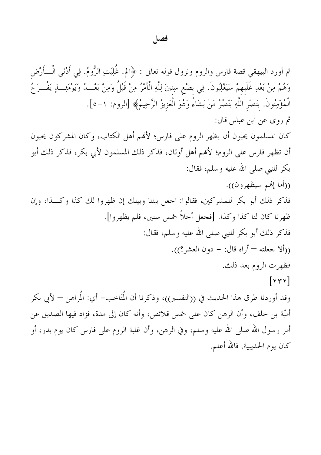## فصل

ثم أورد البيهقي قصة فارس والروم ونزول قوله تعالى : ﴿الم. غُلِبَتِ الرُّومُ. فِي أَدْنَى الْـــأَرْض وَهُمْ مِنْ بَعْدِ غَلَبهمْ سَيَغْلِبُونَ. فِي بضْعِ سِنينَ لِلَّهِ الْأَمْرُ مِنْ قَبْلُ وَمِنْ بَعْـــدُ وَيَوْمَئِــــنِ يَفْـــرَحُ الْمُؤْمِنُونَ. بنَصْر اللَّهِ يَنْصُرُ مَنْ يَشَاءُ وَهُوَ الْعَزِيزُ الرَّحِيمُ﴾ [الروم: ٥–٥]. ثم روى عن ابن عباس قال: كان المسلمون يحبون أن يظهر الروم على فارس؛ لأفمم أهل الكتاب، وكان المشركون يحبون أن تظهر فارس على الروم؛ لألهم أهل أوثان، فذكر ذلك المسلمون لأبي بكر، فذكر ذلك أبو بكر للنبي صلى الله عليه وسلم، فقال: ((أما إفمم سيظهرون)). فذكر ذلك أبو بكر للمشركين، فقالوا: اجعل بيننا وبينك إن ظهروا لك كذا وكـــذا، وإن ظهرنا كان لنا كذا وكذا. [فجعل أجلاً خمس سنين، فلم يظهروا]. فذكر ذلك أبو بكر للنبي صلى الله عليه وسلم، فقال: ((ألا جعلته — أراه قال: – دون العشر؟)). فظهرت الروم بعد ذلك.  $[\forall \tau \tau]$ وقد أوردنا طرق هذا الحديث في ((التفسير))، وذكرنا أن الْمُناخب– أي: الْمراهن — لأيي بكر أميَّة بن خلف، وأن الرهن كان على خمس قلائص، وأنه كان إلى مدة، فزاد فيها الصديق عن أمر رسول الله صلى الله عليه وسلم، وفي الرهن، وأن غلبة الروم على فارس كان يوم بدر، أو كان يوم الحديبية. فالله أعلم.